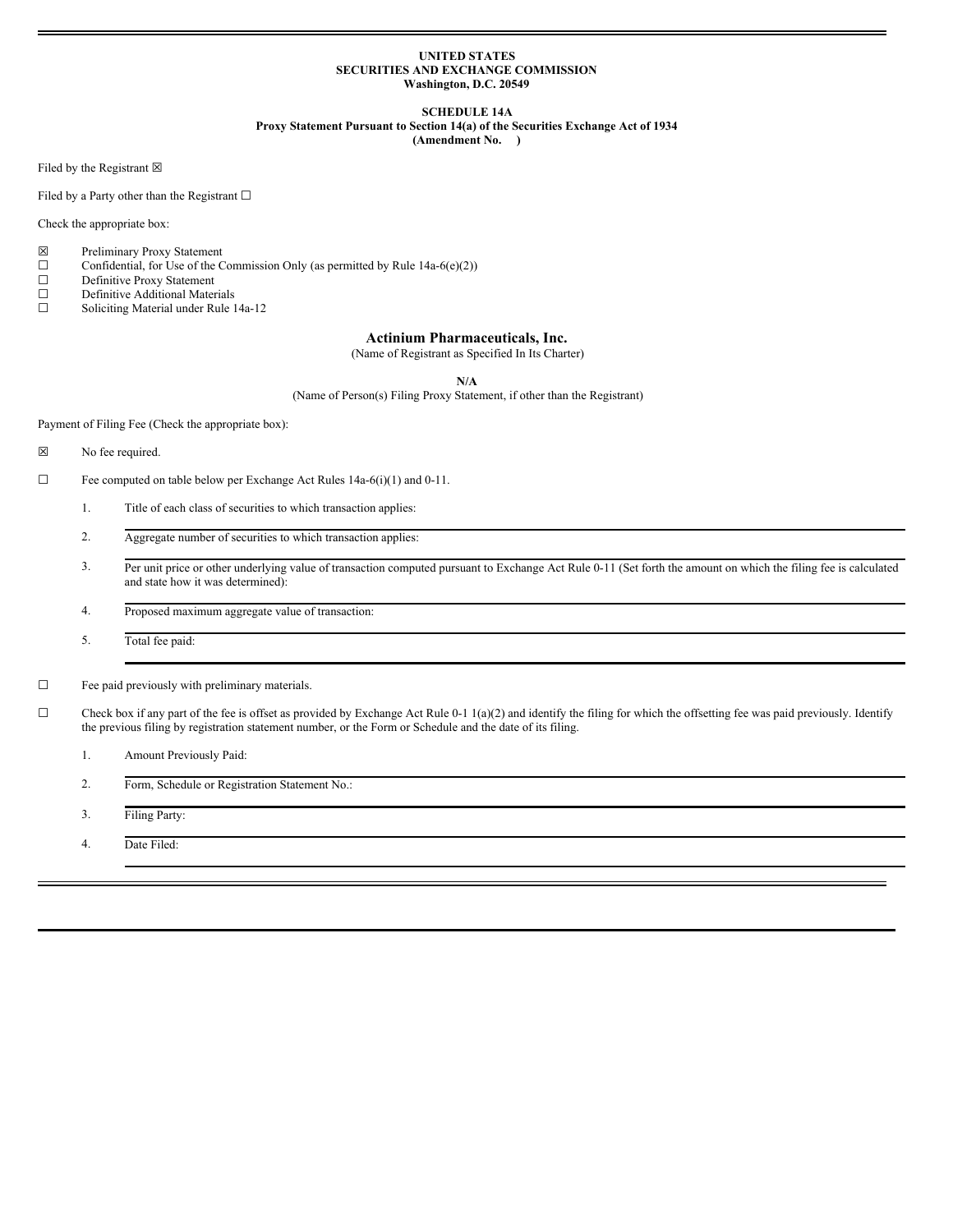#### **UNITED STATES SECURITIES AND EXCHANGE COMMISSION Washington, D.C. 20549**

**SCHEDULE 14A**

**Proxy Statement Pursuant to Section 14(a) of the Securities Exchange Act of 1934**

**(Amendment No. )**

Filed by the Registrant  $\boxtimes$ 

Filed by a Party other than the Registrant  $□$ 

Check the appropriate box:

- ☒ Preliminary Proxy Statement
- $\Box$  Confidential, for Use of the Commission Only (as permitted by Rule 14a-6(e)(2))  $\Box$  Definitive Proxy Statement
- Definitive Proxy Statement
- □ Definitive Additional Materials<br>□ Soliciting Material under Rule 1
- Soliciting Material under Rule 14a-12

**Actinium Pharmaceuticals, Inc.**

(Name of Registrant as Specified In Its Charter)

**N/A**

(Name of Person(s) Filing Proxy Statement, if other than the Registrant)

Payment of Filing Fee (Check the appropriate box):

☒ No fee required.

 $\Box$  Fee computed on table below per Exchange Act Rules 14a-6(i)(1) and 0-11.

- 1. Title of each class of securities to which transaction applies:
- 2. Aggregate number of securities to which transaction applies:
- 3. Per unit price or other underlying value of transaction computed pursuant to Exchange Act Rule 0-11 (Set forth the amount on which the filing fee is calculated and state how it was determined):
- 4. Proposed maximum aggregate value of transaction:
- 5. Total fee paid:
- ☐ Fee paid previously with preliminary materials.
- $\Box$  Check box if any part of the fee is offset as provided by Exchange Act Rule 0-1 1(a)(2) and identify the filing for which the offsetting fee was paid previously. Identify the previous filing by registration statement number, or the Form or Schedule and the date of its filing.

1. Amount Previously Paid:

2. Form, Schedule or Registration Statement No.:

3. Filing Party:

4. Date Filed: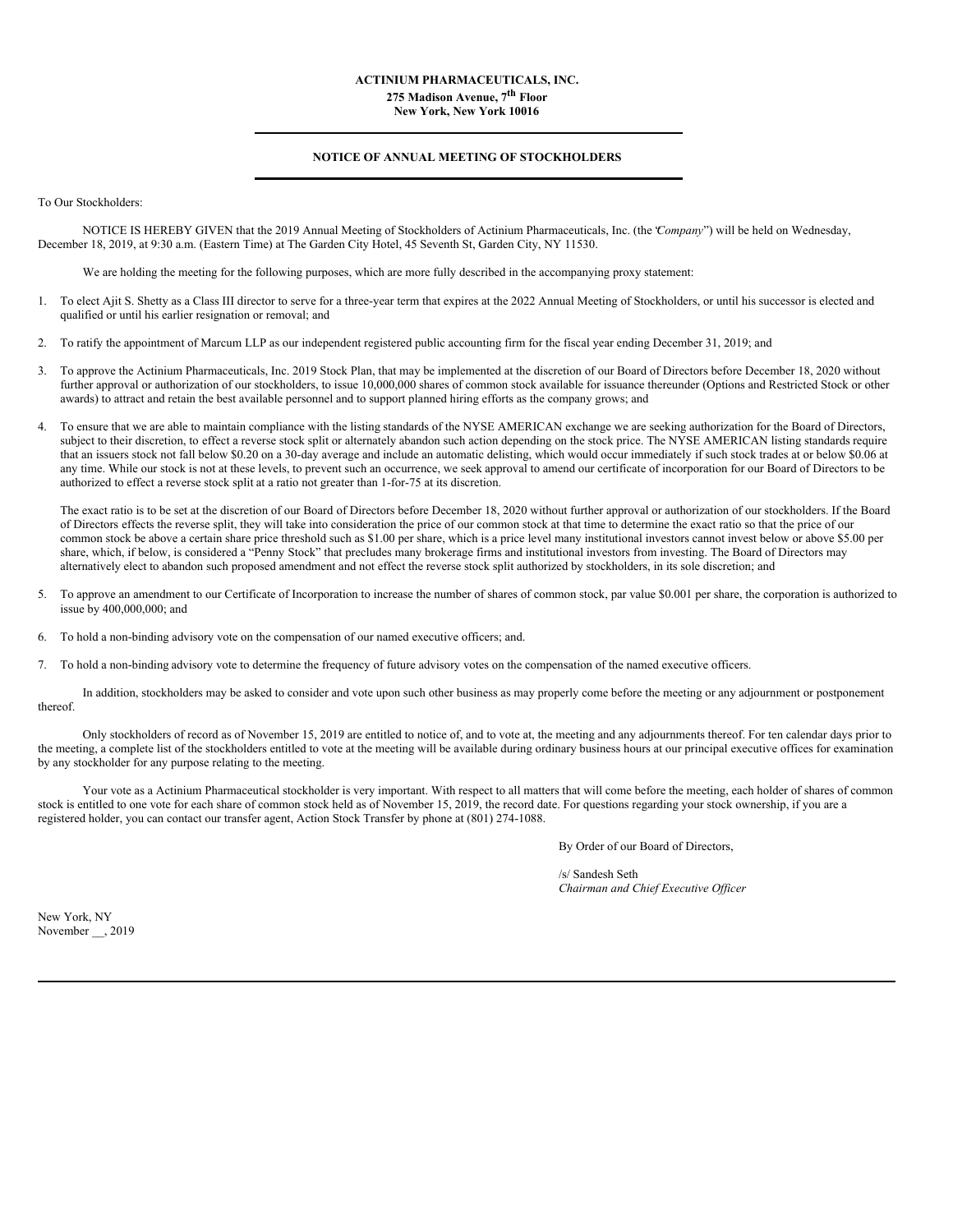## **ACTINIUM PHARMACEUTICALS, INC. 275 Madison Avenue, 7 th Floor New York, New York 10016**

## **NOTICE OF ANNUAL MEETING OF STOCKHOLDERS**

To Our Stockholders:

NOTICE IS HEREBY GIVEN that the 2019 Annual Meeting of Stockholders of Actinium Pharmaceuticals, Inc. (the "*Company*") will be held on Wednesday, December 18, 2019, at 9:30 a.m. (Eastern Time) at The Garden City Hotel, 45 Seventh St, Garden City, NY 11530.

We are holding the meeting for the following purposes, which are more fully described in the accompanying proxy statement:

- 1. To elect Ajit S. Shetty as a Class III director to serve for a three-year term that expires at the 2022 Annual Meeting of Stockholders, or until his successor is elected and qualified or until his earlier resignation or removal; and
- 2. To ratify the appointment of Marcum LLP as our independent registered public accounting firm for the fiscal year ending December 31, 2019; and
- 3. To approve the Actinium Pharmaceuticals, Inc. 2019 Stock Plan, that may be implemented at the discretion of our Board of Directors before December 18, 2020 without further approval or authorization of our stockholders, to issue 10,000,000 shares of common stock available for issuance thereunder (Options and Restricted Stock or other awards) to attract and retain the best available personnel and to support planned hiring efforts as the company grows; and
- 4. To ensure that we are able to maintain compliance with the listing standards of the NYSE AMERICAN exchange we are seeking authorization for the Board of Directors, subject to their discretion, to effect a reverse stock split or alternately abandon such action depending on the stock price. The NYSE AMERICAN listing standards require that an issuers stock not fall below \$0.20 on a 30-day average and include an automatic delisting, which would occur immediately if such stock trades at or below \$0.06 at any time. While our stock is not at these levels, to prevent such an occurrence, we seek approval to amend our certificate of incorporation for our Board of Directors to be authorized to effect a reverse stock split at a ratio not greater than 1-for-75 at its discretion.

The exact ratio is to be set at the discretion of our Board of Directors before December 18, 2020 without further approval or authorization of our stockholders. If the Board of Directors effects the reverse split, they will take into consideration the price of our common stock at that time to determine the exact ratio so that the price of our common stock be above a certain share price threshold such as \$1.00 per share, which is a price level many institutional investors cannot invest below or above \$5.00 per share, which, if below, is considered a "Penny Stock" that precludes many brokerage firms and institutional investors from investing. The Board of Directors may alternatively elect to abandon such proposed amendment and not effect the reverse stock split authorized by stockholders, in its sole discretion; and

- 5. To approve an amendment to our Certificate of Incorporation to increase the number of shares of common stock, par value \$0.001 per share, the corporation is authorized to issue by 400,000,000; and
- 6. To hold a non-binding advisory vote on the compensation of our named executive officers; and.
- 7. To hold a non-binding advisory vote to determine the frequency of future advisory votes on the compensation of the named executive officers.

In addition, stockholders may be asked to consider and vote upon such other business as may properly come before the meeting or any adjournment or postponement thereof.

Only stockholders of record as of November 15, 2019 are entitled to notice of, and to vote at, the meeting and any adjournments thereof. For ten calendar days prior to the meeting, a complete list of the stockholders entitled to vote at the meeting will be available during ordinary business hours at our principal executive offices for examination by any stockholder for any purpose relating to the meeting.

Your vote as a Actinium Pharmaceutical stockholder is very important. With respect to all matters that will come before the meeting, each holder of shares of common stock is entitled to one vote for each share of common stock held as of November 15, 2019, the record date. For questions regarding your stock ownership, if you are a registered holder, you can contact our transfer agent, Action Stock Transfer by phone at (801) 274-1088.

By Order of our Board of Directors,

/s/ Sandesh Seth *Chairman and Chief Executive Of icer*

New York, NY November \_\_, 2019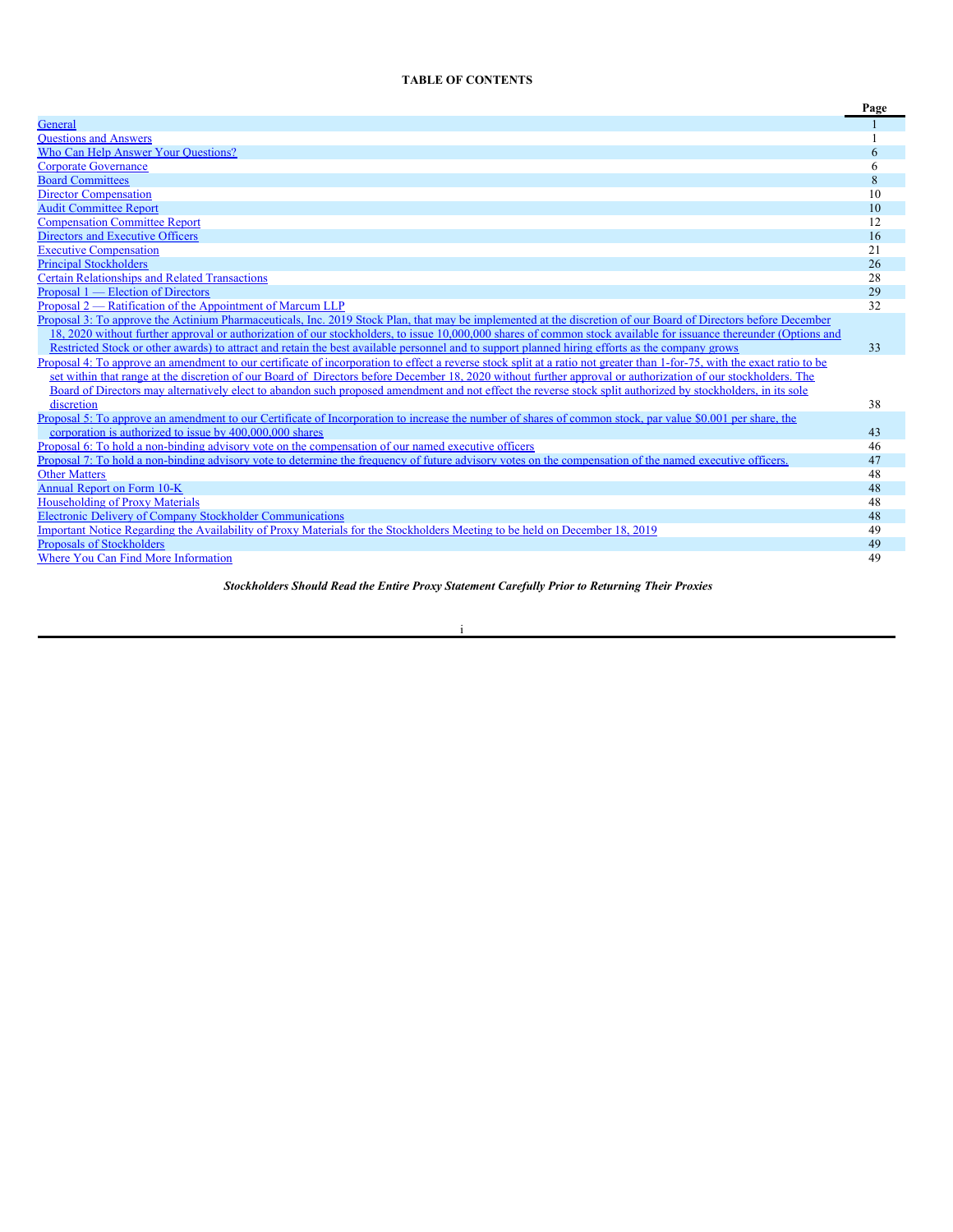# **TABLE OF CONTENTS**

|                                                                                                                                                                                                                                                                                                                                                                                                                                                                                        | Page |
|----------------------------------------------------------------------------------------------------------------------------------------------------------------------------------------------------------------------------------------------------------------------------------------------------------------------------------------------------------------------------------------------------------------------------------------------------------------------------------------|------|
| General                                                                                                                                                                                                                                                                                                                                                                                                                                                                                |      |
| <b>Ouestions and Answers</b>                                                                                                                                                                                                                                                                                                                                                                                                                                                           |      |
| Who Can Help Answer Your Ouestions?                                                                                                                                                                                                                                                                                                                                                                                                                                                    | 6    |
| <b>Corporate Governance</b>                                                                                                                                                                                                                                                                                                                                                                                                                                                            | 6    |
| <b>Board Committees</b>                                                                                                                                                                                                                                                                                                                                                                                                                                                                | 8    |
| <b>Director Compensation</b>                                                                                                                                                                                                                                                                                                                                                                                                                                                           | 10   |
| <b>Audit Committee Report</b>                                                                                                                                                                                                                                                                                                                                                                                                                                                          | 10   |
| <b>Compensation Committee Report</b>                                                                                                                                                                                                                                                                                                                                                                                                                                                   | 12   |
| <b>Directors and Executive Officers</b>                                                                                                                                                                                                                                                                                                                                                                                                                                                | 16   |
| <b>Executive Compensation</b>                                                                                                                                                                                                                                                                                                                                                                                                                                                          | 21   |
| <b>Principal Stockholders</b>                                                                                                                                                                                                                                                                                                                                                                                                                                                          | 26   |
| <b>Certain Relationships and Related Transactions</b>                                                                                                                                                                                                                                                                                                                                                                                                                                  | 28   |
| Proposal 1 — Election of Directors                                                                                                                                                                                                                                                                                                                                                                                                                                                     | 29   |
| Proposal 2 — Ratification of the Appointment of Marcum LLP                                                                                                                                                                                                                                                                                                                                                                                                                             | 32   |
| Proposal 3: To approve the Actinium Pharmaceuticals, Inc. 2019 Stock Plan, that may be implemented at the discretion of our Board of Directors before December<br>18, 2020 without further approval or authorization of our stockholders, to issue 10,000,000 shares of common stock available for issuance thereunder (Options and<br>Restricted Stock or other awards) to attract and retain the best available personnel and to support planned hiring efforts as the company grows | 33   |
| Proposal 4: To approve an amendment to our certificate of incorporation to effect a reverse stock split at a ratio not greater than 1-for-75, with the exact ratio to be                                                                                                                                                                                                                                                                                                               |      |
| set within that range at the discretion of our Board of Directors before December 18, 2020 without further approval or authorization of our stockholders. The                                                                                                                                                                                                                                                                                                                          |      |
| Board of Directors may alternatively elect to abandon such proposed amendment and not effect the reverse stock split authorized by stockholders, in its sole                                                                                                                                                                                                                                                                                                                           |      |
| discretion                                                                                                                                                                                                                                                                                                                                                                                                                                                                             | 38   |
| Proposal 5: To approve an amendment to our Certificate of Incorporation to increase the number of shares of common stock, par value \$0.001 per share, the                                                                                                                                                                                                                                                                                                                             |      |
| corporation is authorized to issue by 400,000,000 shares                                                                                                                                                                                                                                                                                                                                                                                                                               | 43   |
| Proposal 6: To hold a non-binding advisory vote on the compensation of our named executive officers                                                                                                                                                                                                                                                                                                                                                                                    | 46   |
| Proposal 7: To hold a non-binding advisory vote to determine the frequency of future advisory votes on the compensation of the named executive officers.                                                                                                                                                                                                                                                                                                                               | 47   |
| <b>Other Matters</b>                                                                                                                                                                                                                                                                                                                                                                                                                                                                   | 48   |
| Annual Report on Form 10-K                                                                                                                                                                                                                                                                                                                                                                                                                                                             | 48   |
| <b>Householding of Proxy Materials</b>                                                                                                                                                                                                                                                                                                                                                                                                                                                 | 48   |
| Electronic Delivery of Company Stockholder Communications                                                                                                                                                                                                                                                                                                                                                                                                                              | 48   |
| Important Notice Regarding the Availability of Proxy Materials for the Stockholders Meeting to be held on December 18, 2019                                                                                                                                                                                                                                                                                                                                                            | 49   |
| <b>Proposals of Stockholders</b>                                                                                                                                                                                                                                                                                                                                                                                                                                                       | 49   |
| Where You Can Find More Information                                                                                                                                                                                                                                                                                                                                                                                                                                                    | 49   |

*Stockholders Should Read the Entire Proxy Statement Carefully Prior to Returning Their Proxies*

i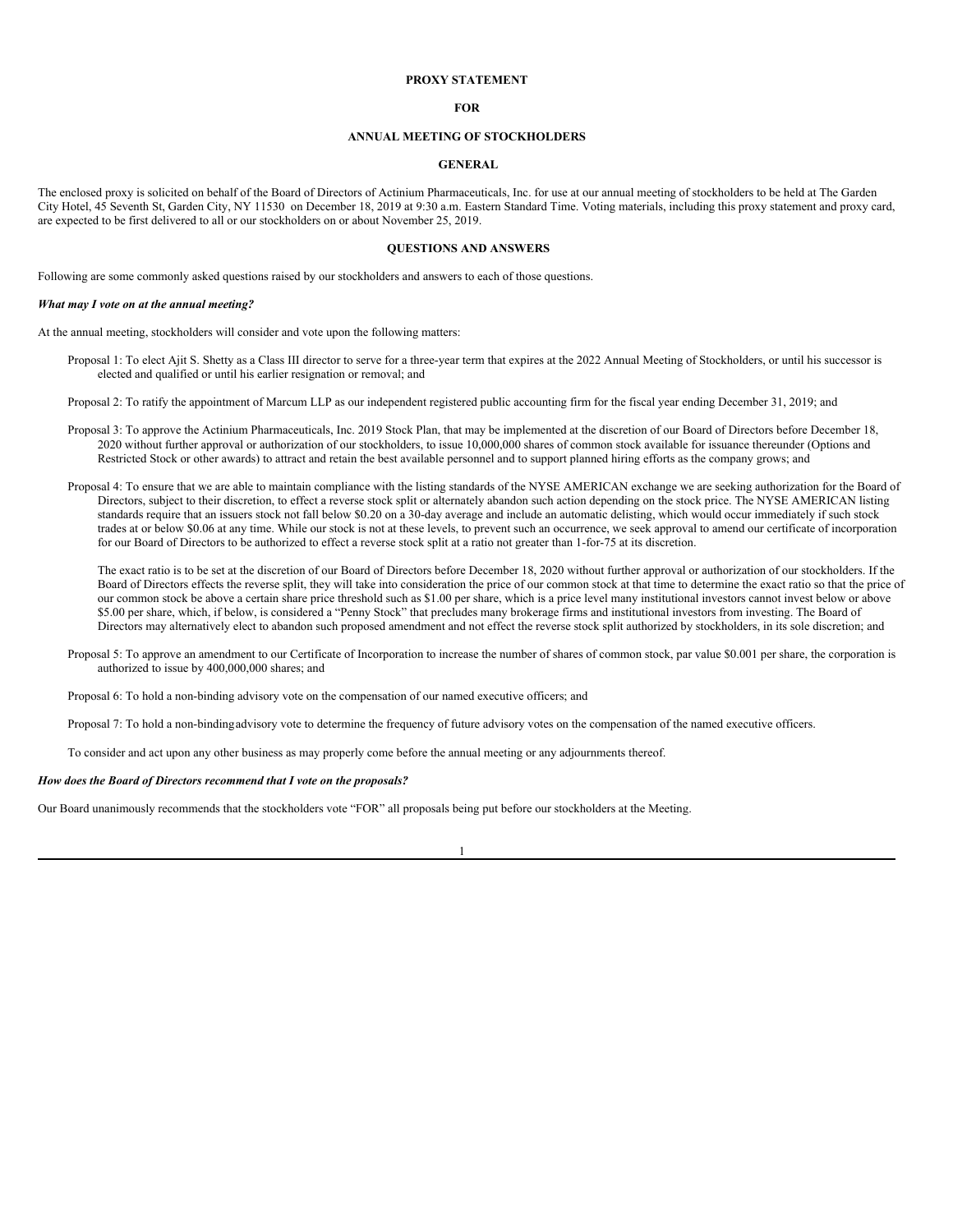#### **PROXY STATEMENT**

#### **FOR**

## **ANNUAL MEETING OF STOCKHOLDERS**

### <span id="page-3-0"></span>**GENERAL**

The enclosed proxy is solicited on behalf of the Board of Directors of Actinium Pharmaceuticals, Inc. for use at our annual meeting of stockholders to be held at The Garden City Hotel, 45 Seventh St, Garden City, NY 11530 on December 18, 2019 at 9:30 a.m. Eastern Standard Time. Voting materials, including this proxy statement and proxy card, are expected to be first delivered to all or our stockholders on or about November 25, 2019.

### <span id="page-3-1"></span>**QUESTIONS AND ANSWERS**

Following are some commonly asked questions raised by our stockholders and answers to each of those questions.

#### *What may I vote on at the annual meeting?*

At the annual meeting, stockholders will consider and vote upon the following matters:

- Proposal 1: To elect Ajit S. Shetty as a Class III director to serve for a three-year term that expires at the 2022 Annual Meeting of Stockholders, or until his successor is elected and qualified or until his earlier resignation or removal; and
- Proposal 2: To ratify the appointment of Marcum LLP as our independent registered public accounting firm for the fiscal year ending December 31, 2019; and
- Proposal 3: To approve the Actinium Pharmaceuticals, Inc. 2019 Stock Plan, that may be implemented at the discretion of our Board of Directors before December 18, 2020 without further approval or authorization of our stockholders, to issue 10,000,000 shares of common stock available for issuance thereunder (Options and Restricted Stock or other awards) to attract and retain the best available personnel and to support planned hiring efforts as the company grows; and
- Proposal 4: To ensure that we are able to maintain compliance with the listing standards of the NYSE AMERICAN exchange we are seeking authorization for the Board of Directors, subject to their discretion, to effect a reverse stock split or alternately abandon such action depending on the stock price. The NYSE AMERICAN listing standards require that an issuers stock not fall below \$0.20 on a 30-day average and include an automatic delisting, which would occur immediately if such stock trades at or below \$0.06 at any time. While our stock is not at these levels, to prevent such an occurrence, we seek approval to amend our certificate of incorporation for our Board of Directors to be authorized to effect a reverse stock split at a ratio not greater than 1-for-75 at its discretion.

The exact ratio is to be set at the discretion of our Board of Directors before December 18, 2020 without further approval or authorization of our stockholders. If the Board of Directors effects the reverse split, they will take into consideration the price of our common stock at that time to determine the exact ratio so that the price of our common stock be above a certain share price threshold such as \$1.00 per share, which is a price level many institutional investors cannot invest below or above \$5.00 per share, which, if below, is considered a "Penny Stock" that precludes many brokerage firms and institutional investors from investing. The Board of Directors may alternatively elect to abandon such proposed amendment and not effect the reverse stock split authorized by stockholders, in its sole discretion; and

Proposal 5: To approve an amendment to our Certificate of Incorporation to increase the number of shares of common stock, par value \$0.001 per share, the corporation is authorized to issue by 400,000,000 shares; and

Proposal 6: To hold a non-binding advisory vote on the compensation of our named executive officers; and

Proposal 7: To hold a non-bindingadvisory vote to determine the frequency of future advisory votes on the compensation of the named executive officers.

1

To consider and act upon any other business as may properly come before the annual meeting or any adjournments thereof.

#### *How does the Board of Directors recommend that I vote on the proposals?*

Our Board unanimously recommends that the stockholders vote "FOR" all proposals being put before our stockholders at the Meeting.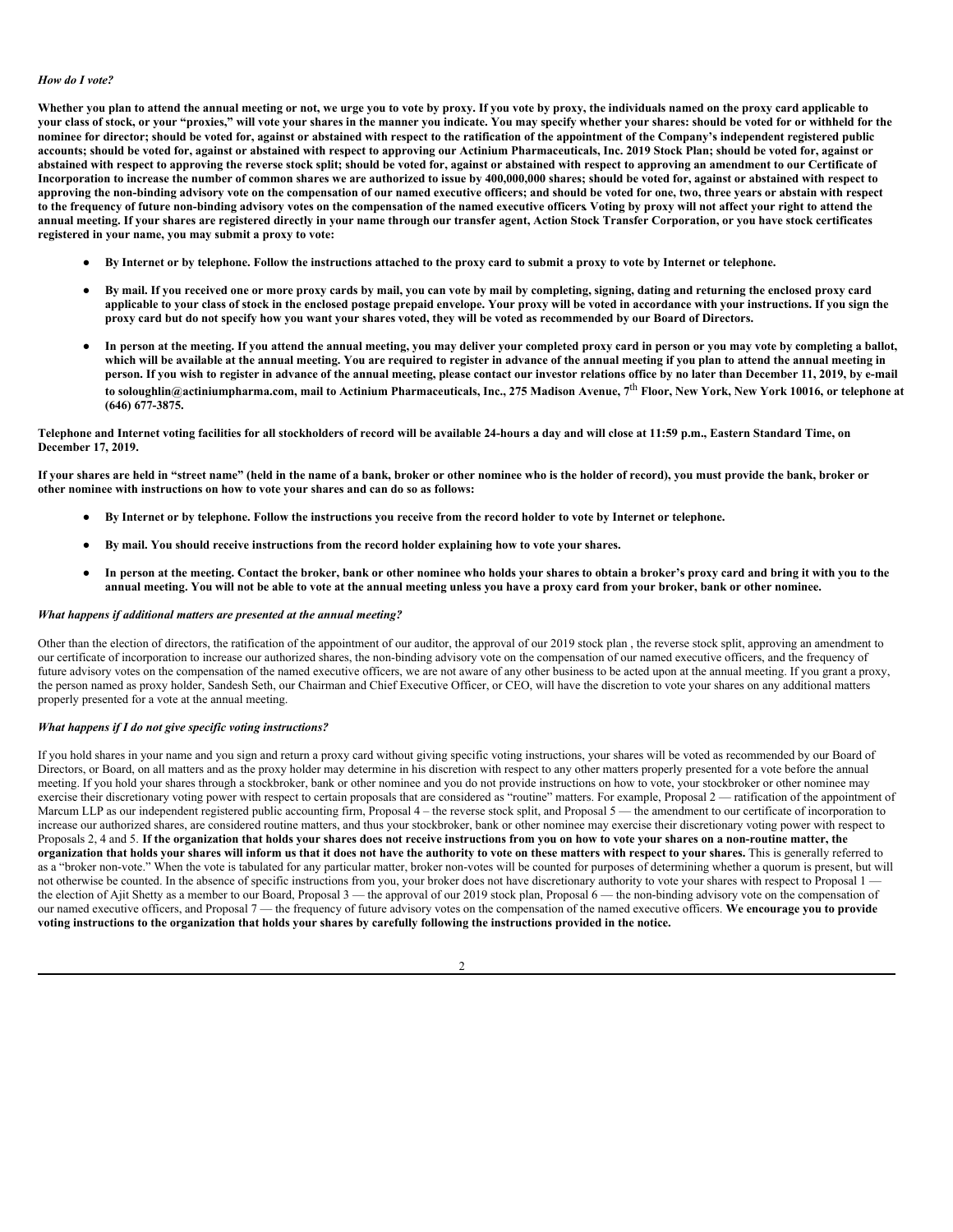#### *How do I vote?*

Whether you plan to attend the annual meeting or not, we urge you to vote by proxy. If you vote by proxy, the individuals named on the proxy card applicable to your class of stock, or your "proxies," will vote your shares in the manner you indicate. You may specify whether your shares: should be voted for or withheld for the nominee for director; should be voted for, against or abstained with respect to the ratification of the appointment of the Company's independent registered public accounts; should be voted for, against or abstained with respect to approving our Actinium Pharmaceuticals, Inc. 2019 Stock Plan; should be voted for, against or abstained with respect to approving the reverse stock split; should be voted for, against or abstained with respect to approving an amendment to our Certificate of Incorporation to increase the number of common shares we are authorized to issue by 400,000,000 shares; should be voted for, against or abstained with respect to approving the non-binding advisory vote on the compensation of our named executive officers; and should be voted for one, two, three vears or abstain with respect to the frequency of future non-binding advisory votes on the compensation of the named executive officers. Voting by proxy will not affect your right to attend the annual meeting. If your shares are registered directly in your name through our transfer agent, Action Stock Transfer Corporation, or you have stock certificates **registered in your name, you may submit a proxy to vote:**

- By Internet or by telephone. Follow the instructions attached to the proxy card to submit a proxy to vote by Internet or telephone.
- By mail. If you received one or more proxy cards by mail, you can vote by mail by completing, signing, dating and returning the enclosed proxy card applicable to your class of stock in the enclosed postage prepaid envelope. Your proxy will be voted in accordance with your instructions. If you sign the proxy card but do not specify how you want your shares voted, they will be voted as recommended by our Board of Directors.
- In person at the meeting. If you attend the annual meeting, you may deliver your completed proxy card in person or you may yote by completing a ballot. which will be available at the annual meeting. You are required to register in advance of the annual meeting if you plan to attend the annual meeting in person. If you wish to register in advance of the annual meeting, please contact our investor relations office by no later than December 11, 2019, by e-mail to soloughlin@actiniumpharma.com, mail to Actinium Pharmaceuticals, Inc., 275 Madison Avenue, 7<sup>th</sup> Floor, New York, New York 10016, or telephone at **(646) 677-3875.**

Telephone and Internet voting facilities for all stockholders of record will be available 24-hours a day and will close at 11:59 p.m., Eastern Standard Time, on **December 17, 2019.**

If your shares are held in "street name" (held in the name of a bank, broker or other nominee who is the holder of record), you must provide the bank, broker or **other nominee with instructions on how to vote your shares and can do so as follows:**

- By Internet or by telephone. Follow the instructions you receive from the record holder to vote by Internet or telephone.
- **By mail. You should receive instructions from the record holder explaining how to vote your shares.**
- In person at the meeting. Contact the broker, bank or other nominee who holds your shares to obtain a broker's proxy card and bring it with you to the annual meeting. You will not be able to vote at the annual meeting unless you have a proxy card from your broker, bank or other nominee.

### *What happens if additional matters are presented at the annual meeting?*

Other than the election of directors, the ratification of the appointment of our auditor, the approval of our 2019 stock plan , the reverse stock split, approving an amendment to our certificate of incorporation to increase our authorized shares, the non-binding advisory vote on the compensation of our named executive officers, and the frequency of future advisory votes on the compensation of the named executive officers, we are not aware of any other business to be acted upon at the annual meeting. If you grant a proxy, the person named as proxy holder, Sandesh Seth, our Chairman and Chief Executive Officer, or CEO, will have the discretion to vote your shares on any additional matters properly presented for a vote at the annual meeting.

## *What happens if I do not give specific voting instructions?*

If you hold shares in your name and you sign and return a proxy card without giving specific voting instructions, your shares will be voted as recommended by our Board of Directors, or Board, on all matters and as the proxy holder may determine in his discretion with respect to any other matters properly presented for a vote before the annual meeting. If you hold your shares through a stockbroker, bank or other nominee and you do not provide instructions on how to vote, your stockbroker or other nominee may exercise their discretionary voting power with respect to certain proposals that are considered as "routine" matters. For example, Proposal 2 — ratification of the appointment of Marcum LLP as our independent registered public accounting firm, Proposal 4 – the reverse stock split, and Proposal 5 — the amendment to our certificate of incorporation to increase our authorized shares, are considered routine matters, and thus your stockbroker, bank or other nominee may exercise their discretionary voting power with respect to Proposals 2, 4 and 5. If the organization that holds your shares does not receive instructions from you on how to vote your shares on a non-routine matter, the organization that holds your shares will inform us that it does not have the authority to vote on these matters with respect to your shares. This is generally referred to as a "broker non-vote." When the vote is tabulated for any particular matter, broker non-votes will be counted for purposes of determining whether a quorum is present, but will not otherwise be counted. In the absence of specific instructions from you, your broker does not have discretionary authority to vote your shares with respect to Proposal 1 the election of Ajit Shetty as a member to our Board, Proposal 3 — the approval of our 2019 stock plan, Proposal 6 — the non-binding advisory vote on the compensation of our named executive officers, and Proposal 7 — the frequency of future advisory votes on the compensation of the named executive officers. **We encourage you to provide** voting instructions to the organization that holds your shares by carefully following the instructions provided in the notice.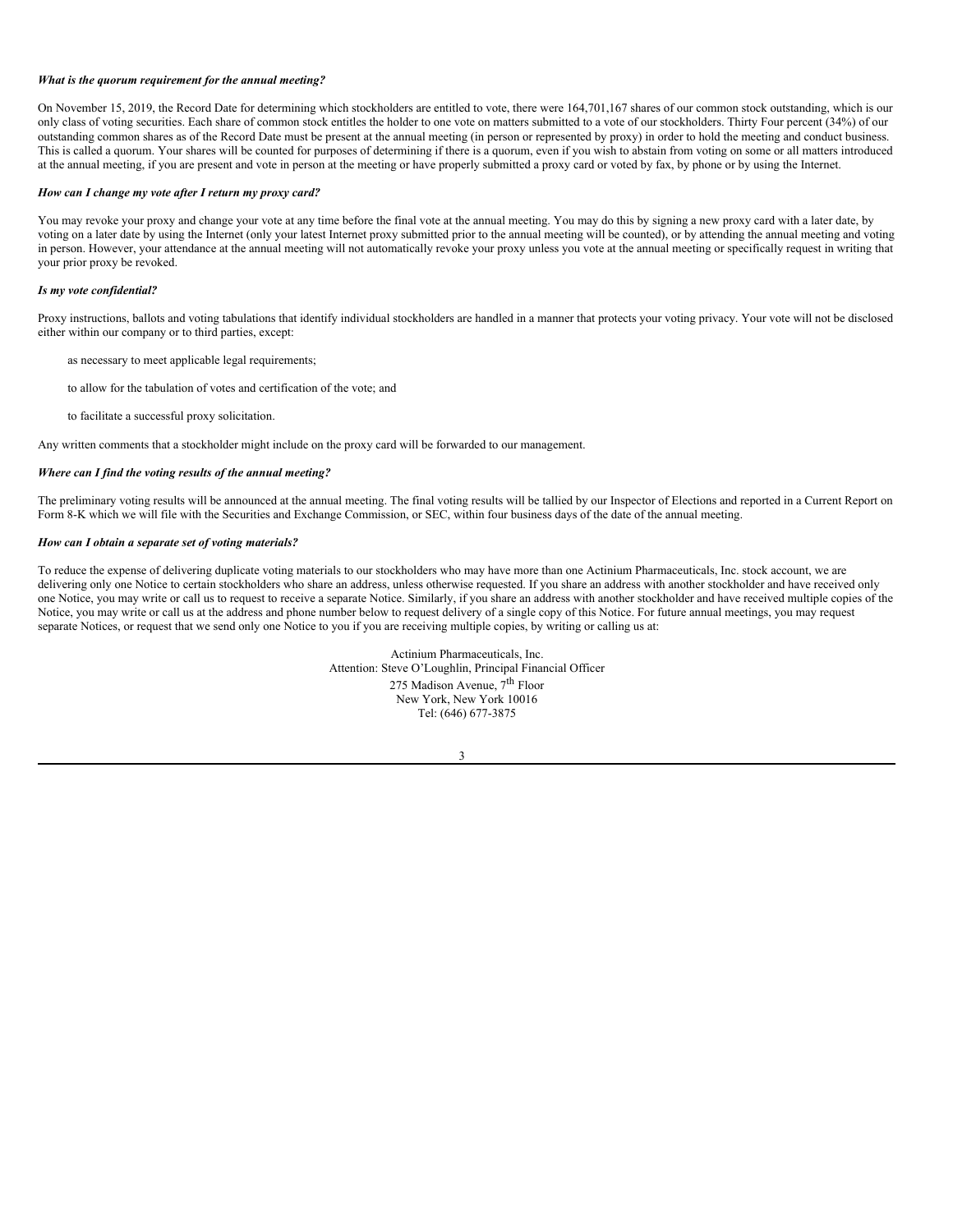#### *What is the quorum requirement for the annual meeting?*

On November 15, 2019, the Record Date for determining which stockholders are entitled to vote, there were 164,701,167 shares of our common stock outstanding, which is our only class of voting securities. Each share of common stock entitles the holder to one vote on matters submitted to a vote of our stockholders. Thirty Four percent (34%) of our outstanding common shares as of the Record Date must be present at the annual meeting (in person or represented by proxy) in order to hold the meeting and conduct business. This is called a quorum. Your shares will be counted for purposes of determining if there is a quorum, even if you wish to abstain from voting on some or all matters introduced at the annual meeting, if you are present and vote in person at the meeting or have properly submitted a proxy card or voted by fax, by phone or by using the Internet.

### *How can I change my vote after I return my proxy card?*

You may revoke your proxy and change your vote at any time before the final vote at the annual meeting. You may do this by signing a new proxy card with a later date, by voting on a later date by using the Internet (only your latest Internet proxy submitted prior to the annual meeting will be counted), or by attending the annual meeting and voting in person. However, your attendance at the annual meeting will not automatically revoke your proxy unless you vote at the annual meeting or specifically request in writing that your prior proxy be revoked.

### *Is my vote confidential?*

Proxy instructions, ballots and voting tabulations that identify individual stockholders are handled in a manner that protects your voting privacy. Your vote will not be disclosed either within our company or to third parties, except:

- as necessary to meet applicable legal requirements;
- to allow for the tabulation of votes and certification of the vote; and
- to facilitate a successful proxy solicitation.

Any written comments that a stockholder might include on the proxy card will be forwarded to our management.

## *Where can I find the voting results of the annual meeting?*

The preliminary voting results will be announced at the annual meeting. The final voting results will be tallied by our Inspector of Elections and reported in a Current Report on Form 8-K which we will file with the Securities and Exchange Commission, or SEC, within four business days of the date of the annual meeting.

#### *How can I obtain a separate set of voting materials?*

To reduce the expense of delivering duplicate voting materials to our stockholders who may have more than one Actinium Pharmaceuticals, Inc. stock account, we are delivering only one Notice to certain stockholders who share an address, unless otherwise requested. If you share an address with another stockholder and have received only one Notice, you may write or call us to request to receive a separate Notice. Similarly, if you share an address with another stockholder and have received multiple copies of the Notice, you may write or call us at the address and phone number below to request delivery of a single copy of this Notice. For future annual meetings, you may request separate Notices, or request that we send only one Notice to you if you are receiving multiple copies, by writing or calling us at:

> Actinium Pharmaceuticals, Inc. Attention: Steve O'Loughlin, Principal Financial Officer 275 Madison Avenue, 7<sup>th</sup> Floor New York, New York 10016 Tel: (646) 677-3875

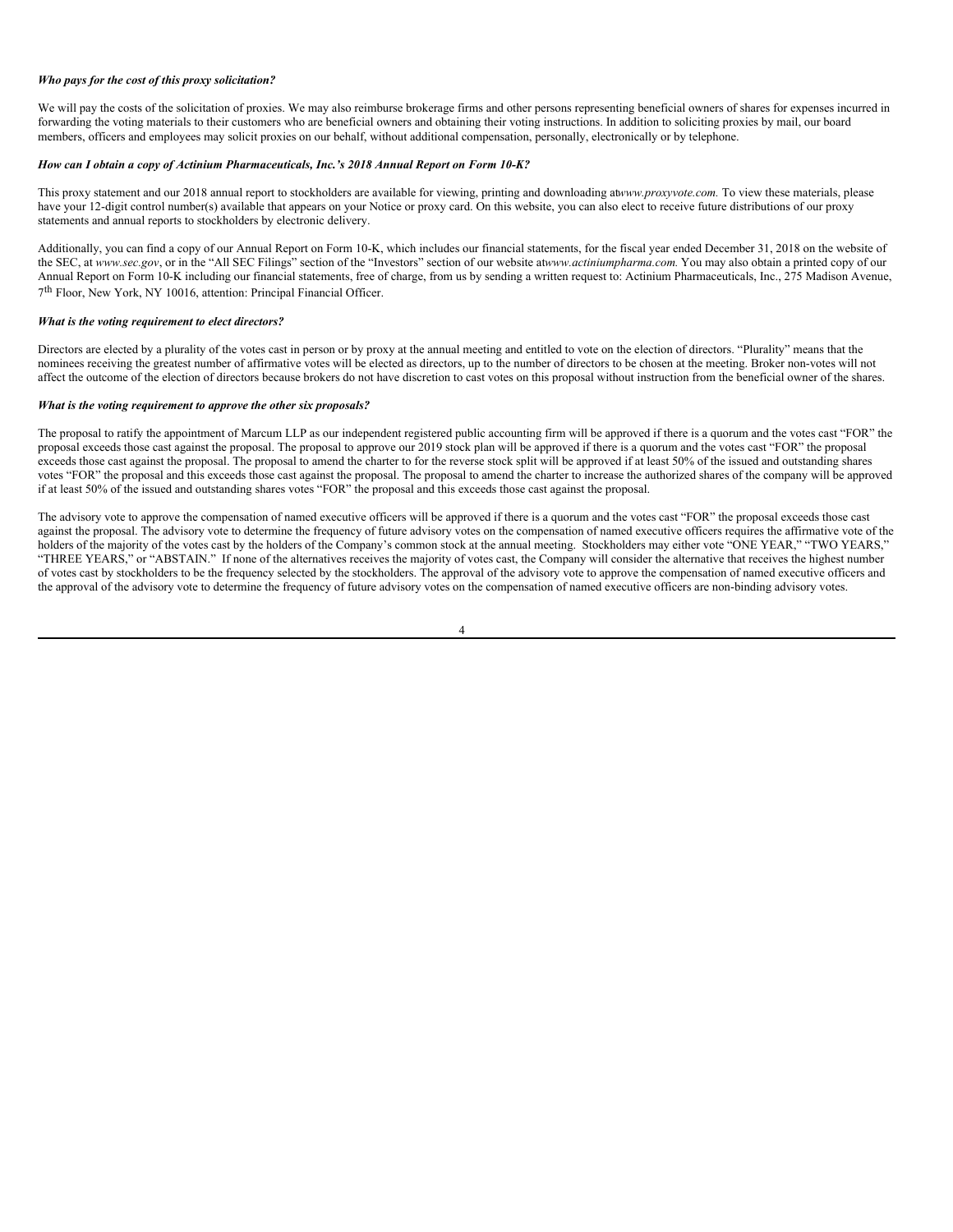### *Who pays for the cost of this proxy solicitation?*

We will pay the costs of the solicitation of proxies. We may also reimburse brokerage firms and other persons representing beneficial owners of shares for expenses incurred in forwarding the voting materials to their customers who are beneficial owners and obtaining their voting instructions. In addition to soliciting proxies by mail, our board members, officers and employees may solicit proxies on our behalf, without additional compensation, personally, electronically or by telephone.

## *How can I obtain a copy of Actinium Pharmaceuticals, Inc.'s 2018 Annual Report on Form 10-K?*

This proxy statement and our 2018 annual report to stockholders are available for viewing, printing and downloading at*www.proxyvote.com.* To view these materials, please have your 12-digit control number(s) available that appears on your Notice or proxy card. On this website, you can also elect to receive future distributions of our proxy statements and annual reports to stockholders by electronic delivery.

Additionally, you can find a copy of our Annual Report on Form 10-K, which includes our financial statements, for the fiscal year ended December 31, 2018 on the website of the SEC, at *www.sec.gov*, or in the "All SEC Filings" section of the "Investors" section of our website at*www.actiniumpharma.com.* You may also obtain a printed copy of our Annual Report on Form 10-K including our financial statements, free of charge, from us by sending a written request to: Actinium Pharmaceuticals, Inc., 275 Madison Avenue, 7<sup>th</sup> Floor, New York, NY 10016, attention: Principal Financial Officer.

#### *What is the voting requirement to elect directors?*

Directors are elected by a plurality of the votes cast in person or by proxy at the annual meeting and entitled to vote on the election of directors. "Plurality" means that the nominees receiving the greatest number of affirmative votes will be elected as directors, up to the number of directors to be chosen at the meeting. Broker non-votes will not affect the outcome of the election of directors because brokers do not have discretion to cast votes on this proposal without instruction from the beneficial owner of the shares.

#### *What is the voting requirement to approve the other six proposals?*

The proposal to ratify the appointment of Marcum LLP as our independent registered public accounting firm will be approved if there is a quorum and the votes cast "FOR" the proposal exceeds those cast against the proposal. The proposal to approve our 2019 stock plan will be approved if there is a quorum and the votes cast "FOR" the proposal exceeds those cast against the proposal. The proposal to amend the charter to for the reverse stock split will be approved if at least 50% of the issued and outstanding shares votes "FOR" the proposal and this exceeds those cast against the proposal. The proposal to amend the charter to increase the authorized shares of the company will be approved if at least 50% of the issued and outstanding shares votes "FOR" the proposal and this exceeds those cast against the proposal.

The advisory vote to approve the compensation of named executive officers will be approved if there is a quorum and the votes cast "FOR" the proposal exceeds those cast against the proposal. The advisory vote to determine the frequency of future advisory votes on the compensation of named executive officers requires the affirmative vote of the holders of the majority of the votes cast by the holders of the Company's common stock at the annual meeting. Stockholders may either vote "ONE YEAR," "TWO YEARS," "THREE YEARS," or "ABSTAIN." If none of the alternatives receives the majority of votes cast, the Company will consider the alternative that receives the highest number of votes cast by stockholders to be the frequency selected by the stockholders. The approval of the advisory vote to approve the compensation of named executive officers and the approval of the advisory vote to determine the frequency of future advisory votes on the compensation of named executive officers are non-binding advisory votes.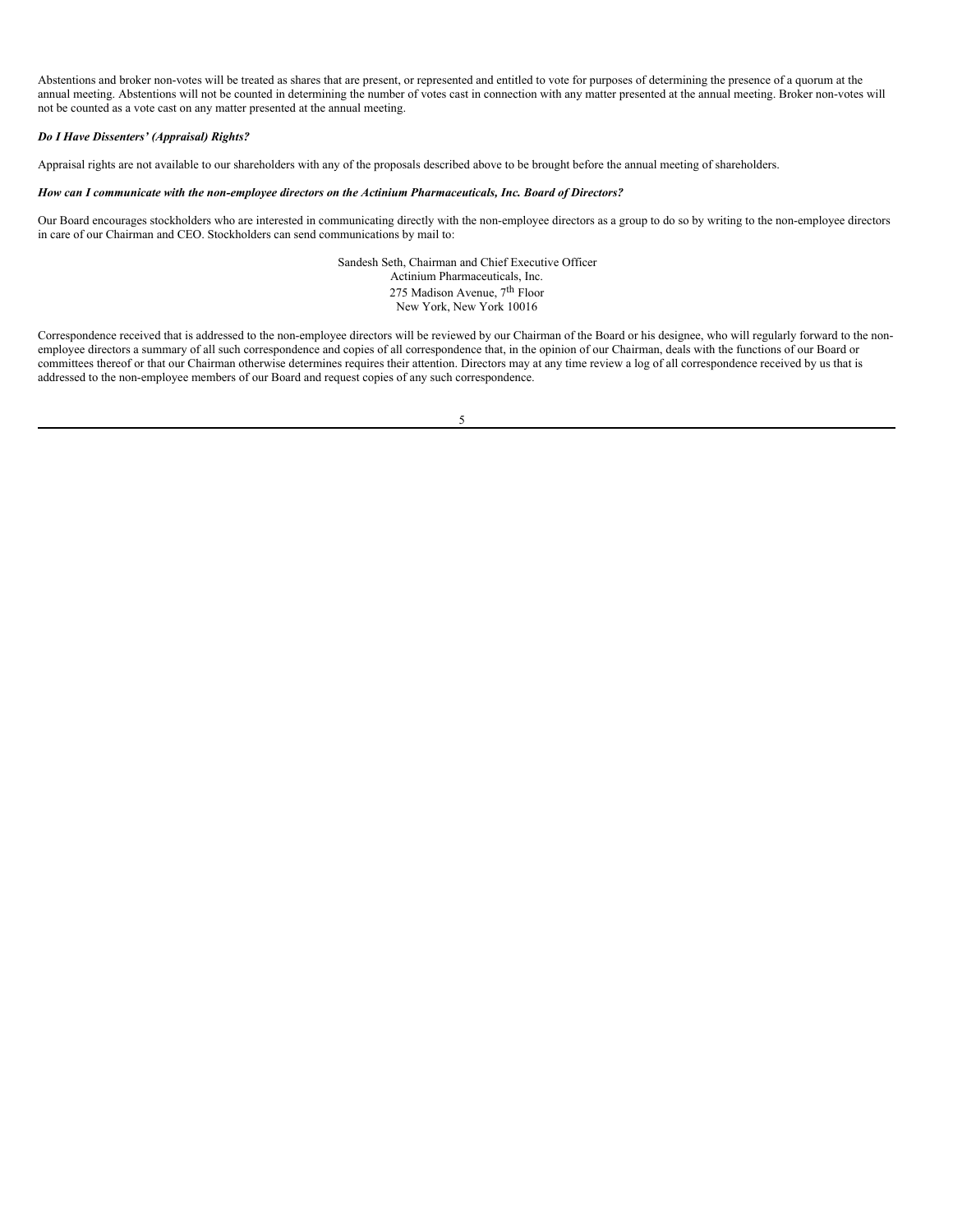Abstentions and broker non-votes will be treated as shares that are present, or represented and entitled to vote for purposes of determining the presence of a quorum at the annual meeting. Abstentions will not be counted in determining the number of votes cast in connection with any matter presented at the annual meeting. Broker non-votes will not be counted as a vote cast on any matter presented at the annual meeting.

### *Do I Have Dissenters' (Appraisal) Rights?*

Appraisal rights are not available to our shareholders with any of the proposals described above to be brought before the annual meeting of shareholders.

### *How can I communicate with the non-employee directors on the Actinium Pharmaceuticals, Inc. Board of Directors?*

Our Board encourages stockholders who are interested in communicating directly with the non-employee directors as a group to do so by writing to the non-employee directors in care of our Chairman and CEO. Stockholders can send communications by mail to:

> Sandesh Seth, Chairman and Chief Executive Officer Actinium Pharmaceuticals, Inc. 275 Madison Avenue, 7<sup>th</sup> Floor New York, New York 10016

Correspondence received that is addressed to the non-employee directors will be reviewed by our Chairman of the Board or his designee, who will regularly forward to the nonemployee directors a summary of all such correspondence and copies of all correspondence that, in the opinion of our Chairman, deals with the functions of our Board or committees thereof or that our Chairman otherwise determines requires their attention. Directors may at any time review a log of all correspondence received by us that is addressed to the non-employee members of our Board and request copies of any such correspondence.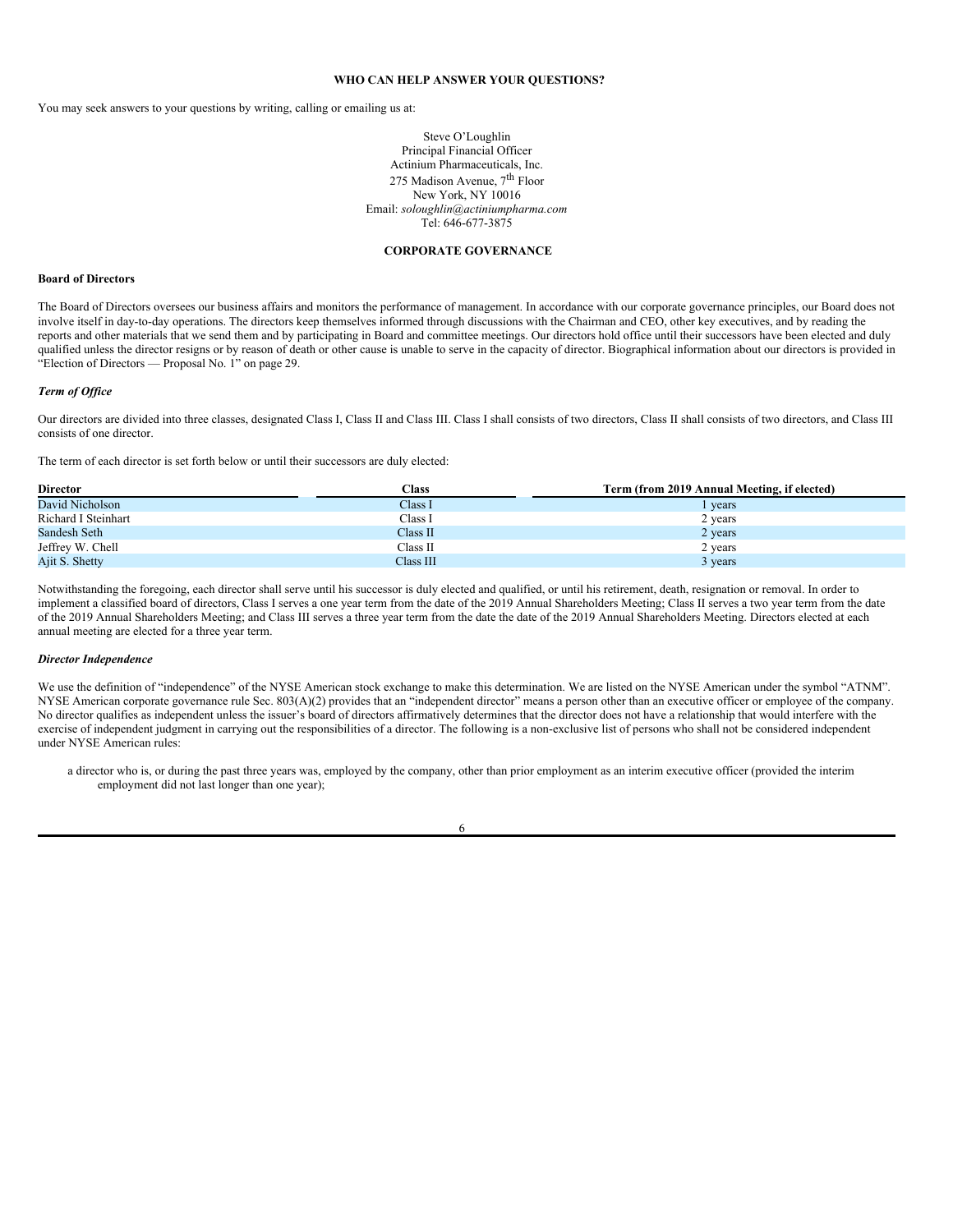#### <span id="page-8-0"></span>**WHO CAN HELP ANSWER YOUR QUESTIONS?**

You may seek answers to your questions by writing, calling or emailing us at:

## Steve O'Loughlin Principal Financial Officer Actinium Pharmaceuticals, Inc. 275 Madison Avenue, 7<sup>th</sup> Floor New York, NY 10016 Email: *soloughlin@actiniumpharma.com* Tel: 646-677-3875

### <span id="page-8-1"></span>**CORPORATE GOVERNANCE**

#### **Board of Directors**

The Board of Directors oversees our business affairs and monitors the performance of management. In accordance with our corporate governance principles, our Board does not involve itself in day-to-day operations. The directors keep themselves informed through discussions with the Chairman and CEO, other key executives, and by reading the reports and other materials that we send them and by participating in Board and committee meetings. Our directors hold office until their successors have been elected and duly qualified unless the director resigns or by reason of death or other cause is unable to serve in the capacity of director. Biographical information about our directors is provided in "Election of Directors — Proposal No. 1" on page 29.

#### *Term of Of ice*

Our directors are divided into three classes, designated Class I, Class II and Class III. Class I shall consists of two directors, Class II shall consists of two directors, and Class III consists of one director.

The term of each director is set forth below or until their successors are duly elected:

| <b>Director</b>     | Class     | Term (from 2019 Annual Meeting, if elected) |
|---------------------|-----------|---------------------------------------------|
| David Nicholson     | Class I   | vears                                       |
| Richard I Steinhart | Class I   | 2 years                                     |
| Sandesh Seth        | Class II  | 2 years                                     |
| Jeffrey W. Chell    | Class II  | 2 years                                     |
| Ajit S. Shetty      | Class III | 3 years                                     |

Notwithstanding the foregoing, each director shall serve until his successor is duly elected and qualified, or until his retirement, death, resignation or removal. In order to implement a classified board of directors, Class I serves a one year term from the date of the 2019 Annual Shareholders Meeting; Class II serves a two year term from the date of the 2019 Annual Shareholders Meeting; and Class III serves a three year term from the date the date of the 2019 Annual Shareholders Meeting. Directors elected at each annual meeting are elected for a three year term.

#### *Director Independence*

We use the definition of "independence" of the NYSE American stock exchange to make this determination. We are listed on the NYSE American under the symbol "ATNM". NYSE American corporate governance rule Sec. 803(A)(2) provides that an "independent director" means a person other than an executive officer or employee of the company. No director qualifies as independent unless the issuer's board of directors affirmatively determines that the director does not have a relationship that would interfere with the exercise of independent judgment in carrying out the responsibilities of a director. The following is a non-exclusive list of persons who shall not be considered independent under NYSE American rules:

a director who is, or during the past three years was, employed by the company, other than prior employment as an interim executive officer (provided the interim employment did not last longer than one year);

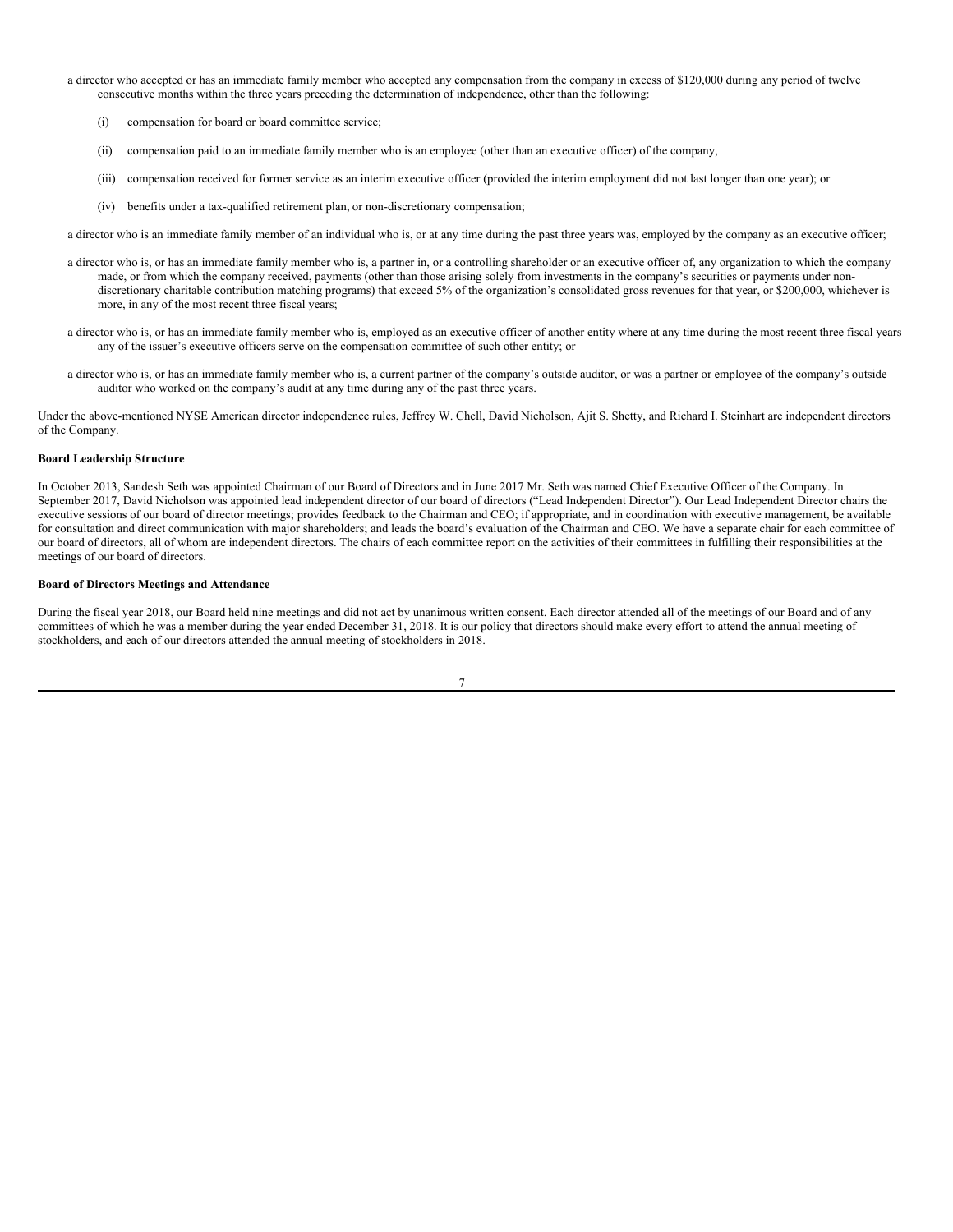- a director who accepted or has an immediate family member who accepted any compensation from the company in excess of \$120,000 during any period of twelve consecutive months within the three years preceding the determination of independence, other than the following:
	- (i) compensation for board or board committee service;
	- (ii) compensation paid to an immediate family member who is an employee (other than an executive officer) of the company,
	- (iii) compensation received for former service as an interim executive officer (provided the interim employment did not last longer than one year); or
	- (iv) benefits under a tax-qualified retirement plan, or non-discretionary compensation;
- a director who is an immediate family member of an individual who is, or at any time during the past three years was, employed by the company as an executive officer;
- a director who is, or has an immediate family member who is, a partner in, or a controlling shareholder or an executive officer of, any organization to which the company made, or from which the company received, payments (other than those arising solely from investments in the company's securities or payments under nondiscretionary charitable contribution matching programs) that exceed 5% of the organization's consolidated gross revenues for that year, or \$200,000, whichever is more, in any of the most recent three fiscal years;
- a director who is, or has an immediate family member who is, employed as an executive officer of another entity where at any time during the most recent three fiscal years any of the issuer's executive officers serve on the compensation committee of such other entity; or
- a director who is, or has an immediate family member who is, a current partner of the company's outside auditor, or was a partner or employee of the company's outside auditor who worked on the company's audit at any time during any of the past three years.

Under the above-mentioned NYSE American director independence rules, Jeffrey W. Chell, David Nicholson, Ajit S. Shetty, and Richard I. Steinhart are independent directors of the Company.

#### **Board Leadership Structure**

In October 2013, Sandesh Seth was appointed Chairman of our Board of Directors and in June 2017 Mr. Seth was named Chief Executive Officer of the Company. In September 2017, David Nicholson was appointed lead independent director of our board of directors ("Lead Independent Director"). Our Lead Independent Director chairs the executive sessions of our board of director meetings; provides feedback to the Chairman and CEO; if appropriate, and in coordination with executive management, be available for consultation and direct communication with major shareholders; and leads the board's evaluation of the Chairman and CEO. We have a separate chair for each committee of our board of directors, all of whom are independent directors. The chairs of each committee report on the activities of their committees in fulfilling their responsibilities at the meetings of our board of directors.

## **Board of Directors Meetings and Attendance**

During the fiscal year 2018, our Board held nine meetings and did not act by unanimous written consent. Each director attended all of the meetings of our Board and of any committees of which he was a member during the year ended December 31, 2018. It is our policy that directors should make every effort to attend the annual meeting of stockholders, and each of our directors attended the annual meeting of stockholders in 2018.

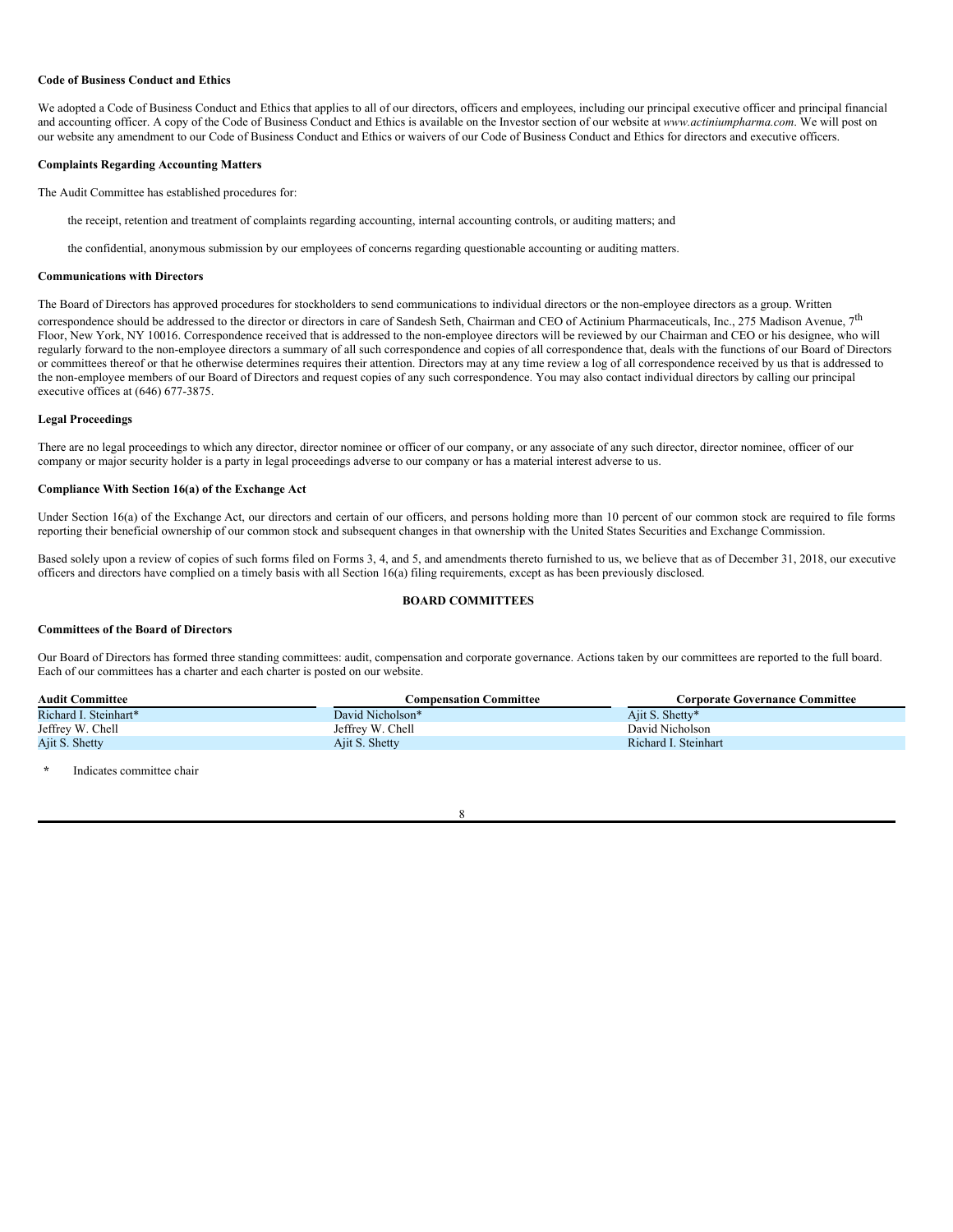#### **Code of Business Conduct and Ethics**

We adopted a Code of Business Conduct and Ethics that applies to all of our directors, officers and employees, including our principal executive officer and principal financial and accounting officer. A copy of the Code of Business Conduct and Ethics is available on the Investor section of our website at *www.actiniumpharma.com*. We will post on our website any amendment to our Code of Business Conduct and Ethics or waivers of our Code of Business Conduct and Ethics for directors and executive officers.

### **Complaints Regarding Accounting Matters**

The Audit Committee has established procedures for:

the receipt, retention and treatment of complaints regarding accounting, internal accounting controls, or auditing matters; and

the confidential, anonymous submission by our employees of concerns regarding questionable accounting or auditing matters.

### **Communications with Directors**

The Board of Directors has approved procedures for stockholders to send communications to individual directors or the non-employee directors as a group. Written correspondence should be addressed to the director or directors in care of Sandesh Seth, Chairman and CEO of Actinium Pharmaceuticals, Inc., 275 Madison Avenue, 7<sup>th</sup> Floor, New York, NY 10016. Correspondence received that is addressed to the non-employee directors will be reviewed by our Chairman and CEO or his designee, who will regularly forward to the non-employee directors a summary of all such correspondence and copies of all correspondence that, deals with the functions of our Board of Directors or committees thereof or that he otherwise determines requires their attention. Directors may at any time review a log of all correspondence received by us that is addressed to the non-employee members of our Board of Directors and request copies of any such correspondence. You may also contact individual directors by calling our principal executive offices at (646) 677-3875.

## **Legal Proceedings**

There are no legal proceedings to which any director, director nominee or officer of our company, or any associate of any such director, director nominee, officer of our company or major security holder is a party in legal proceedings adverse to our company or has a material interest adverse to us.

#### **Compliance With Section 16(a) of the Exchange Act**

Under Section 16(a) of the Exchange Act, our directors and certain of our officers, and persons holding more than 10 percent of our common stock are required to file forms reporting their beneficial ownership of our common stock and subsequent changes in that ownership with the United States Securities and Exchange Commission.

Based solely upon a review of copies of such forms filed on Forms 3, 4, and 5, and amendments thereto furnished to us, we believe that as of December 31, 2018, our executive officers and directors have complied on a timely basis with all Section 16(a) filing requirements, except as has been previously disclosed.

## <span id="page-10-0"></span>**BOARD COMMITTEES**

### **Committees of the Board of Directors**

Our Board of Directors has formed three standing committees: audit, compensation and corporate governance. Actions taken by our committees are reported to the full board. Each of our committees has a charter and each charter is posted on our website.

| <b>Audit Committee</b> | <b>Compensation Committee</b> | <b>Corporate Governance Committee</b> |  |  |  |  |
|------------------------|-------------------------------|---------------------------------------|--|--|--|--|
| Richard I. Steinhart*  | David Nicholson*              | Ajit S. Shetty*                       |  |  |  |  |
| Jeffrey W. Chell       | Jeffrey W. Chell              | David Nicholson                       |  |  |  |  |
| Ajit S. Shetty         | Aiit S. Shetty                | Richard J. Steinhart                  |  |  |  |  |

8

#### **\*** Indicates committee chair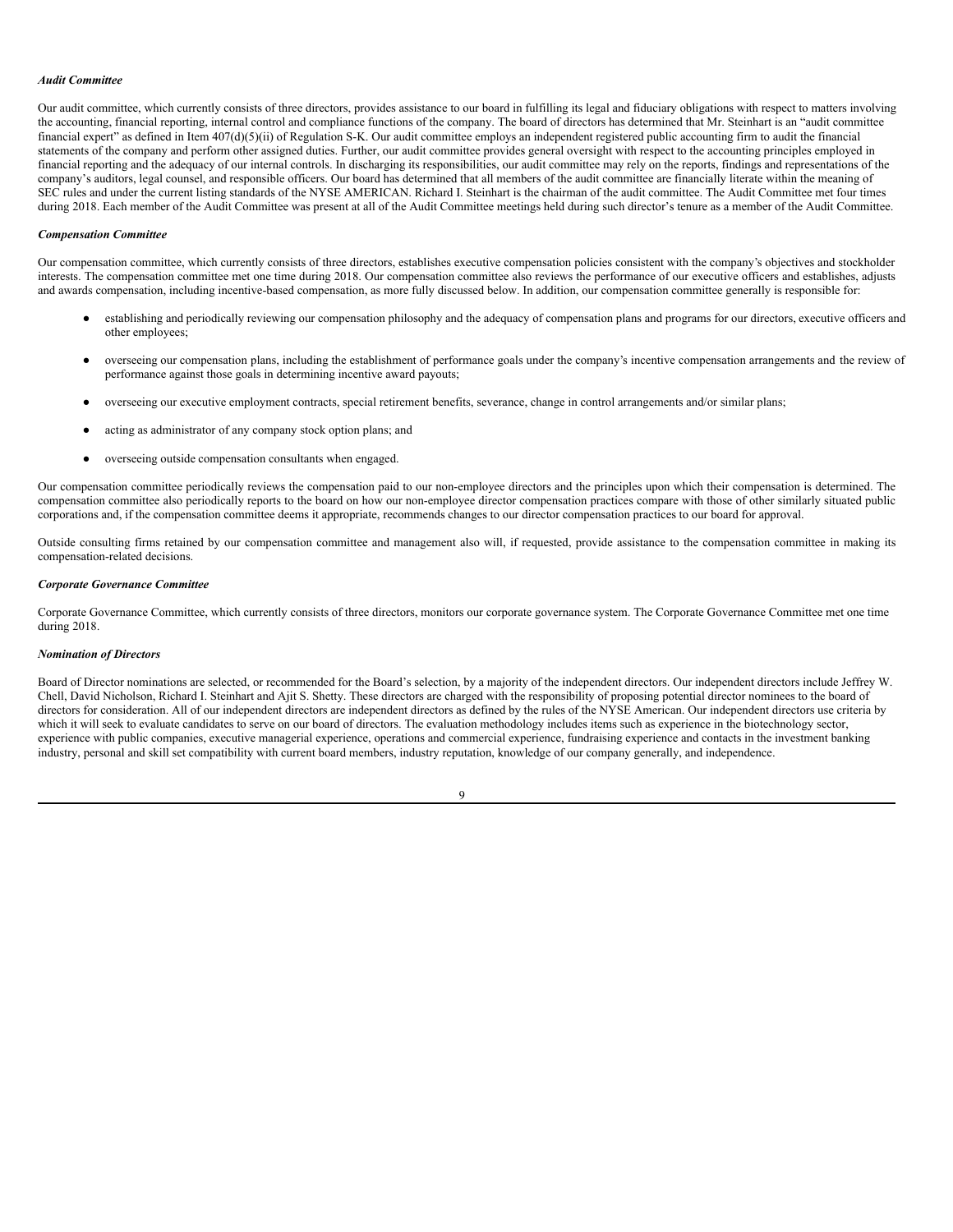#### *Audit Committee*

Our audit committee, which currently consists of three directors, provides assistance to our board in fulfilling its legal and fiduciary obligations with respect to matters involving the accounting, financial reporting, internal control and compliance functions of the company. The board of directors has determined that Mr. Steinhart is an "audit committee financial expert" as defined in Item 407(d)(5)(ii) of Regulation S-K. Our audit committee employs an independent registered public accounting firm to audit the financial statements of the company and perform other assigned duties. Further, our audit committee provides general oversight with respect to the accounting principles employed in financial reporting and the adequacy of our internal controls. In discharging its responsibilities, our audit committee may rely on the reports, findings and representations of the company's auditors, legal counsel, and responsible officers. Our board has determined that all members of the audit committee are financially literate within the meaning of SEC rules and under the current listing standards of the NYSE AMERICAN. Richard I. Steinhart is the chairman of the audit committee. The Audit Committee met four times during 2018. Each member of the Audit Committee was present at all of the Audit Committee meetings held during such director's tenure as a member of the Audit Committee.

#### *Compensation Committee*

Our compensation committee, which currently consists of three directors, establishes executive compensation policies consistent with the company's objectives and stockholder interests. The compensation committee met one time during 2018. Our compensation committee also reviews the performance of our executive officers and establishes, adjusts and awards compensation, including incentive-based compensation, as more fully discussed below. In addition, our compensation committee generally is responsible for:

- establishing and periodically reviewing our compensation philosophy and the adequacy of compensation plans and programs for our directors, executive officers and other employees;
- overseeing our compensation plans, including the establishment of performance goals under the company's incentive compensation arrangements and the review of performance against those goals in determining incentive award payouts;
- overseeing our executive employment contracts, special retirement benefits, severance, change in control arrangements and/or similar plans;
- acting as administrator of any company stock option plans; and
- overseeing outside compensation consultants when engaged.

Our compensation committee periodically reviews the compensation paid to our non-employee directors and the principles upon which their compensation is determined. The compensation committee also periodically reports to the board on how our non-employee director compensation practices compare with those of other similarly situated public corporations and, if the compensation committee deems it appropriate, recommends changes to our director compensation practices to our board for approval.

Outside consulting firms retained by our compensation committee and management also will, if requested, provide assistance to the compensation committee in making its compensation-related decisions.

### *Corporate Governance Committee*

Corporate Governance Committee, which currently consists of three directors, monitors our corporate governance system. The Corporate Governance Committee met one time during 2018.

#### *Nomination of Directors*

Board of Director nominations are selected, or recommended for the Board's selection, by a majority of the independent directors. Our independent directors include Jeffrey W. Chell, David Nicholson, Richard I. Steinhart and Ajit S. Shetty. These directors are charged with the responsibility of proposing potential director nominees to the board of directors for consideration. All of our independent directors are independent directors as defined by the rules of the NYSE American. Our independent directors use criteria by which it will seek to evaluate candidates to serve on our board of directors. The evaluation methodology includes items such as experience in the biotechnology sector, experience with public companies, executive managerial experience, operations and commercial experience, fundraising experience and contacts in the investment banking industry, personal and skill set compatibility with current board members, industry reputation, knowledge of our company generally, and independence.

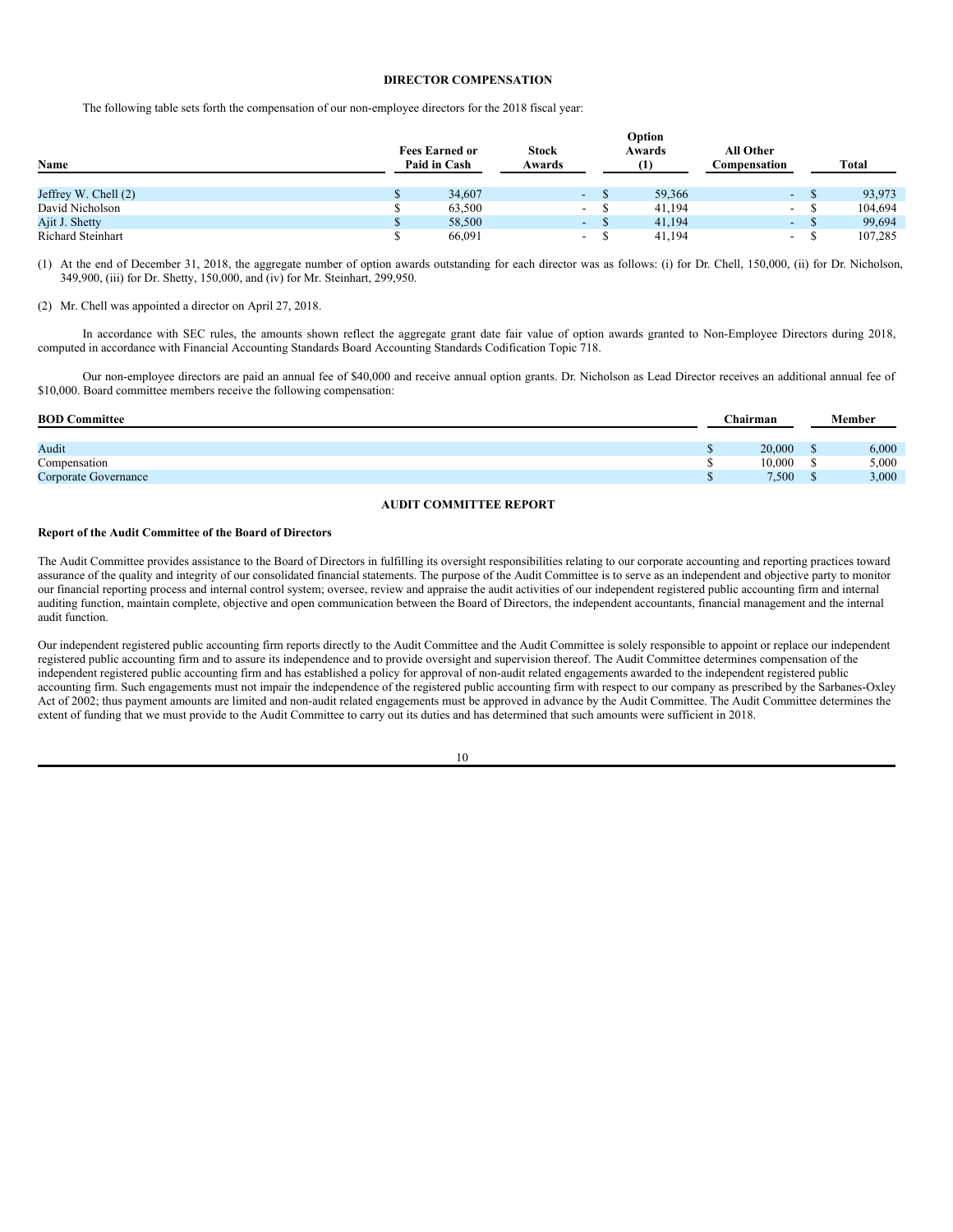### <span id="page-12-0"></span>**DIRECTOR COMPENSATION**

The following table sets forth the compensation of our non-employee directors for the 2018 fiscal year:

| Name                     | <b>Fees Earned or</b><br>Paid in Cash |        | Stock<br>Awards |        | Option<br>Awards<br>(1) |        | <b>All Other</b><br>Compensation | Total   |
|--------------------------|---------------------------------------|--------|-----------------|--------|-------------------------|--------|----------------------------------|---------|
| Jeffrey W. Chell (2)     |                                       | 34,607 |                 | $\sim$ |                         | 59,366 | $\sim$                           | 93,973  |
| David Nicholson          |                                       | 63.500 |                 | $\sim$ |                         | 41.194 | $\sim$                           | 104.694 |
| Ajit J. Shetty           |                                       | 58,500 |                 | $\sim$ |                         | 41.194 | $\sim$                           | 99,694  |
| <b>Richard Steinhart</b> |                                       | 66,091 |                 | $\sim$ |                         | 41,194 | $\sim$                           | 107,285 |

(1) At the end of December 31, 2018, the aggregate number of option awards outstanding for each director was as follows: (i) for Dr. Chell, 150,000, (ii) for Dr. Nicholson, 349,900, (iii) for Dr. Shetty, 150,000, and (iv) for Mr. Steinhart, 299,950.

(2) Mr. Chell was appointed a director on April 27, 2018.

In accordance with SEC rules, the amounts shown reflect the aggregate grant date fair value of option awards granted to Non-Employee Directors during 2018, computed in accordance with Financial Accounting Standards Board Accounting Standards Codification Topic 718.

Our non-employee directors are paid an annual fee of \$40,000 and receive annual option grants. Dr. Nicholson as Lead Director receives an additional annual fee of \$10,000. Board committee members receive the following compensation:

| <b>BOD Committee</b> | Chairman | <b>Member</b> |
|----------------------|----------|---------------|
|                      |          |               |
| Audit                | 20,000   | 6,000         |
| Compensation         | 10,000   | 5,000         |
| Corporate Governance | 7,500    | 3,000         |

## <span id="page-12-1"></span>**AUDIT COMMITTEE REPORT**

#### **Report of the Audit Committee of the Board of Directors**

The Audit Committee provides assistance to the Board of Directors in fulfilling its oversight responsibilities relating to our corporate accounting and reporting practices toward assurance of the quality and integrity of our consolidated financial statements. The purpose of the Audit Committee is to serve as an independent and objective party to monitor our financial reporting process and internal control system; oversee, review and appraise the audit activities of our independent registered public accounting firm and internal auditing function, maintain complete, objective and open communication between the Board of Directors, the independent accountants, financial management and the internal audit function.

Our independent registered public accounting firm reports directly to the Audit Committee and the Audit Committee is solely responsible to appoint or replace our independent registered public accounting firm and to assure its independence and to provide oversight and supervision thereof. The Audit Committee determines compensation of the independent registered public accounting firm and has established a policy for approval of non-audit related engagements awarded to the independent registered public accounting firm. Such engagements must not impair the independence of the registered public accounting firm with respect to our company as prescribed by the Sarbanes-Oxley Act of 2002; thus payment amounts are limited and non-audit related engagements must be approved in advance by the Audit Committee. The Audit Committee determines the extent of funding that we must provide to the Audit Committee to carry out its duties and has determined that such amounts were sufficient in 2018.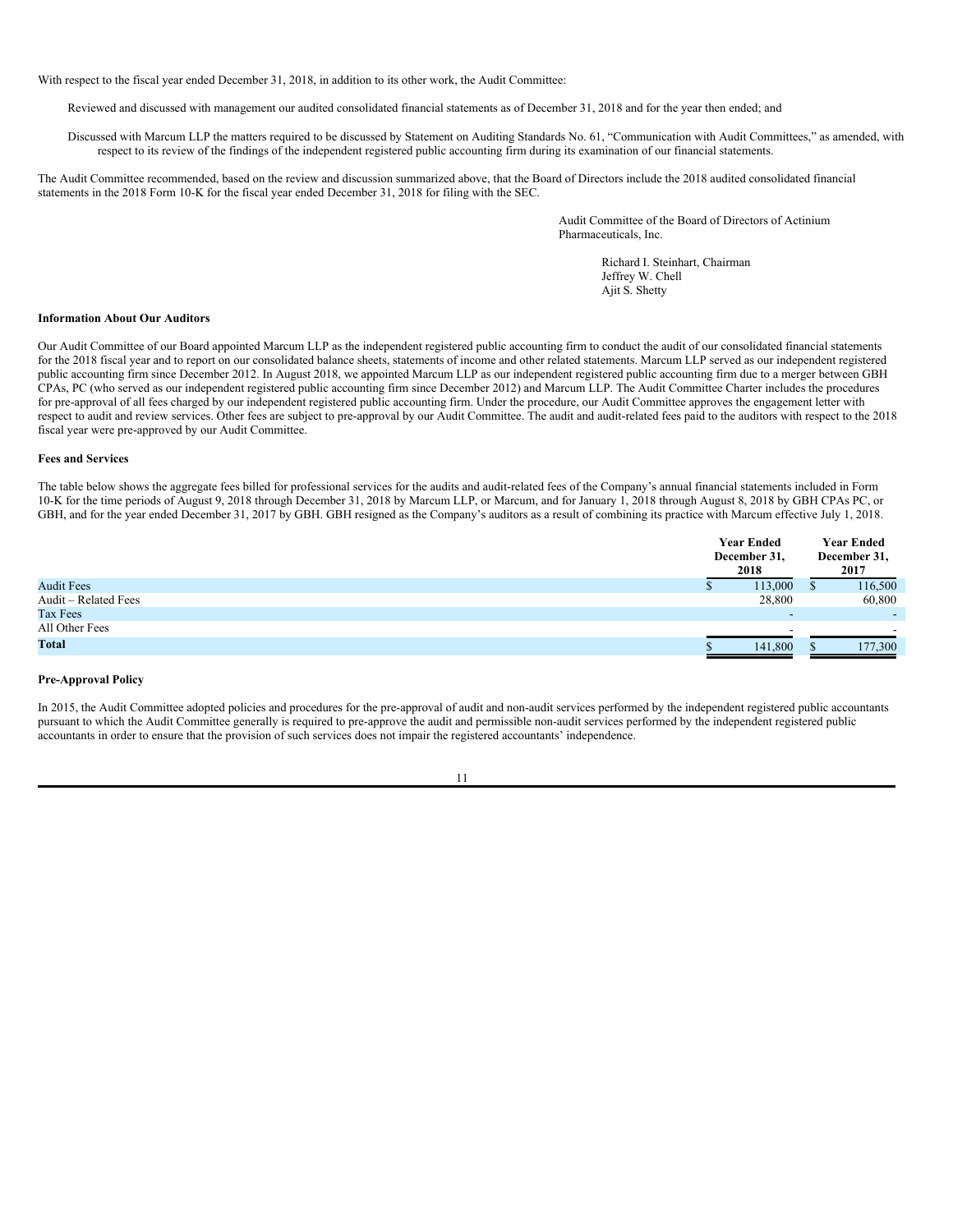With respect to the fiscal year ended December 31, 2018, in addition to its other work, the Audit Committee:

Reviewed and discussed with management our audited consolidated financial statements as of December 31, 2018 and for the year then ended; and

Discussed with Marcum LLP the matters required to be discussed by Statement on Auditing Standards No. 61, "Communication with Audit Committees," as amended, with respect to its review of the findings of the independent registered public accounting firm during its examination of our financial statements.

The Audit Committee recommended, based on the review and discussion summarized above, that the Board of Directors include the 2018 audited consolidated financial statements in the 2018 Form 10-K for the fiscal year ended December 31, 2018 for filing with the SEC.

> Audit Committee of the Board of Directors of Actinium Pharmaceuticals, Inc.

> > Richard I. Steinhart, Chairman Jeffrey W. Chell Ajit S. Shetty

## **Information About Our Auditors**

Our Audit Committee of our Board appointed Marcum LLP as the independent registered public accounting firm to conduct the audit of our consolidated financial statements for the 2018 fiscal year and to report on our consolidated balance sheets, statements of income and other related statements. Marcum LLP served as our independent registered public accounting firm since December 2012. In August 2018, we appointed Marcum LLP as our independent registered public accounting firm due to a merger between GBH CPAs, PC (who served as our independent registered public accounting firm since December 2012) and Marcum LLP. The Audit Committee Charter includes the procedures for pre-approval of all fees charged by our independent registered public accounting firm. Under the procedure, our Audit Committee approves the engagement letter with respect to audit and review services. Other fees are subject to pre-approval by our Audit Committee. The audit and audit-related fees paid to the auditors with respect to the 2018 fiscal year were pre-approved by our Audit Committee.

#### **Fees and Services**

The table below shows the aggregate fees billed for professional services for the audits and audit-related fees of the Company's annual financial statements included in Form 10-K for the time periods of August 9, 2018 through December 31, 2018 by Marcum LLP, or Marcum, and for January 1, 2018 through August 8, 2018 by GBH CPAs PC, or GBH, and for the year ended December 31, 2017 by GBH. GBH resigned as the Company's auditors as a result of combining its practice with Marcum effective July 1, 2018.

|                      | <b>Year Ended</b><br>December 31,<br>2018 | <b>Year Ended</b><br>December 31,<br>2017 |
|----------------------|-------------------------------------------|-------------------------------------------|
| <b>Audit Fees</b>    | 113,000                                   | 116,500                                   |
| Audit – Related Fees | 28,800                                    | 60,800                                    |
| Tax Fees             | . .                                       | $\sim$                                    |
| All Other Fees       |                                           |                                           |
| <b>Total</b>         | 141,800                                   | 177,300                                   |

#### **Pre-Approval Policy**

In 2015, the Audit Committee adopted policies and procedures for the pre-approval of audit and non-audit services performed by the independent registered public accountants pursuant to which the Audit Committee generally is required to pre-approve the audit and permissible non-audit services performed by the independent registered public accountants in order to ensure that the provision of such services does not impair the registered accountants' independence.

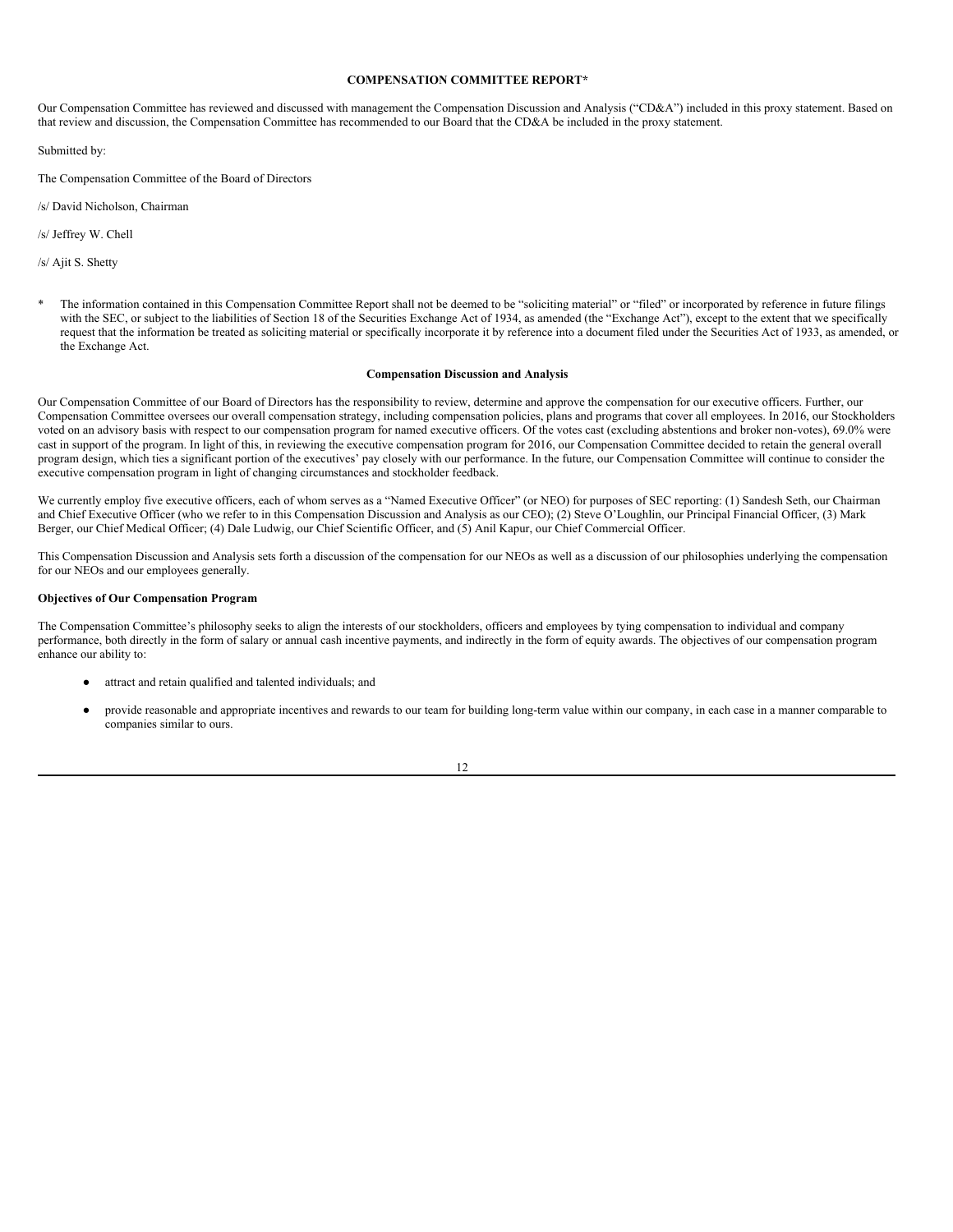## <span id="page-14-0"></span>**COMPENSATION COMMITTEE REPORT\***

Our Compensation Committee has reviewed and discussed with management the Compensation Discussion and Analysis ("CD&A") included in this proxy statement. Based on that review and discussion, the Compensation Committee has recommended to our Board that the CD&A be included in the proxy statement.

Submitted by:

The Compensation Committee of the Board of Directors

/s/ David Nicholson, Chairman

/s/ Jeffrey W. Chell

/s/ Ajit S. Shetty

The information contained in this Compensation Committee Report shall not be deemed to be "soliciting material" or "filed" or incorporated by reference in future filings with the SEC, or subject to the liabilities of Section 18 of the Securities Exchange Act of 1934, as amended (the "Exchange Act"), except to the extent that we specifically request that the information be treated as soliciting material or specifically incorporate it by reference into a document filed under the Securities Act of 1933, as amended, or the Exchange Act.

### **Compensation Discussion and Analysis**

Our Compensation Committee of our Board of Directors has the responsibility to review, determine and approve the compensation for our executive officers. Further, our Compensation Committee oversees our overall compensation strategy, including compensation policies, plans and programs that cover all employees. In 2016, our Stockholders voted on an advisory basis with respect to our compensation program for named executive officers. Of the votes cast (excluding abstentions and broker non-votes), 69.0% were cast in support of the program. In light of this, in reviewing the executive compensation program for 2016, our Compensation Committee decided to retain the general overall program design, which ties a significant portion of the executives' pay closely with our performance. In the future, our Compensation Committee will continue to consider the executive compensation program in light of changing circumstances and stockholder feedback.

We currently employ five executive officers, each of whom serves as a "Named Executive Officer" (or NEO) for purposes of SEC reporting: (1) Sandesh Seth, our Chairman and Chief Executive Officer (who we refer to in this Compensation Discussion and Analysis as our CEO); (2) Steve O'Loughlin, our Principal Financial Officer, (3) Mark Berger, our Chief Medical Officer; (4) Dale Ludwig, our Chief Scientific Officer, and (5) Anil Kapur, our Chief Commercial Officer.

This Compensation Discussion and Analysis sets forth a discussion of the compensation for our NEOs as well as a discussion of our philosophies underlying the compensation for our NEOs and our employees generally.

### **Objectives of Our Compensation Program**

The Compensation Committee's philosophy seeks to align the interests of our stockholders, officers and employees by tying compensation to individual and company performance, both directly in the form of salary or annual cash incentive payments, and indirectly in the form of equity awards. The objectives of our compensation program enhance our ability to:

- attract and retain qualified and talented individuals; and
- provide reasonable and appropriate incentives and rewards to our team for building long-term value within our company, in each case in a manner comparable to companies similar to ours.

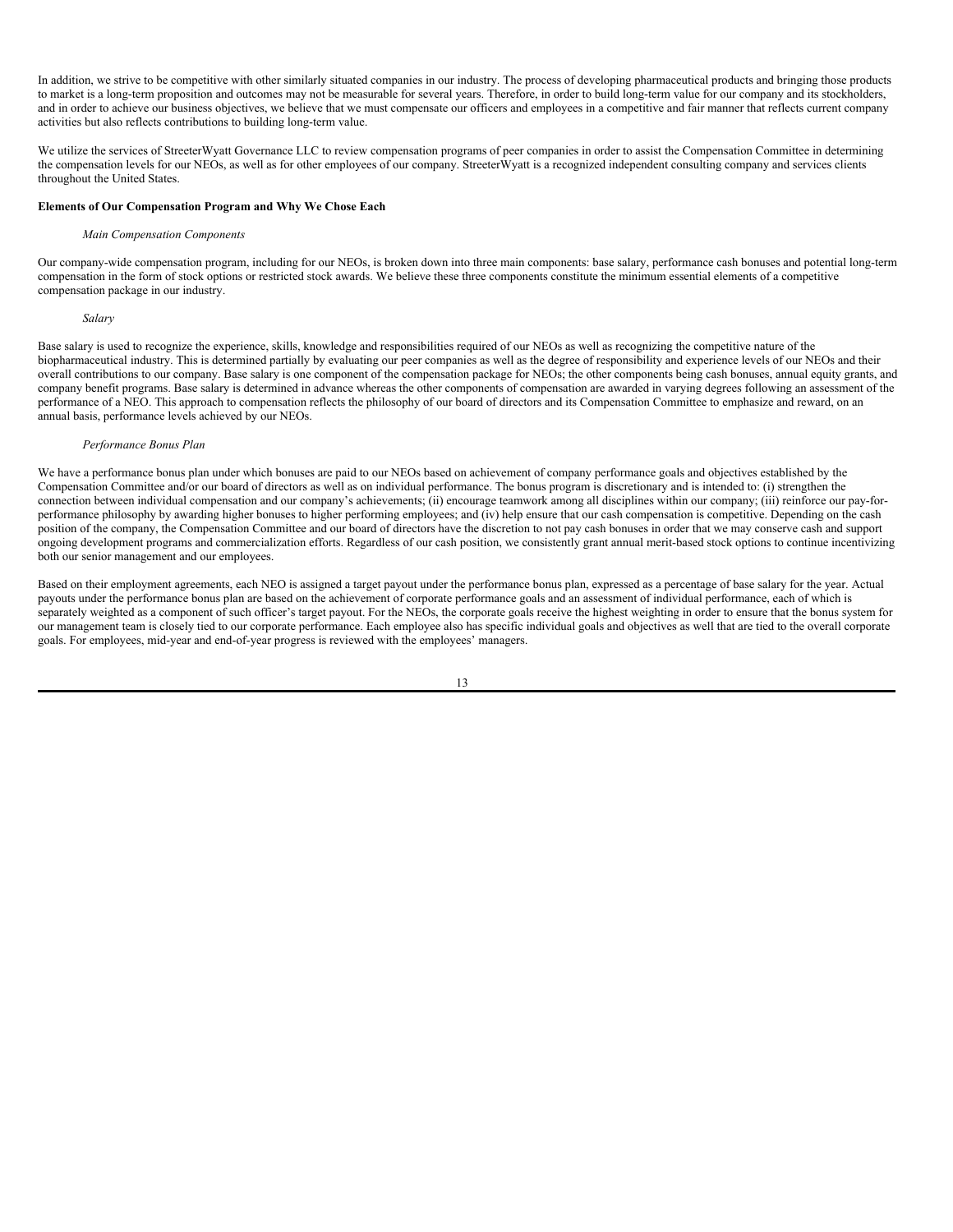In addition, we strive to be competitive with other similarly situated companies in our industry. The process of developing pharmaceutical products and bringing those products to market is a long-term proposition and outcomes may not be measurable for several years. Therefore, in order to build long-term value for our company and its stockholders, and in order to achieve our business objectives, we believe that we must compensate our officers and employees in a competitive and fair manner that reflects current company activities but also reflects contributions to building long-term value.

We utilize the services of StreeterWyatt Governance LLC to review compensation programs of peer companies in order to assist the Compensation Committee in determining the compensation levels for our NEOs, as well as for other employees of our company. StreeterWyatt is a recognized independent consulting company and services clients throughout the United States.

### **Elements of Our Compensation Program and Why We Chose Each**

#### *Main Compensation Components*

Our company-wide compensation program, including for our NEOs, is broken down into three main components: base salary, performance cash bonuses and potential long-term compensation in the form of stock options or restricted stock awards. We believe these three components constitute the minimum essential elements of a competitive compensation package in our industry.

#### *Salary*

Base salary is used to recognize the experience, skills, knowledge and responsibilities required of our NEOs as well as recognizing the competitive nature of the biopharmaceutical industry. This is determined partially by evaluating our peer companies as well as the degree of responsibility and experience levels of our NEOs and their overall contributions to our company. Base salary is one component of the compensation package for NEOs; the other components being cash bonuses, annual equity grants, and company benefit programs. Base salary is determined in advance whereas the other components of compensation are awarded in varying degrees following an assessment of the performance of a NEO. This approach to compensation reflects the philosophy of our board of directors and its Compensation Committee to emphasize and reward, on an annual basis, performance levels achieved by our NEOs.

### *Performance Bonus Plan*

We have a performance bonus plan under which bonuses are paid to our NEOs based on achievement of company performance goals and objectives established by the Compensation Committee and/or our board of directors as well as on individual performance. The bonus program is discretionary and is intended to: (i) strengthen the connection between individual compensation and our company's achievements; (ii) encourage teamwork among all disciplines within our company; (iii) reinforce our pay-forperformance philosophy by awarding higher bonuses to higher performing employees; and (iv) help ensure that our cash compensation is competitive. Depending on the cash position of the company, the Compensation Committee and our board of directors have the discretion to not pay cash bonuses in order that we may conserve cash and support ongoing development programs and commercialization efforts. Regardless of our cash position, we consistently grant annual merit-based stock options to continue incentivizing both our senior management and our employees.

Based on their employment agreements, each NEO is assigned a target payout under the performance bonus plan, expressed as a percentage of base salary for the year. Actual payouts under the performance bonus plan are based on the achievement of corporate performance goals and an assessment of individual performance, each of which is separately weighted as a component of such officer's target payout. For the NEOs, the corporate goals receive the highest weighting in order to ensure that the bonus system for our management team is closely tied to our corporate performance. Each employee also has specific individual goals and objectives as well that are tied to the overall corporate goals. For employees, mid-year and end-of-year progress is reviewed with the employees' managers.

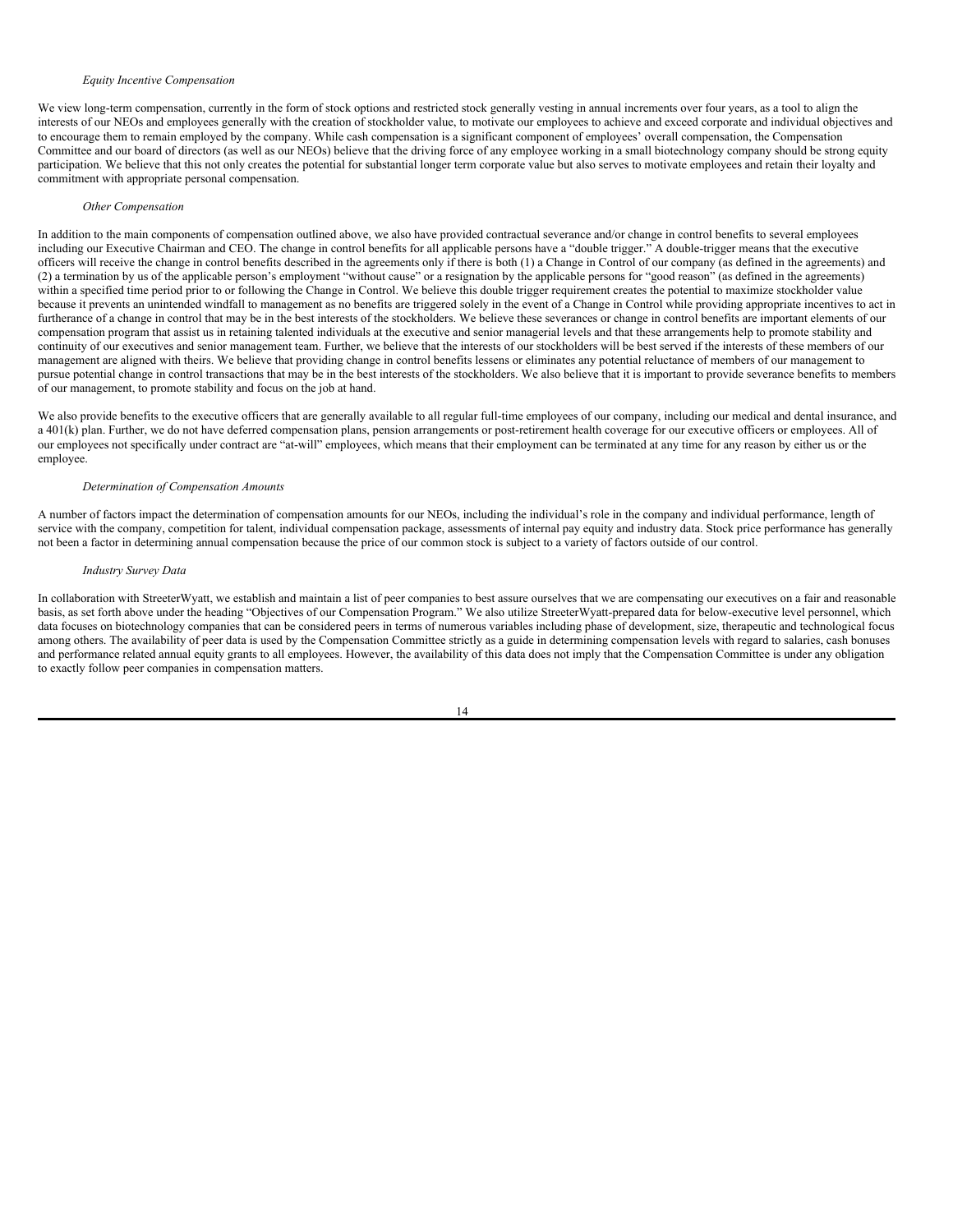#### *Equity Incentive Compensation*

We view long-term compensation, currently in the form of stock options and restricted stock generally vesting in annual increments over four years, as a tool to align the interests of our NEOs and employees generally with the creation of stockholder value, to motivate our employees to achieve and exceed corporate and individual objectives and to encourage them to remain employed by the company. While cash compensation is a significant component of employees' overall compensation, the Compensation Committee and our board of directors (as well as our NEOs) believe that the driving force of any employee working in a small biotechnology company should be strong equity participation. We believe that this not only creates the potential for substantial longer term corporate value but also serves to motivate employees and retain their loyalty and commitment with appropriate personal compensation.

### *Other Compensation*

In addition to the main components of compensation outlined above, we also have provided contractual severance and/or change in control benefits to several employees including our Executive Chairman and CEO. The change in control benefits for all applicable persons have a "double trigger." A double-trigger means that the executive officers will receive the change in control benefits described in the agreements only if there is both (1) a Change in Control of our company (as defined in the agreements) and (2) a termination by us of the applicable person's employment "without cause" or a resignation by the applicable persons for "good reason" (as defined in the agreements) within a specified time period prior to or following the Change in Control. We believe this double trigger requirement creates the potential to maximize stockholder value because it prevents an unintended windfall to management as no benefits are triggered solely in the event of a Change in Control while providing appropriate incentives to act in furtherance of a change in control that may be in the best interests of the stockholders. We believe these severances or change in control benefits are important elements of our compensation program that assist us in retaining talented individuals at the executive and senior managerial levels and that these arrangements help to promote stability and continuity of our executives and senior management team. Further, we believe that the interests of our stockholders will be best served if the interests of these members of our management are aligned with theirs. We believe that providing change in control benefits lessens or eliminates any potential reluctance of members of our management to pursue potential change in control transactions that may be in the best interests of the stockholders. We also believe that it is important to provide severance benefits to members of our management, to promote stability and focus on the job at hand.

We also provide benefits to the executive officers that are generally available to all regular full-time employees of our company, including our medical and dental insurance, and a 401(k) plan. Further, we do not have deferred compensation plans, pension arrangements or post-retirement health coverage for our executive officers or employees. All of our employees not specifically under contract are "at-will" employees, which means that their employment can be terminated at any time for any reason by either us or the employee.

#### *Determination of Compensation Amounts*

A number of factors impact the determination of compensation amounts for our NEOs, including the individual's role in the company and individual performance, length of service with the company, competition for talent, individual compensation package, assessments of internal pay equity and industry data. Stock price performance has generally not been a factor in determining annual compensation because the price of our common stock is subject to a variety of factors outside of our control.

### *Industry Survey Data*

In collaboration with StreeterWyatt, we establish and maintain a list of peer companies to best assure ourselves that we are compensating our executives on a fair and reasonable basis, as set forth above under the heading "Objectives of our Compensation Program." We also utilize StreeterWyatt-prepared data for below-executive level personnel, which data focuses on biotechnology companies that can be considered peers in terms of numerous variables including phase of development, size, therapeutic and technological focus among others. The availability of peer data is used by the Compensation Committee strictly as a guide in determining compensation levels with regard to salaries, cash bonuses and performance related annual equity grants to all employees. However, the availability of this data does not imply that the Compensation Committee is under any obligation to exactly follow peer companies in compensation matters.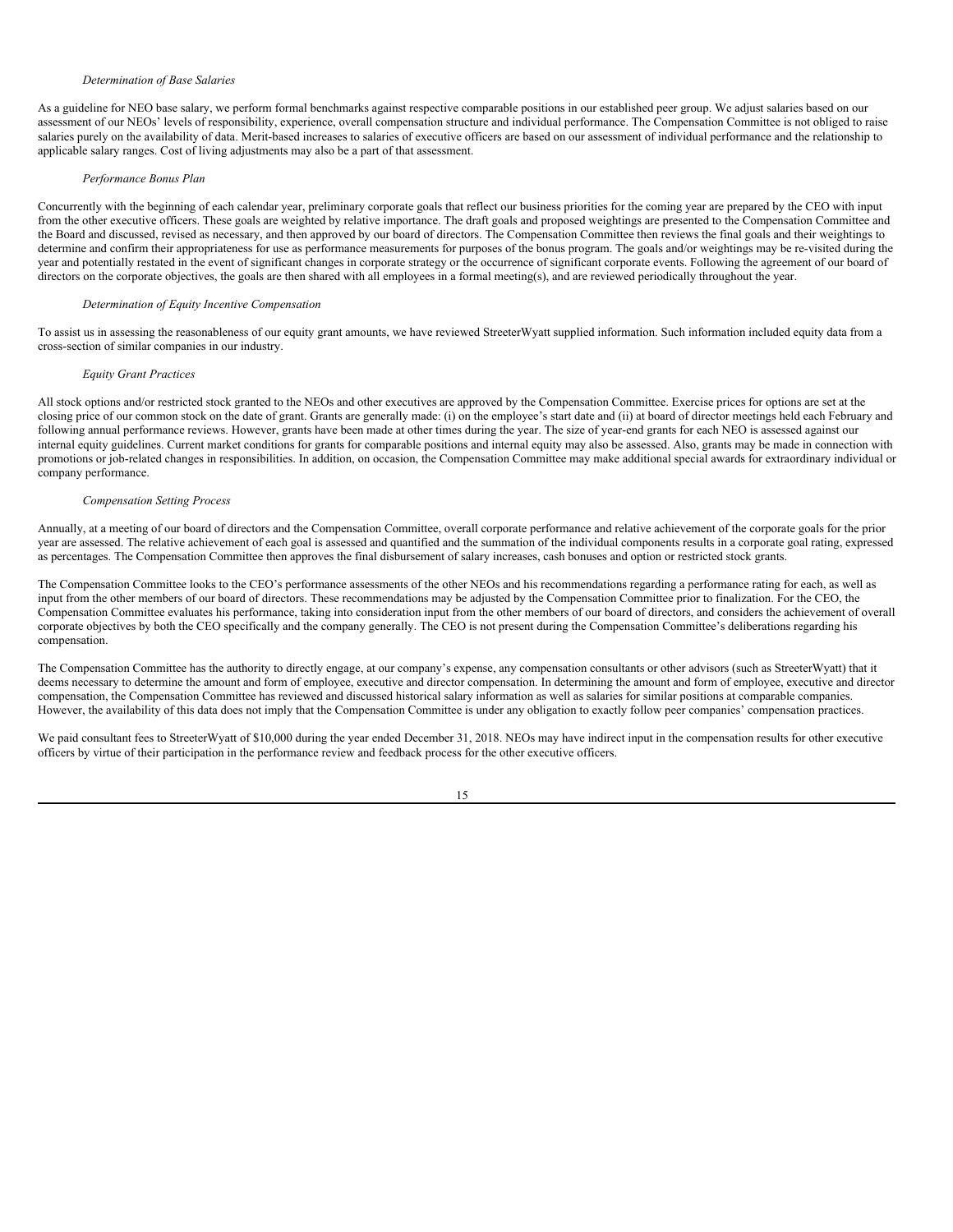#### *Determination of Base Salaries*

As a guideline for NEO base salary, we perform formal benchmarks against respective comparable positions in our established peer group. We adjust salaries based on our assessment of our NEOs' levels of responsibility, experience, overall compensation structure and individual performance. The Compensation Committee is not obliged to raise salaries purely on the availability of data. Merit-based increases to salaries of executive officers are based on our assessment of individual performance and the relationship to applicable salary ranges. Cost of living adjustments may also be a part of that assessment.

#### *Performance Bonus Plan*

Concurrently with the beginning of each calendar year, preliminary corporate goals that reflect our business priorities for the coming year are prepared by the CEO with input from the other executive officers. These goals are weighted by relative importance. The draft goals and proposed weightings are presented to the Compensation Committee and the Board and discussed, revised as necessary, and then approved by our board of directors. The Compensation Committee then reviews the final goals and their weightings to determine and confirm their appropriateness for use as performance measurements for purposes of the bonus program. The goals and/or weightings may be re-visited during the year and potentially restated in the event of significant changes in corporate strategy or the occurrence of significant corporate events. Following the agreement of our board of directors on the corporate objectives, the goals are then shared with all employees in a formal meeting(s), and are reviewed periodically throughout the year.

#### *Determination of Equity Incentive Compensation*

To assist us in assessing the reasonableness of our equity grant amounts, we have reviewed StreeterWyatt supplied information. Such information included equity data from a cross-section of similar companies in our industry.

### *Equity Grant Practices*

All stock options and/or restricted stock granted to the NEOs and other executives are approved by the Compensation Committee. Exercise prices for options are set at the closing price of our common stock on the date of grant. Grants are generally made: (i) on the employee's start date and (ii) at board of director meetings held each February and following annual performance reviews. However, grants have been made at other times during the year. The size of year-end grants for each NEO is assessed against our internal equity guidelines. Current market conditions for grants for comparable positions and internal equity may also be assessed. Also, grants may be made in connection with promotions or job-related changes in responsibilities. In addition, on occasion, the Compensation Committee may make additional special awards for extraordinary individual or company performance.

#### *Compensation Setting Process*

Annually, at a meeting of our board of directors and the Compensation Committee, overall corporate performance and relative achievement of the corporate goals for the prior year are assessed. The relative achievement of each goal is assessed and quantified and the summation of the individual components results in a corporate goal rating, expressed as percentages. The Compensation Committee then approves the final disbursement of salary increases, cash bonuses and option or restricted stock grants.

The Compensation Committee looks to the CEO's performance assessments of the other NEOs and his recommendations regarding a performance rating for each, as well as input from the other members of our board of directors. These recommendations may be adjusted by the Compensation Committee prior to finalization. For the CEO, the Compensation Committee evaluates his performance, taking into consideration input from the other members of our board of directors, and considers the achievement of overall corporate objectives by both the CEO specifically and the company generally. The CEO is not present during the Compensation Committee's deliberations regarding his compensation.

The Compensation Committee has the authority to directly engage, at our company's expense, any compensation consultants or other advisors (such as StreeterWyatt) that it deems necessary to determine the amount and form of employee, executive and director compensation. In determining the amount and form of employee, executive and director compensation, the Compensation Committee has reviewed and discussed historical salary information as well as salaries for similar positions at comparable companies. However, the availability of this data does not imply that the Compensation Committee is under any obligation to exactly follow peer companies' compensation practices.

We paid consultant fees to StreeterWyatt of \$10,000 during the year ended December 31, 2018. NEOs may have indirect input in the compensation results for other executive officers by virtue of their participation in the performance review and feedback process for the other executive officers.

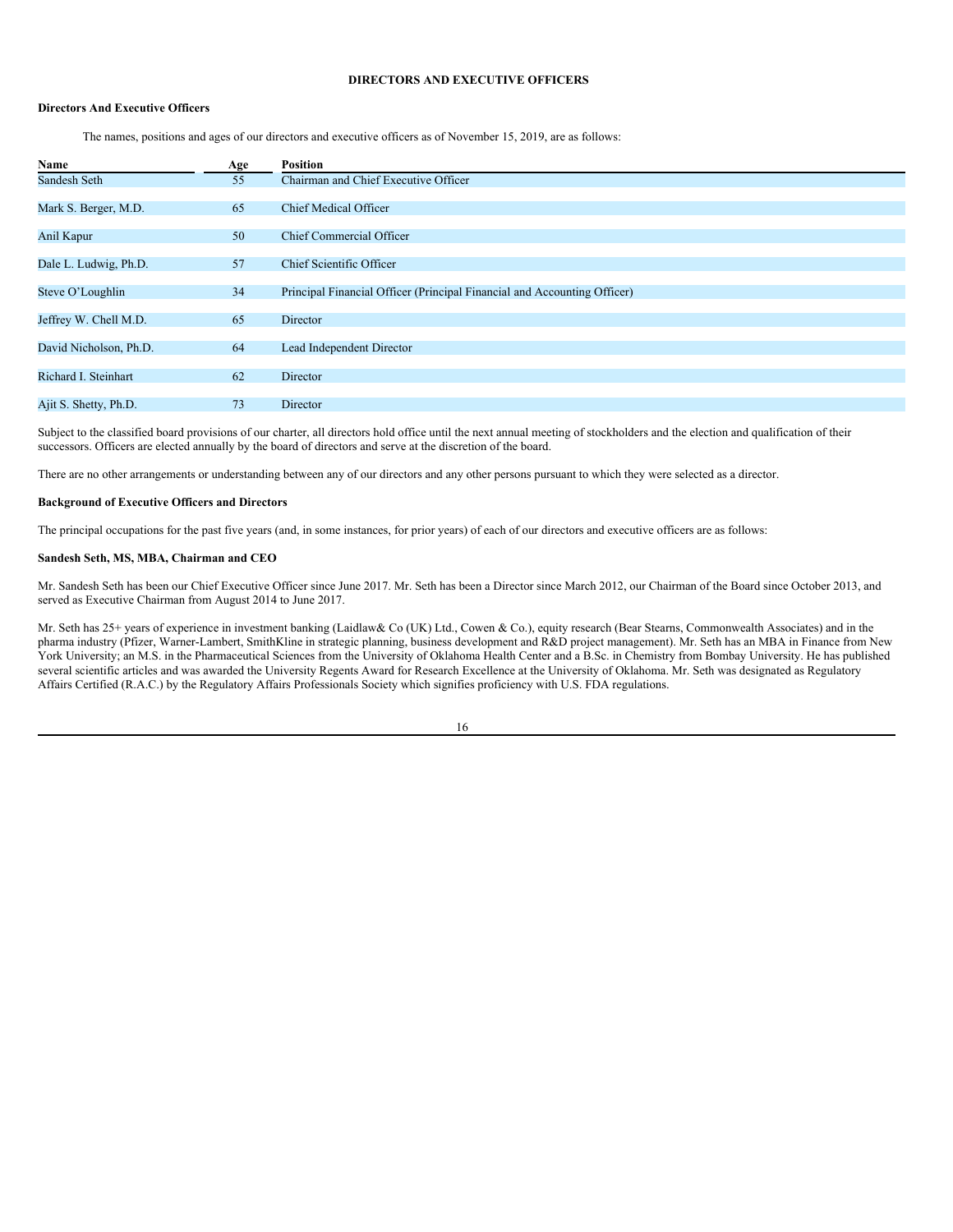# <span id="page-18-0"></span>**DIRECTORS AND EXECUTIVE OFFICERS**

### **Directors And Executive Officers**

The names, positions and ages of our directors and executive officers as of November 15, 2019, are as follows:

| Age | Position                                                                 |
|-----|--------------------------------------------------------------------------|
| 55  | Chairman and Chief Executive Officer                                     |
|     |                                                                          |
| 65  | <b>Chief Medical Officer</b>                                             |
|     |                                                                          |
| 50  | Chief Commercial Officer                                                 |
|     |                                                                          |
| 57  | Chief Scientific Officer                                                 |
|     |                                                                          |
| 34  | Principal Financial Officer (Principal Financial and Accounting Officer) |
|     |                                                                          |
| 65  | Director                                                                 |
|     |                                                                          |
| 64  | Lead Independent Director                                                |
|     |                                                                          |
| 62  | Director                                                                 |
|     |                                                                          |
| 73  | Director                                                                 |
|     |                                                                          |

Subject to the classified board provisions of our charter, all directors hold office until the next annual meeting of stockholders and the election and qualification of their successors. Officers are elected annually by the board of directors and serve at the discretion of the board.

There are no other arrangements or understanding between any of our directors and any other persons pursuant to which they were selected as a director.

### **Background of Executive Officers and Directors**

The principal occupations for the past five years (and, in some instances, for prior years) of each of our directors and executive officers are as follows:

### **Sandesh Seth, MS, MBA, Chairman and CEO**

Mr. Sandesh Seth has been our Chief Executive Officer since June 2017. Mr. Seth has been a Director since March 2012, our Chairman of the Board since October 2013, and served as Executive Chairman from August 2014 to June 2017.

Mr. Seth has 25+ years of experience in investment banking (Laidlaw& Co (UK) Ltd., Cowen & Co.), equity research (Bear Stearns, Commonwealth Associates) and in the pharma industry (Pfizer, Warner-Lambert, SmithKline in strategic planning, business development and R&D project management). Mr. Seth has an MBA in Finance from New York University; an M.S. in the Pharmaceutical Sciences from the University of Oklahoma Health Center and a B.Sc. in Chemistry from Bombay University. He has published several scientific articles and was awarded the University Regents Award for Research Excellence at the University of Oklahoma. Mr. Seth was designated as Regulatory Affairs Certified (R.A.C.) by the Regulatory Affairs Professionals Society which signifies proficiency with U.S. FDA regulations.

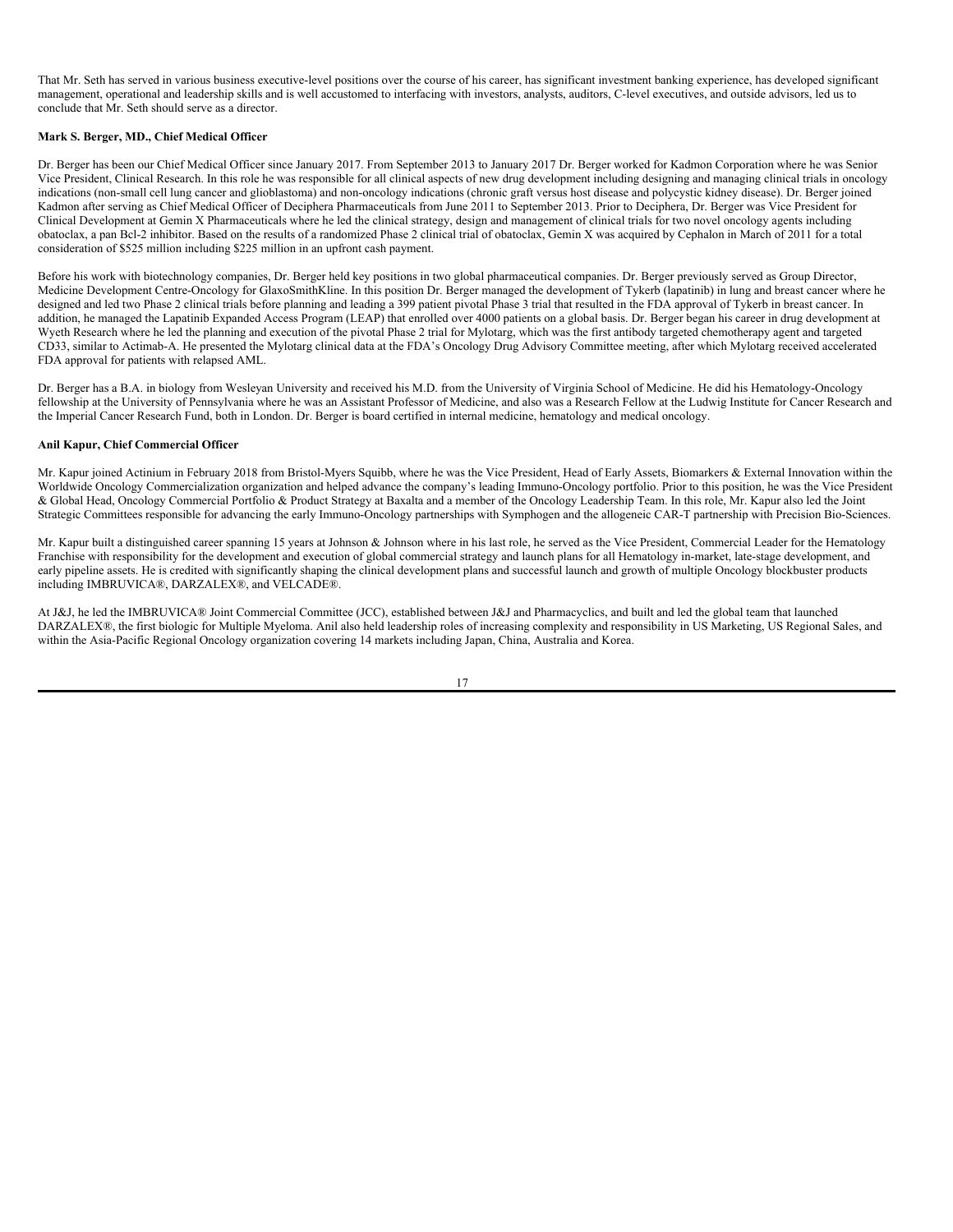That Mr. Seth has served in various business executive-level positions over the course of his career, has significant investment banking experience, has developed significant management, operational and leadership skills and is well accustomed to interfacing with investors, analysts, auditors, C-level executives, and outside advisors, led us to conclude that Mr. Seth should serve as a director.

## **Mark S. Berger, MD., Chief Medical Officer**

Dr. Berger has been our Chief Medical Officer since January 2017. From September 2013 to January 2017 Dr. Berger worked for Kadmon Corporation where he was Senior Vice President, Clinical Research. In this role he was responsible for all clinical aspects of new drug development including designing and managing clinical trials in oncology indications (non-small cell lung cancer and glioblastoma) and non-oncology indications (chronic graft versus host disease and polycystic kidney disease). Dr. Berger joined Kadmon after serving as Chief Medical Officer of Deciphera Pharmaceuticals from June 2011 to September 2013. Prior to Deciphera, Dr. Berger was Vice President for Clinical Development at Gemin X Pharmaceuticals where he led the clinical strategy, design and management of clinical trials for two novel oncology agents including obatoclax, a pan Bcl-2 inhibitor. Based on the results of a randomized Phase 2 clinical trial of obatoclax, Gemin X was acquired by Cephalon in March of 2011 for a total consideration of \$525 million including \$225 million in an upfront cash payment.

Before his work with biotechnology companies, Dr. Berger held key positions in two global pharmaceutical companies. Dr. Berger previously served as Group Director, Medicine Development Centre-Oncology for GlaxoSmithKline. In this position Dr. Berger managed the development of Tykerb (lapatinib) in lung and breast cancer where he designed and led two Phase 2 clinical trials before planning and leading a 399 patient pivotal Phase 3 trial that resulted in the FDA approval of Tykerb in breast cancer. In addition, he managed the Lapatinib Expanded Access Program (LEAP) that enrolled over 4000 patients on a global basis. Dr. Berger began his career in drug development at Wyeth Research where he led the planning and execution of the pivotal Phase 2 trial for Mylotarg, which was the first antibody targeted chemotherapy agent and targeted CD33, similar to Actimab-A. He presented the Mylotarg clinical data at the FDA's Oncology Drug Advisory Committee meeting, after which Mylotarg received accelerated FDA approval for patients with relapsed AML.

Dr. Berger has a B.A. in biology from Wesleyan University and received his M.D. from the University of Virginia School of Medicine. He did his Hematology-Oncology fellowship at the University of Pennsylvania where he was an Assistant Professor of Medicine, and also was a Research Fellow at the Ludwig Institute for Cancer Research and the Imperial Cancer Research Fund, both in London. Dr. Berger is board certified in internal medicine, hematology and medical oncology.

### **Anil Kapur, Chief Commercial Officer**

Mr. Kapur joined Actinium in February 2018 from Bristol-Myers Squibb, where he was the Vice President, Head of Early Assets, Biomarkers & External Innovation within the Worldwide Oncology Commercialization organization and helped advance the company's leading Immuno-Oncology portfolio. Prior to this position, he was the Vice President & Global Head, Oncology Commercial Portfolio & Product Strategy at Baxalta and a member of the Oncology Leadership Team. In this role, Mr. Kapur also led the Joint Strategic Committees responsible for advancing the early Immuno-Oncology partnerships with Symphogen and the allogeneic CAR-T partnership with Precision Bio-Sciences.

Mr. Kapur built a distinguished career spanning 15 years at Johnson & Johnson where in his last role, he served as the Vice President, Commercial Leader for the Hematology Franchise with responsibility for the development and execution of global commercial strategy and launch plans for all Hematology in-market, late-stage development, and early pipeline assets. He is credited with significantly shaping the clinical development plans and successful launch and growth of multiple Oncology blockbuster products including IMBRUVICA®, DARZALEX®, and VELCADE®.

At J&J, he led the IMBRUVICA® Joint Commercial Committee (JCC), established between J&J and Pharmacyclics, and built and led the global team that launched DARZALEX®, the first biologic for Multiple Myeloma. Anil also held leadership roles of increasing complexity and responsibility in US Marketing, US Regional Sales, and within the Asia-Pacific Regional Oncology organization covering 14 markets including Japan, China, Australia and Korea.

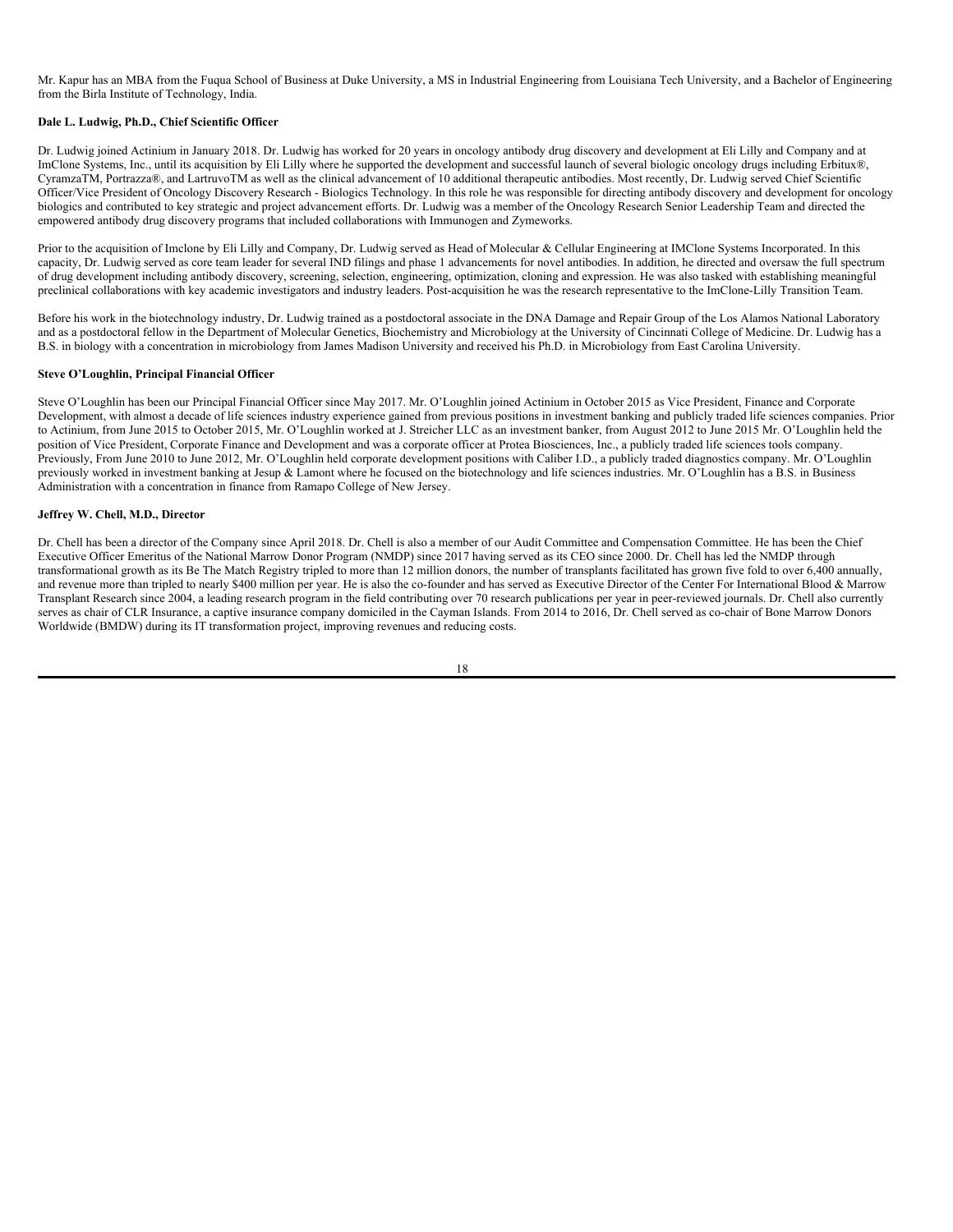Mr. Kapur has an MBA from the Fuqua School of Business at Duke University, a MS in Industrial Engineering from Louisiana Tech University, and a Bachelor of Engineering from the Birla Institute of Technology, India.

## **Dale L. Ludwig, Ph.D., Chief Scientific Officer**

Dr. Ludwig joined Actinium in January 2018. Dr. Ludwig has worked for 20 years in oncology antibody drug discovery and development at Eli Lilly and Company and at ImClone Systems, Inc., until its acquisition by Eli Lilly where he supported the development and successful launch of several biologic oncology drugs including Erbitux®, CyramzaTM, Portrazza®, and LartruvoTM as well as the clinical advancement of 10 additional therapeutic antibodies. Most recently, Dr. Ludwig served Chief Scientific Officer/Vice President of Oncology Discovery Research - Biologics Technology. In this role he was responsible for directing antibody discovery and development for oncology biologics and contributed to key strategic and project advancement efforts. Dr. Ludwig was a member of the Oncology Research Senior Leadership Team and directed the empowered antibody drug discovery programs that included collaborations with Immunogen and Zymeworks.

Prior to the acquisition of Imclone by Eli Lilly and Company, Dr. Ludwig served as Head of Molecular & Cellular Engineering at IMClone Systems Incorporated. In this capacity, Dr. Ludwig served as core team leader for several IND filings and phase 1 advancements for novel antibodies. In addition, he directed and oversaw the full spectrum of drug development including antibody discovery, screening, selection, engineering, optimization, cloning and expression. He was also tasked with establishing meaningful preclinical collaborations with key academic investigators and industry leaders. Post-acquisition he was the research representative to the ImClone-Lilly Transition Team.

Before his work in the biotechnology industry, Dr. Ludwig trained as a postdoctoral associate in the DNA Damage and Repair Group of the Los Alamos National Laboratory and as a postdoctoral fellow in the Department of Molecular Genetics, Biochemistry and Microbiology at the University of Cincinnati College of Medicine. Dr. Ludwig has a B.S. in biology with a concentration in microbiology from James Madison University and received his Ph.D. in Microbiology from East Carolina University.

### **Steve O'Loughlin, Principal Financial Officer**

Steve O'Loughlin has been our Principal Financial Officer since May 2017. Mr. O'Loughlin joined Actinium in October 2015 as Vice President, Finance and Corporate Development, with almost a decade of life sciences industry experience gained from previous positions in investment banking and publicly traded life sciences companies. Prior to Actinium, from June 2015 to October 2015, Mr. O'Loughlin worked at J. Streicher LLC as an investment banker, from August 2012 to June 2015 Mr. O'Loughlin held the position of Vice President, Corporate Finance and Development and was a corporate officer at Protea Biosciences, Inc., a publicly traded life sciences tools company. Previously, From June 2010 to June 2012, Mr. O'Loughlin held corporate development positions with Caliber I.D., a publicly traded diagnostics company. Mr. O'Loughlin previously worked in investment banking at Jesup & Lamont where he focused on the biotechnology and life sciences industries. Mr. O'Loughlin has a B.S. in Business Administration with a concentration in finance from Ramapo College of New Jersey.

## **Jeffrey W. Chell, M.D., Director**

Dr. Chell has been a director of the Company since April 2018. Dr. Chell is also a member of our Audit Committee and Compensation Committee. He has been the Chief Executive Officer Emeritus of the National Marrow Donor Program (NMDP) since 2017 having served as its CEO since 2000. Dr. Chell has led the NMDP through transformational growth as its Be The Match Registry tripled to more than 12 million donors, the number of transplants facilitated has grown five fold to over 6,400 annually, and revenue more than tripled to nearly \$400 million per year. He is also the co-founder and has served as Executive Director of the Center For International Blood & Marrow Transplant Research since 2004, a leading research program in the field contributing over 70 research publications per year in peer-reviewed journals. Dr. Chell also currently serves as chair of CLR Insurance, a captive insurance company domiciled in the Cayman Islands. From 2014 to 2016, Dr. Chell served as co-chair of Bone Marrow Donors Worldwide (BMDW) during its IT transformation project, improving revenues and reducing costs.

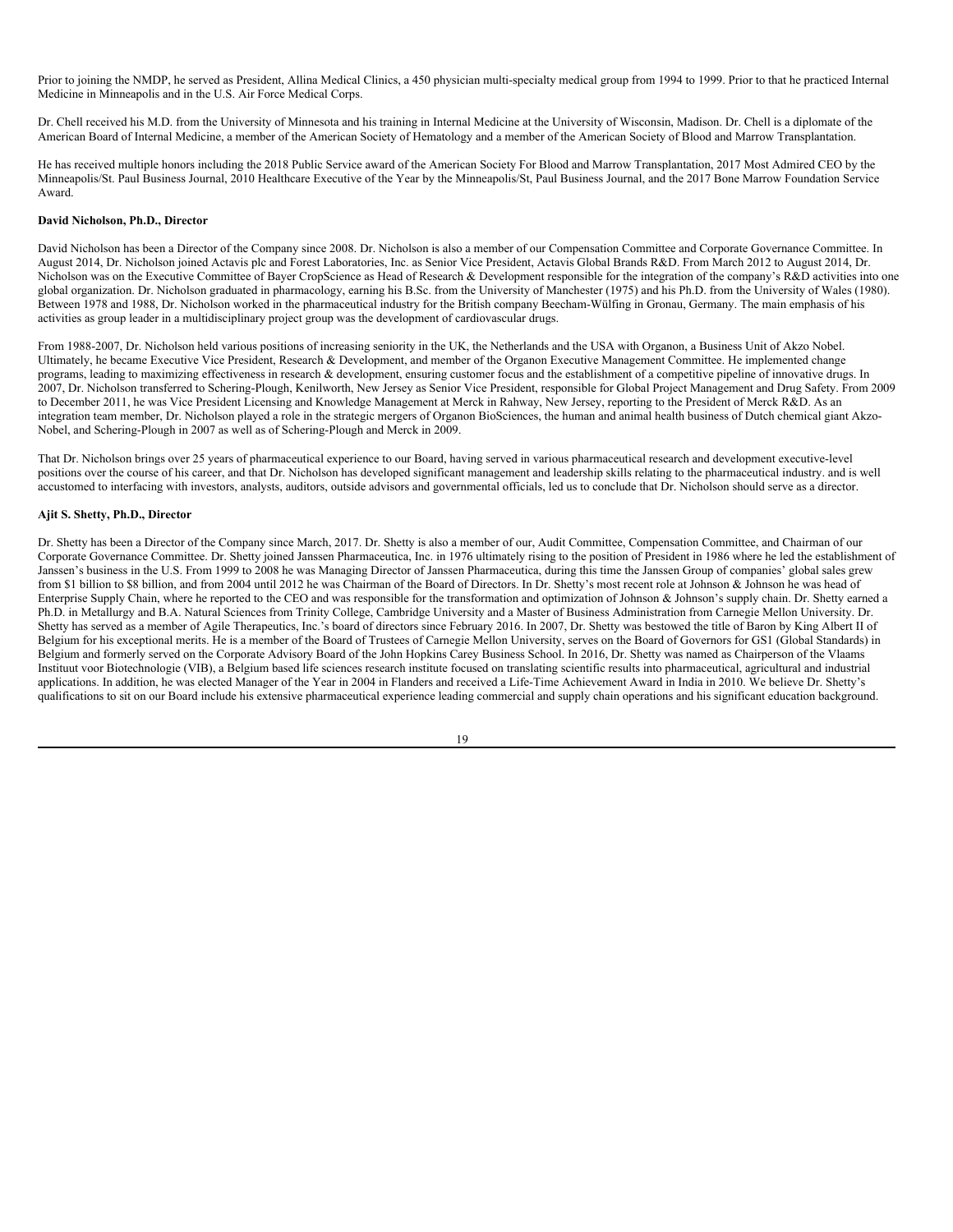Prior to joining the NMDP, he served as President, Allina Medical Clinics, a 450 physician multi-specialty medical group from 1994 to 1999. Prior to that he practiced Internal Medicine in Minneapolis and in the U.S. Air Force Medical Corps.

Dr. Chell received his M.D. from the University of Minnesota and his training in Internal Medicine at the University of Wisconsin, Madison. Dr. Chell is a diplomate of the American Board of Internal Medicine, a member of the American Society of Hematology and a member of the American Society of Blood and Marrow Transplantation.

He has received multiple honors including the 2018 Public Service award of the American Society For Blood and Marrow Transplantation, 2017 Most Admired CEO by the Minneapolis/St. Paul Business Journal, 2010 Healthcare Executive of the Year by the Minneapolis/St, Paul Business Journal, and the 2017 Bone Marrow Foundation Service Award.

## **David Nicholson, Ph.D., Director**

David Nicholson has been a Director of the Company since 2008. Dr. Nicholson is also a member of our Compensation Committee and Corporate Governance Committee. In August 2014, Dr. Nicholson joined Actavis plc and Forest Laboratories, Inc. as Senior Vice President, Actavis Global Brands R&D. From March 2012 to August 2014, Dr. Nicholson was on the Executive Committee of Bayer CropScience as Head of Research & Development responsible for the integration of the company's R&D activities into one global organization. Dr. Nicholson graduated in pharmacology, earning his B.Sc. from the University of Manchester (1975) and his Ph.D. from the University of Wales (1980). Between 1978 and 1988, Dr. Nicholson worked in the pharmaceutical industry for the British company Beecham-Wülfing in Gronau, Germany. The main emphasis of his activities as group leader in a multidisciplinary project group was the development of cardiovascular drugs.

From 1988-2007, Dr. Nicholson held various positions of increasing seniority in the UK, the Netherlands and the USA with Organon, a Business Unit of Akzo Nobel. Ultimately, he became Executive Vice President, Research & Development, and member of the Organon Executive Management Committee. He implemented change programs, leading to maximizing effectiveness in research & development, ensuring customer focus and the establishment of a competitive pipeline of innovative drugs. In 2007, Dr. Nicholson transferred to Schering-Plough, Kenilworth, New Jersey as Senior Vice President, responsible for Global Project Management and Drug Safety. From 2009 to December 2011, he was Vice President Licensing and Knowledge Management at Merck in Rahway, New Jersey, reporting to the President of Merck R&D. As an integration team member, Dr. Nicholson played a role in the strategic mergers of Organon BioSciences, the human and animal health business of Dutch chemical giant Akzo-Nobel, and Schering-Plough in 2007 as well as of Schering-Plough and Merck in 2009.

That Dr. Nicholson brings over 25 years of pharmaceutical experience to our Board, having served in various pharmaceutical research and development executive-level positions over the course of his career, and that Dr. Nicholson has developed significant management and leadership skills relating to the pharmaceutical industry. and is well accustomed to interfacing with investors, analysts, auditors, outside advisors and governmental officials, led us to conclude that Dr. Nicholson should serve as a director.

## **Ajit S. Shetty, Ph.D., Director**

Dr. Shetty has been a Director of the Company since March, 2017. Dr. Shetty is also a member of our, Audit Committee, Compensation Committee, and Chairman of our Corporate Governance Committee. Dr. Shetty joined Janssen Pharmaceutica, Inc. in 1976 ultimately rising to the position of President in 1986 where he led the establishment of Janssen's business in the U.S. From 1999 to 2008 he was Managing Director of Janssen Pharmaceutica, during this time the Janssen Group of companies' global sales grew from \$1 billion to \$8 billion, and from 2004 until 2012 he was Chairman of the Board of Directors. In Dr. Shetty's most recent role at Johnson & Johnson he was head of Enterprise Supply Chain, where he reported to the CEO and was responsible for the transformation and optimization of Johnson & Johnson's supply chain. Dr. Shetty earned a Ph.D. in Metallurgy and B.A. Natural Sciences from Trinity College, Cambridge University and a Master of Business Administration from Carnegie Mellon University. Dr. Shetty has served as a member of Agile Therapeutics, Inc.'s board of directors since February 2016. In 2007, Dr. Shetty was bestowed the title of Baron by King Albert II of Belgium for his exceptional merits. He is a member of the Board of Trustees of Carnegie Mellon University, serves on the Board of Governors for GS1 (Global Standards) in Belgium and formerly served on the Corporate Advisory Board of the John Hopkins Carey Business School. In 2016, Dr. Shetty was named as Chairperson of the Vlaams Instituut voor Biotechnologie (VIB), a Belgium based life sciences research institute focused on translating scientific results into pharmaceutical, agricultural and industrial applications. In addition, he was elected Manager of the Year in 2004 in Flanders and received a Life-Time Achievement Award in India in 2010. We believe Dr. Shetty's qualifications to sit on our Board include his extensive pharmaceutical experience leading commercial and supply chain operations and his significant education background.

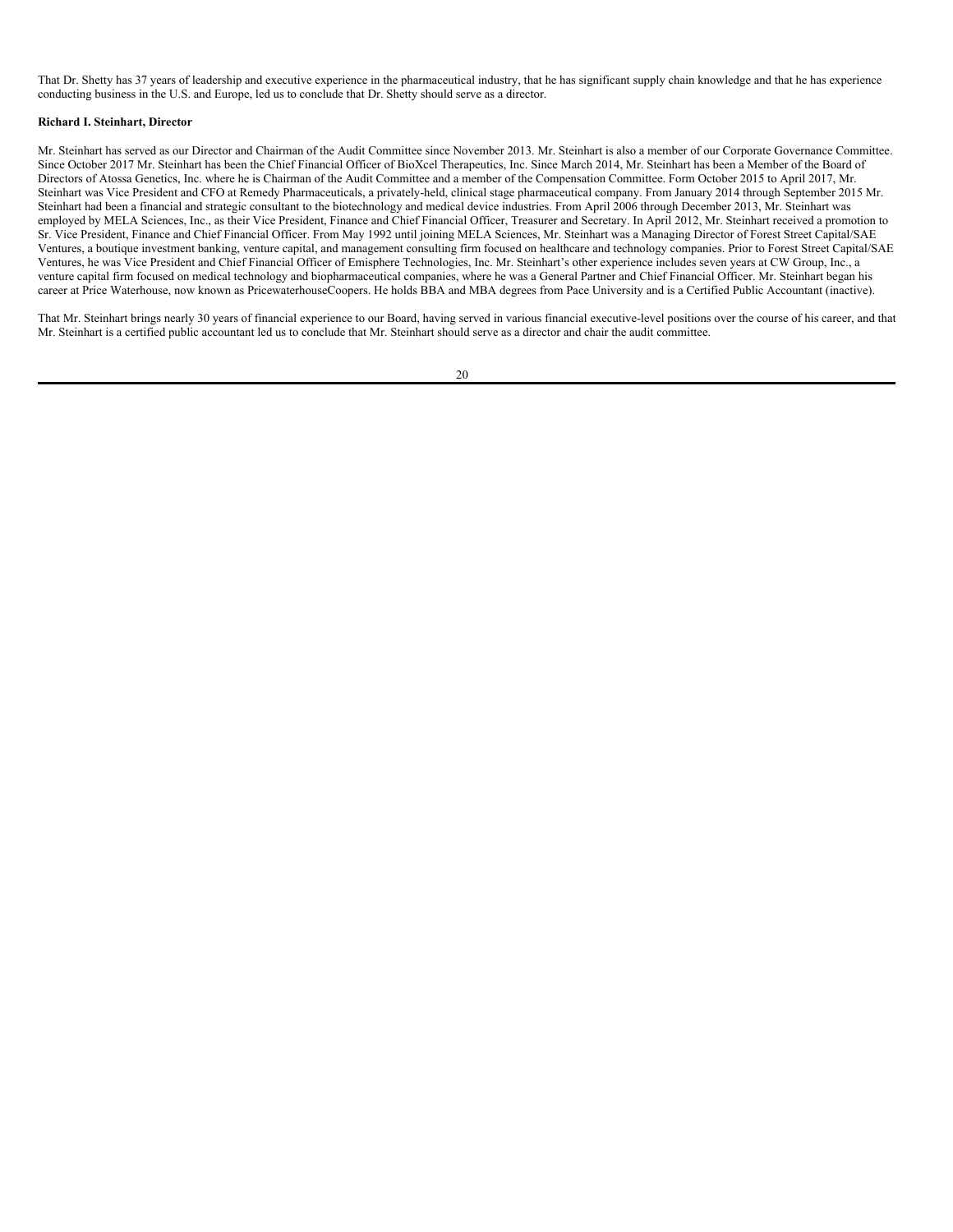That Dr. Shetty has 37 years of leadership and executive experience in the pharmaceutical industry, that he has significant supply chain knowledge and that he has experience conducting business in the U.S. and Europe, led us to conclude that Dr. Shetty should serve as a director.

### **Richard I. Steinhart, Director**

Mr. Steinhart has served as our Director and Chairman of the Audit Committee since November 2013. Mr. Steinhart is also a member of our Corporate Governance Committee. Since October 2017 Mr. Steinhart has been the Chief Financial Officer of BioXcel Therapeutics, Inc. Since March 2014, Mr. Steinhart has been a Member of the Board of Directors of Atossa Genetics, Inc. where he is Chairman of the Audit Committee and a member of the Compensation Committee. Form October 2015 to April 2017, Mr. Steinhart was Vice President and CFO at Remedy Pharmaceuticals, a privately-held, clinical stage pharmaceutical company. From January 2014 through September 2015 Mr. Steinhart had been a financial and strategic consultant to the biotechnology and medical device industries. From April 2006 through December 2013, Mr. Steinhart was employed by MELA Sciences, Inc., as their Vice President, Finance and Chief Financial Officer, Treasurer and Secretary. In April 2012, Mr. Steinhart received a promotion to Sr. Vice President, Finance and Chief Financial Officer. From May 1992 until joining MELA Sciences, Mr. Steinhart was a Managing Director of Forest Street Capital/SAE Ventures, a boutique investment banking, venture capital, and management consulting firm focused on healthcare and technology companies. Prior to Forest Street Capital/SAE Ventures, he was Vice President and Chief Financial Officer of Emisphere Technologies, Inc. Mr. Steinhart's other experience includes seven years at CW Group, Inc., a venture capital firm focused on medical technology and biopharmaceutical companies, where he was a General Partner and Chief Financial Officer. Mr. Steinhart began his career at Price Waterhouse, now known as PricewaterhouseCoopers. He holds BBA and MBA degrees from Pace University and is a Certified Public Accountant (inactive).

That Mr. Steinhart brings nearly 30 years of financial experience to our Board, having served in various financial executive-level positions over the course of his career, and that Mr. Steinhart is a certified public accountant led us to conclude that Mr. Steinhart should serve as a director and chair the audit committee.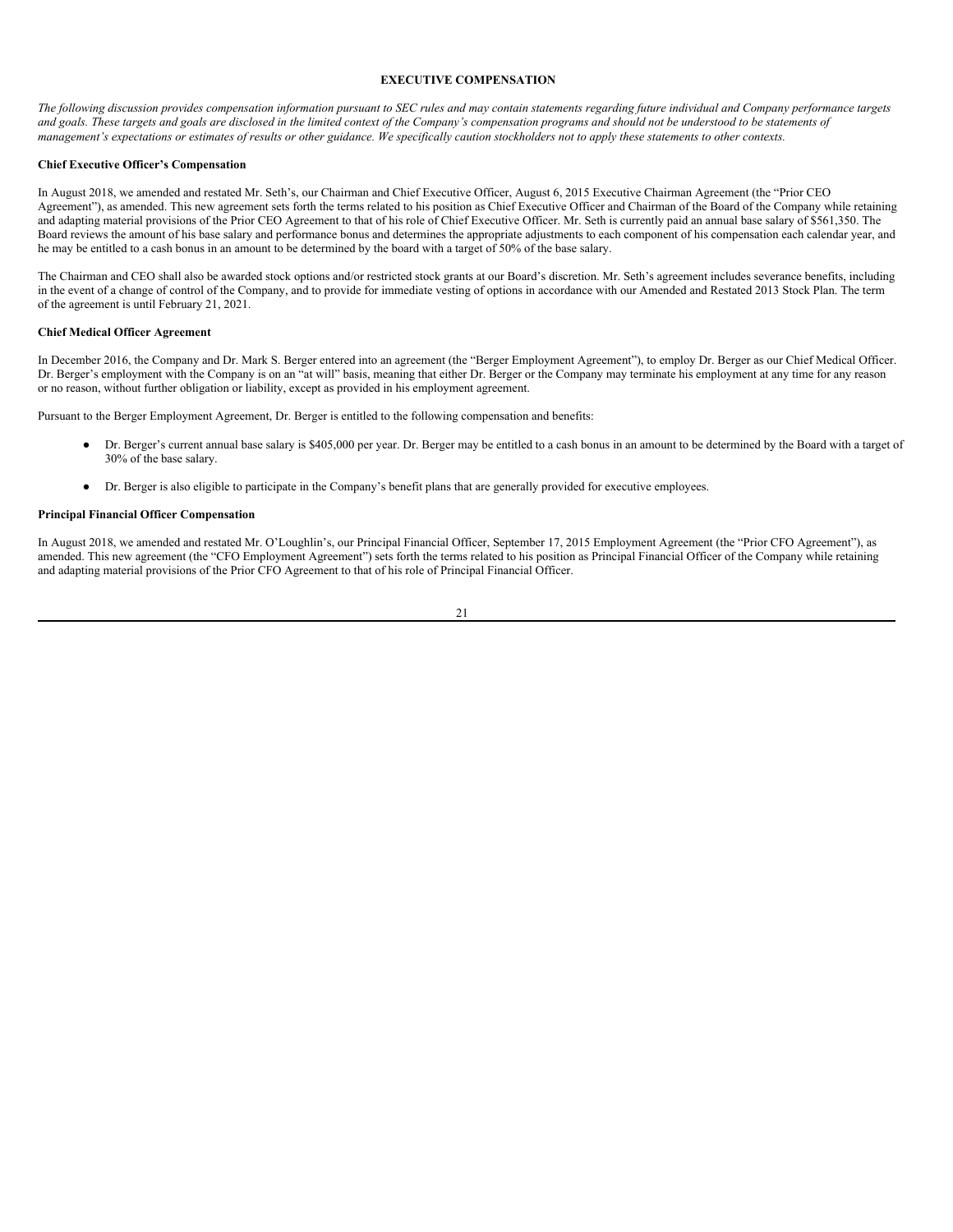### <span id="page-23-0"></span>**EXECUTIVE COMPENSATION**

The following discussion provides compensation information pursuant to SEC rules and may contain statements regarding future individual and Company performance targets and goals. These targets and goals are disclosed in the limited context of the Company's compensation programs and should not be understood to be statements of management's expectations or estimates of results or other guidance. We specifically caution stockholders not to apply these statements to other contexts.

### **Chief Executive Officer's Compensation**

In August 2018, we amended and restated Mr. Seth's, our Chairman and Chief Executive Officer, August 6, 2015 Executive Chairman Agreement (the "Prior CEO Agreement"), as amended. This new agreement sets forth the terms related to his position as Chief Executive Officer and Chairman of the Board of the Company while retaining and adapting material provisions of the Prior CEO Agreement to that of his role of Chief Executive Officer. Mr. Seth is currently paid an annual base salary of \$561,350. The Board reviews the amount of his base salary and performance bonus and determines the appropriate adjustments to each component of his compensation each calendar year, and he may be entitled to a cash bonus in an amount to be determined by the board with a target of 50% of the base salary.

The Chairman and CEO shall also be awarded stock options and/or restricted stock grants at our Board's discretion. Mr. Seth's agreement includes severance benefits, including in the event of a change of control of the Company, and to provide for immediate vesting of options in accordance with our Amended and Restated 2013 Stock Plan. The term of the agreement is until February 21, 2021.

### **Chief Medical Officer Agreement**

In December 2016, the Company and Dr. Mark S. Berger entered into an agreement (the "Berger Employment Agreement"), to employ Dr. Berger as our Chief Medical Officer. Dr. Berger's employment with the Company is on an "at will" basis, meaning that either Dr. Berger or the Company may terminate his employment at any time for any reason or no reason, without further obligation or liability, except as provided in his employment agreement.

Pursuant to the Berger Employment Agreement, Dr. Berger is entitled to the following compensation and benefits:

- Dr. Berger's current annual base salary is \$405,000 per year. Dr. Berger may be entitled to a cash bonus in an amount to be determined by the Board with a target of 30% of the base salary.
- Dr. Berger is also eligible to participate in the Company's benefit plans that are generally provided for executive employees.

## **Principal Financial Officer Compensation**

In August 2018, we amended and restated Mr. O'Loughlin's, our Principal Financial Officer, September 17, 2015 Employment Agreement (the "Prior CFO Agreement"), as amended. This new agreement (the "CFO Employment Agreement") sets forth the terms related to his position as Principal Financial Officer of the Company while retaining and adapting material provisions of the Prior CFO Agreement to that of his role of Principal Financial Officer.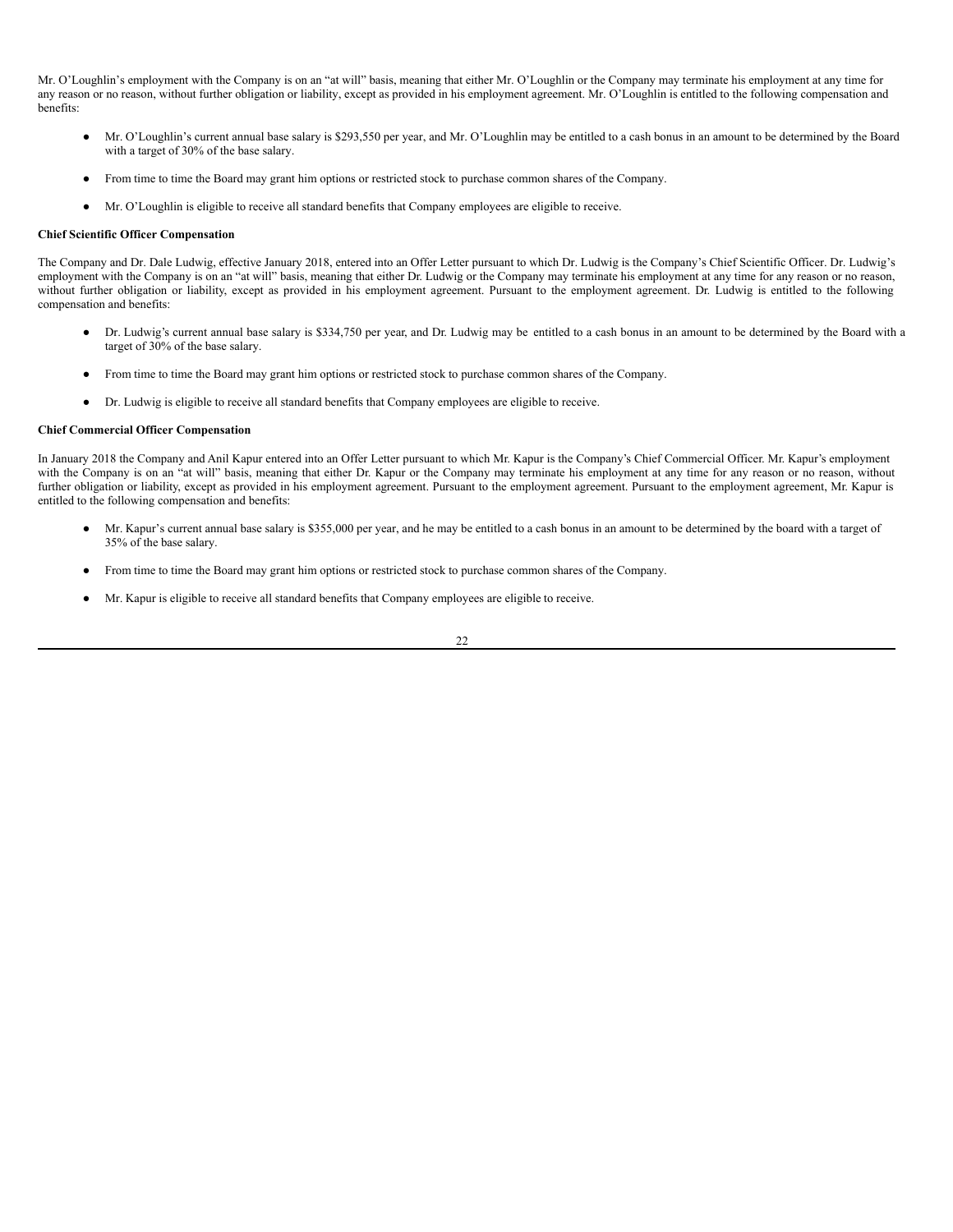Mr. O'Loughlin's employment with the Company is on an "at will" basis, meaning that either Mr. O'Loughlin or the Company may terminate his employment at any time for any reason or no reason, without further obligation or liability, except as provided in his employment agreement. Mr. O'Loughlin is entitled to the following compensation and benefits:

- Mr. O'Loughlin's current annual base salary is \$293,550 per year, and Mr. O'Loughlin may be entitled to a cash bonus in an amount to be determined by the Board with a target of 30% of the base salary.
- From time to time the Board may grant him options or restricted stock to purchase common shares of the Company.
- Mr. O'Loughlin is eligible to receive all standard benefits that Company employees are eligible to receive.

### **Chief Scientific Officer Compensation**

The Company and Dr. Dale Ludwig, effective January 2018, entered into an Offer Letter pursuant to which Dr. Ludwig is the Company's Chief Scientific Officer. Dr. Ludwig's employment with the Company is on an "at will" basis, meaning that either Dr. Ludwig or the Company may terminate his employment at any time for any reason or no reason, without further obligation or liability, except as provided in his employment agreement. Pursuant to the employment agreement. Dr. Ludwig is entitled to the following compensation and benefits:

- Dr. Ludwig's current annual base salary is \$334,750 per year, and Dr. Ludwig may be entitled to a cash bonus in an amount to be determined by the Board with a target of 30% of the base salary.
- From time to time the Board may grant him options or restricted stock to purchase common shares of the Company.
- Dr. Ludwig is eligible to receive all standard benefits that Company employees are eligible to receive.

#### **Chief Commercial Officer Compensation**

In January 2018 the Company and Anil Kapur entered into an Offer Letter pursuant to which Mr. Kapur is the Company's Chief Commercial Officer. Mr. Kapur's employment with the Company is on an "at will" basis, meaning that either Dr. Kapur or the Company may terminate his employment at any time for any reason or no reason, without further obligation or liability, except as provided in his employment agreement. Pursuant to the employment agreement. Pursuant to the employment agreement, Mr. Kapur is entitled to the following compensation and benefits:

- Mr. Kapur's current annual base salary is \$355,000 per year, and he may be entitled to a cash bonus in an amount to be determined by the board with a target of 35% of the base salary.
- From time to time the Board may grant him options or restricted stock to purchase common shares of the Company.
- Mr. Kapur is eligible to receive all standard benefits that Company employees are eligible to receive.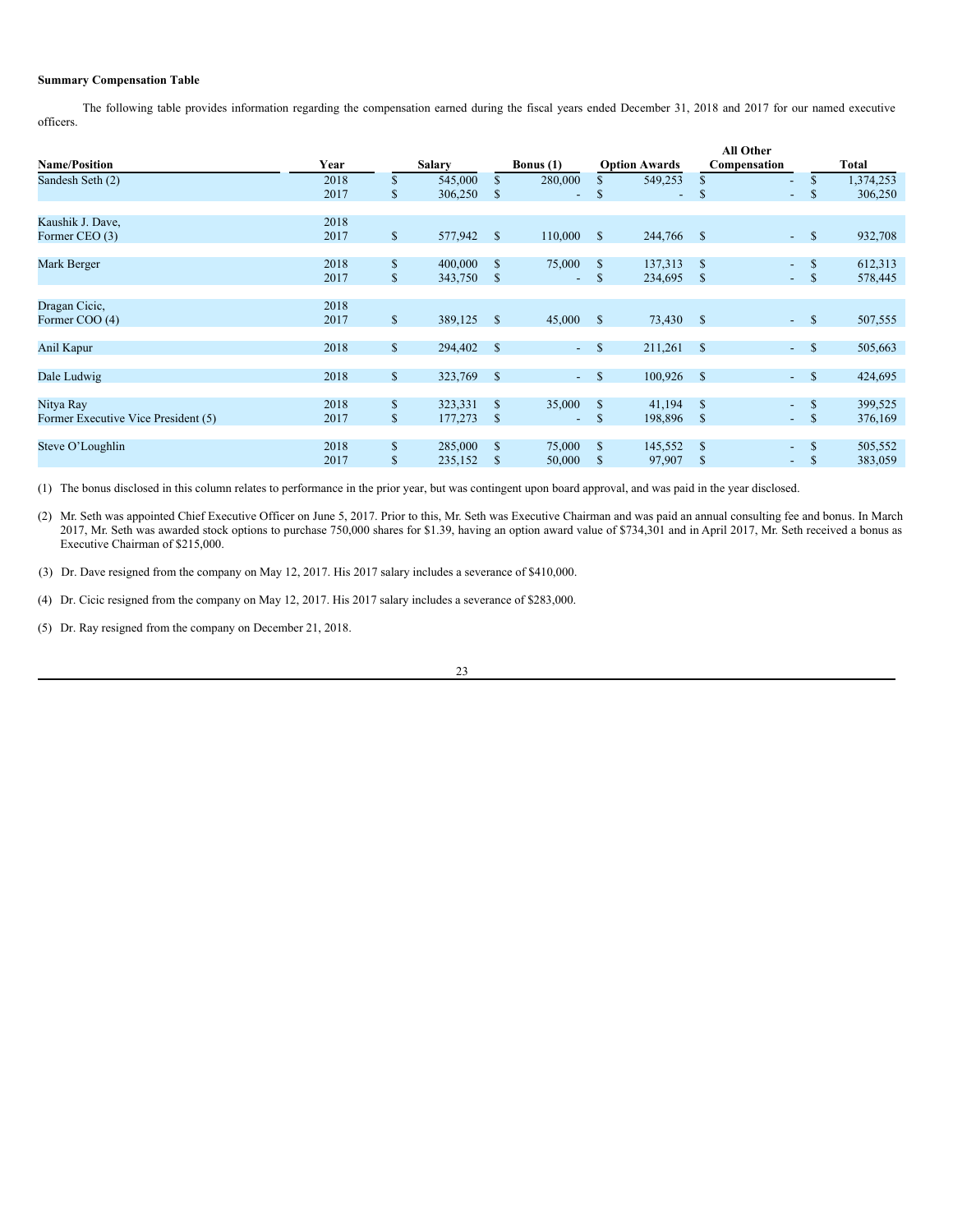## **Summary Compensation Table**

The following table provides information regarding the compensation earned during the fiscal years ended December 31, 2018 and 2017 for our named executive officers.

|                                     |      |              |               |              |                          |               |                          |              | <b>All Other</b>         |               |           |
|-------------------------------------|------|--------------|---------------|--------------|--------------------------|---------------|--------------------------|--------------|--------------------------|---------------|-----------|
| <b>Name/Position</b>                | Year |              | <b>Salary</b> |              | Bonus $(1)$              |               | <b>Option Awards</b>     |              | Compensation             |               | Total     |
| Sandesh Seth (2)                    | 2018 | $\mathbf S$  | 545,000       | S            | 280,000                  | S             | 549,253                  | $\mathbf{s}$ | $\overline{\phantom{a}}$ | $\mathbb{S}$  | 1,374,253 |
|                                     | 2017 | $\mathbf S$  | 306,250       | S            | $\overline{\phantom{a}}$ | S             | $\overline{\phantom{a}}$ | S            | $\sim$                   | S             | 306,250   |
|                                     |      |              |               |              |                          |               |                          |              |                          |               |           |
| Kaushik J. Dave,                    | 2018 |              |               |              |                          |               |                          |              |                          |               |           |
| Former CEO (3)                      | 2017 | $\mathbb{S}$ | 577,942       | -S           | 110,000                  | $\mathbb{S}$  | 244,766                  | $\mathbb{S}$ |                          | $- S$         | 932,708   |
| Mark Berger                         | 2018 | $\mathbb{S}$ | 400,000       | -S           | 75,000                   | <sup>\$</sup> | 137,313                  | S            | $\omega_{\rm{eff}}$      | <sup>\$</sup> | 612,313   |
|                                     |      |              |               |              |                          |               |                          |              |                          |               |           |
|                                     | 2017 | $\mathbf S$  | 343,750       | S            | $\blacksquare$           | \$            | 234,695                  | S            | $\sim 100$               | <sup>S</sup>  | 578,445   |
| Dragan Cicic,                       | 2018 |              |               |              |                          |               |                          |              |                          |               |           |
| Former COO (4)                      | 2017 | $\mathbb{S}$ | 389,125       | <sup>S</sup> | 45,000                   | $\mathbb{S}$  | 73,430                   | <sup>S</sup> |                          | $-$ \$        | 507,555   |
|                                     |      |              |               |              |                          |               |                          |              |                          |               |           |
| Anil Kapur                          | 2018 | $\mathbb{S}$ | 294,402       | <sup>S</sup> | ÷                        | $\mathbf S$   | 211,261                  | $\mathbf S$  | $\Delta \sim 10^4$       | <sup>S</sup>  | 505,663   |
|                                     |      |              |               |              |                          |               |                          |              |                          |               |           |
| Dale Ludwig                         | 2018 | $\mathbb{S}$ | 323,769       | -S           |                          | $-$ \$        | 100,926                  | $\mathbb{S}$ | $-$ \$                   |               | 424,695   |
|                                     |      |              |               |              |                          |               |                          |              |                          |               |           |
| Nitya Ray                           | 2018 | $\mathbb{S}$ | 323,331       | $\mathbf S$  | 35,000                   | <sup>\$</sup> | 41,194                   | <sup>S</sup> | $\omega_{\rm c}$         | <sup>S</sup>  | 399,525   |
| Former Executive Vice President (5) | 2017 | $\mathbf S$  | 177,273       | S            | $\overline{\phantom{a}}$ | S             | 198,896                  | \$           | $\sim$                   | <sup>\$</sup> | 376,169   |
|                                     |      |              |               |              |                          |               |                          |              |                          |               |           |
| Steve O'Loughlin                    | 2018 | $\mathbf S$  | 285,000       | -S           | 75,000                   | <sup>\$</sup> | 145,552                  | \$           | $\sim$                   | <sup>S</sup>  | 505,552   |
|                                     | 2017 | S            | 235,152       | <sup>S</sup> | 50,000                   | \$            | 97,907                   | S            | $\sim$                   | \$            | 383,059   |
|                                     |      |              |               |              |                          |               |                          |              |                          |               |           |

(1) The bonus disclosed in this column relates to performance in the prior year, but was contingent upon board approval, and was paid in the year disclosed.

(2) Mr. Seth was appointed Chief Executive Officer on June 5, 2017. Prior to this, Mr. Seth was Executive Chairman and was paid an annual consulting fee and bonus. In March 2017, Mr. Seth was awarded stock options to purchase 750,000 shares for \$1.39, having an option award value of \$734,301 and in April 2017, Mr. Seth received a bonus as Executive Chairman of \$215,000.

(3) Dr. Dave resigned from the company on May 12, 2017. His 2017 salary includes a severance of \$410,000.

(4) Dr. Cicic resigned from the company on May 12, 2017. His 2017 salary includes a severance of \$283,000.

(5) Dr. Ray resigned from the company on December 21, 2018.

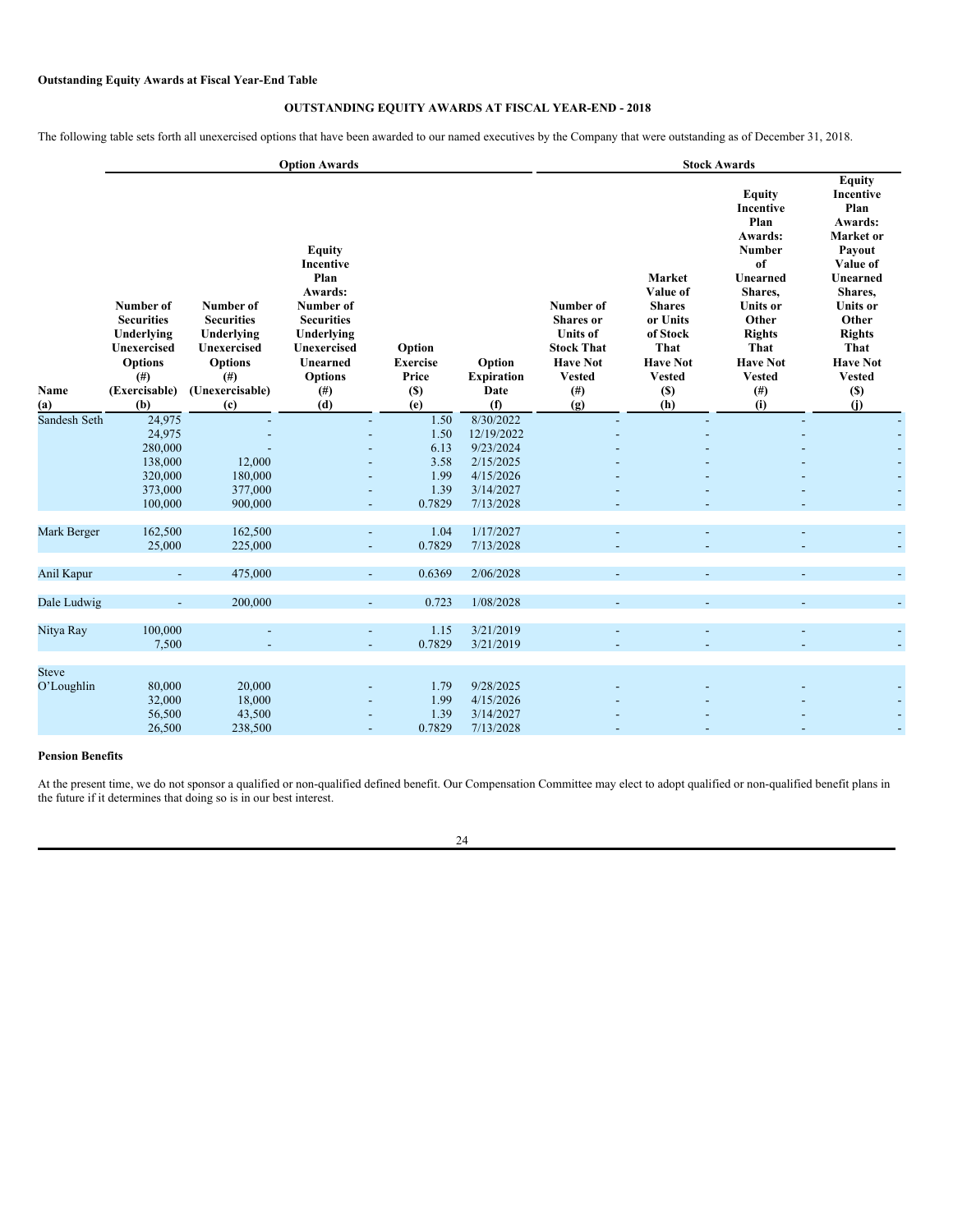# **OUTSTANDING EQUITY AWARDS AT FISCAL YEAR-END - 2018**

The following table sets forth all unexercised options that have been awarded to our named executives by the Company that were outstanding as of December 31, 2018.

|                    |                                                                                                                 |                                                                                                                   | <b>Option Awards</b>                                                                                                                                               | <b>Stock Awards</b>                                |                                            |                                                                                                                              |                                                                                                                                 |                                                                                                                                                                                                |                                                                                                                                                                                                                  |  |
|--------------------|-----------------------------------------------------------------------------------------------------------------|-------------------------------------------------------------------------------------------------------------------|--------------------------------------------------------------------------------------------------------------------------------------------------------------------|----------------------------------------------------|--------------------------------------------|------------------------------------------------------------------------------------------------------------------------------|---------------------------------------------------------------------------------------------------------------------------------|------------------------------------------------------------------------------------------------------------------------------------------------------------------------------------------------|------------------------------------------------------------------------------------------------------------------------------------------------------------------------------------------------------------------|--|
| <b>Name</b><br>(a) | Number of<br><b>Securities</b><br>Underlying<br>Unexercised<br><b>Options</b><br>$($ #)<br>(Exercisable)<br>(b) | Number of<br><b>Securities</b><br>Underlying<br>Unexercised<br><b>Options</b><br>$($ #)<br>(Unexercisable)<br>(c) | <b>Equity</b><br><b>Incentive</b><br>Plan<br>Awards:<br>Number of<br><b>Securities</b><br>Underlying<br>Unexercised<br>Unearned<br><b>Options</b><br>$(\#)$<br>(d) | Option<br><b>Exercise</b><br>Price<br>$(S)$<br>(e) | Option<br><b>Expiration</b><br>Date<br>(f) | Number of<br><b>Shares</b> or<br><b>Units of</b><br><b>Stock That</b><br><b>Have Not</b><br><b>Vested</b><br>$^{(#)}$<br>(g) | <b>Market</b><br>Value of<br><b>Shares</b><br>or Units<br>of Stock<br>That<br><b>Have Not</b><br><b>Vested</b><br>$(\$)$<br>(h) | <b>Equity</b><br>Incentive<br>Plan<br>Awards:<br>Number<br>of<br>Unearned<br>Shares,<br><b>Units or</b><br>Other<br><b>Rights</b><br>That<br><b>Have Not</b><br><b>Vested</b><br>$(\#)$<br>(i) | <b>Equity</b><br>Incentive<br>Plan<br>Awards:<br>Market or<br>Payout<br>Value of<br>Unearned<br>Shares,<br><b>Units or</b><br>Other<br><b>Rights</b><br>That<br><b>Have Not</b><br><b>Vested</b><br>$($)$<br>(i) |  |
| Sandesh Seth       | 24,975                                                                                                          |                                                                                                                   |                                                                                                                                                                    | 1.50                                               | 8/30/2022                                  |                                                                                                                              |                                                                                                                                 |                                                                                                                                                                                                |                                                                                                                                                                                                                  |  |
|                    | 24,975                                                                                                          |                                                                                                                   |                                                                                                                                                                    | 1.50                                               | 12/19/2022                                 |                                                                                                                              |                                                                                                                                 |                                                                                                                                                                                                |                                                                                                                                                                                                                  |  |
|                    | 280,000                                                                                                         |                                                                                                                   |                                                                                                                                                                    | 6.13                                               | 9/23/2024                                  |                                                                                                                              |                                                                                                                                 |                                                                                                                                                                                                |                                                                                                                                                                                                                  |  |
|                    | 138,000                                                                                                         | 12,000                                                                                                            |                                                                                                                                                                    | 3.58                                               | 2/15/2025                                  |                                                                                                                              |                                                                                                                                 |                                                                                                                                                                                                |                                                                                                                                                                                                                  |  |
|                    | 320,000                                                                                                         | 180,000                                                                                                           |                                                                                                                                                                    | 1.99                                               | 4/15/2026                                  |                                                                                                                              |                                                                                                                                 |                                                                                                                                                                                                |                                                                                                                                                                                                                  |  |
|                    | 373,000                                                                                                         | 377,000                                                                                                           |                                                                                                                                                                    | 1.39                                               | 3/14/2027                                  |                                                                                                                              |                                                                                                                                 |                                                                                                                                                                                                |                                                                                                                                                                                                                  |  |
|                    | 100,000                                                                                                         | 900,000                                                                                                           |                                                                                                                                                                    | 0.7829                                             | 7/13/2028                                  |                                                                                                                              |                                                                                                                                 |                                                                                                                                                                                                |                                                                                                                                                                                                                  |  |
| Mark Berger        | 162,500                                                                                                         | 162,500                                                                                                           |                                                                                                                                                                    | 1.04                                               | 1/17/2027                                  |                                                                                                                              |                                                                                                                                 |                                                                                                                                                                                                |                                                                                                                                                                                                                  |  |
|                    | 25,000                                                                                                          | 225,000                                                                                                           |                                                                                                                                                                    | 0.7829                                             | 7/13/2028                                  |                                                                                                                              |                                                                                                                                 |                                                                                                                                                                                                |                                                                                                                                                                                                                  |  |
|                    |                                                                                                                 |                                                                                                                   |                                                                                                                                                                    |                                                    |                                            |                                                                                                                              |                                                                                                                                 |                                                                                                                                                                                                |                                                                                                                                                                                                                  |  |
| Anil Kapur         |                                                                                                                 | 475,000                                                                                                           |                                                                                                                                                                    | 0.6369                                             | 2/06/2028                                  |                                                                                                                              |                                                                                                                                 | $\overline{\phantom{a}}$                                                                                                                                                                       |                                                                                                                                                                                                                  |  |
|                    |                                                                                                                 |                                                                                                                   |                                                                                                                                                                    |                                                    |                                            |                                                                                                                              |                                                                                                                                 |                                                                                                                                                                                                |                                                                                                                                                                                                                  |  |
| Dale Ludwig        |                                                                                                                 | 200,000                                                                                                           |                                                                                                                                                                    | 0.723                                              | 1/08/2028                                  |                                                                                                                              |                                                                                                                                 |                                                                                                                                                                                                |                                                                                                                                                                                                                  |  |
| Nitya Ray          | 100,000                                                                                                         |                                                                                                                   |                                                                                                                                                                    | 1.15                                               | 3/21/2019                                  |                                                                                                                              |                                                                                                                                 |                                                                                                                                                                                                |                                                                                                                                                                                                                  |  |
|                    | 7,500                                                                                                           |                                                                                                                   |                                                                                                                                                                    | 0.7829                                             | 3/21/2019                                  |                                                                                                                              |                                                                                                                                 |                                                                                                                                                                                                |                                                                                                                                                                                                                  |  |
|                    |                                                                                                                 |                                                                                                                   |                                                                                                                                                                    |                                                    |                                            |                                                                                                                              |                                                                                                                                 |                                                                                                                                                                                                |                                                                                                                                                                                                                  |  |
| <b>Steve</b>       |                                                                                                                 |                                                                                                                   |                                                                                                                                                                    |                                                    |                                            |                                                                                                                              |                                                                                                                                 |                                                                                                                                                                                                |                                                                                                                                                                                                                  |  |
| O'Loughlin         | 80,000                                                                                                          | 20,000                                                                                                            |                                                                                                                                                                    | 1.79                                               | 9/28/2025                                  |                                                                                                                              |                                                                                                                                 |                                                                                                                                                                                                |                                                                                                                                                                                                                  |  |
|                    | 32,000                                                                                                          | 18,000                                                                                                            |                                                                                                                                                                    | 1.99                                               | 4/15/2026                                  |                                                                                                                              |                                                                                                                                 |                                                                                                                                                                                                |                                                                                                                                                                                                                  |  |
|                    | 56,500                                                                                                          | 43,500                                                                                                            |                                                                                                                                                                    | 1.39                                               | 3/14/2027                                  |                                                                                                                              |                                                                                                                                 |                                                                                                                                                                                                |                                                                                                                                                                                                                  |  |
|                    | 26,500                                                                                                          | 238,500                                                                                                           |                                                                                                                                                                    | 0.7829                                             | 7/13/2028                                  |                                                                                                                              |                                                                                                                                 |                                                                                                                                                                                                | $\overline{\phantom{a}}$                                                                                                                                                                                         |  |

# **Pension Benefits**

At the present time, we do not sponsor a qualified or non-qualified defined benefit. Our Compensation Committee may elect to adopt qualified or non-qualified benefit plans in the future if it determines that doing so is in our best interest.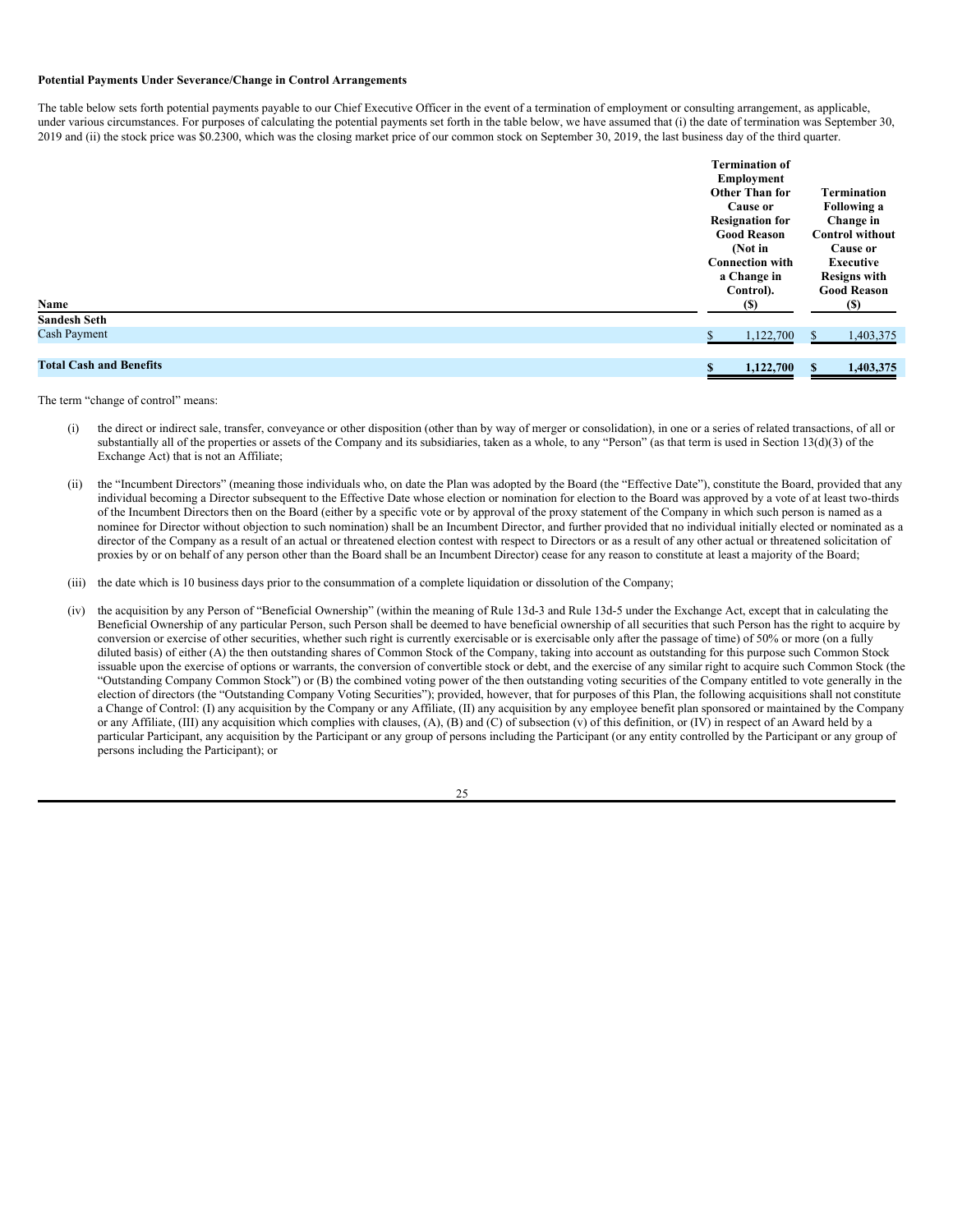#### **Potential Payments Under Severance/Change in Control Arrangements**

The table below sets forth potential payments payable to our Chief Executive Officer in the event of a termination of employment or consulting arrangement, as applicable, under various circumstances. For purposes of calculating the potential payments set forth in the table below, we have assumed that (i) the date of termination was September 30, 2019 and (ii) the stock price was \$0.2300, which was the closing market price of our common stock on September 30, 2019, the last business day of the third quarter.

| Name<br><b>Sandesh Seth</b>    | <b>Termination of</b><br>Employment<br><b>Other Than for</b><br>Cause or<br><b>Resignation for</b><br><b>Good Reason</b><br>(Not in<br><b>Connection with</b><br>a Change in<br>Control).<br><b>(\$)</b> | <b>Termination</b><br>Following a<br>Change in<br><b>Control without</b><br><b>Cause or</b><br>Executive<br><b>Resigns with</b><br><b>Good Reason</b><br><b>(S)</b> |
|--------------------------------|----------------------------------------------------------------------------------------------------------------------------------------------------------------------------------------------------------|---------------------------------------------------------------------------------------------------------------------------------------------------------------------|
| Cash Payment                   | 1,122,700                                                                                                                                                                                                | 1,403,375                                                                                                                                                           |
| <b>Total Cash and Benefits</b> |                                                                                                                                                                                                          |                                                                                                                                                                     |
|                                | 1,122,700                                                                                                                                                                                                | 1,403,375                                                                                                                                                           |

The term "change of control" means:

- (i) the direct or indirect sale, transfer, conveyance or other disposition (other than by way of merger or consolidation), in one or a series of related transactions, of all or substantially all of the properties or assets of the Company and its subsidiaries, taken as a whole, to any "Person" (as that term is used in Section 13(d)(3) of the Exchange Act) that is not an Affiliate;
- (ii) the "Incumbent Directors" (meaning those individuals who, on date the Plan was adopted by the Board (the "Effective Date"), constitute the Board, provided that any individual becoming a Director subsequent to the Effective Date whose election or nomination for election to the Board was approved by a vote of at least two-thirds of the Incumbent Directors then on the Board (either by a specific vote or by approval of the proxy statement of the Company in which such person is named as a nominee for Director without objection to such nomination) shall be an Incumbent Director, and further provided that no individual initially elected or nominated as a director of the Company as a result of an actual or threatened election contest with respect to Directors or as a result of any other actual or threatened solicitation of proxies by or on behalf of any person other than the Board shall be an Incumbent Director) cease for any reason to constitute at least a majority of the Board;
- (iii) the date which is 10 business days prior to the consummation of a complete liquidation or dissolution of the Company;
- (iv) the acquisition by any Person of "Beneficial Ownership" (within the meaning of Rule 13d-3 and Rule 13d-5 under the Exchange Act, except that in calculating the Beneficial Ownership of any particular Person, such Person shall be deemed to have beneficial ownership of all securities that such Person has the right to acquire by conversion or exercise of other securities, whether such right is currently exercisable or is exercisable only after the passage of time) of 50% or more (on a fully diluted basis) of either (A) the then outstanding shares of Common Stock of the Company, taking into account as outstanding for this purpose such Common Stock issuable upon the exercise of options or warrants, the conversion of convertible stock or debt, and the exercise of any similar right to acquire such Common Stock (the "Outstanding Company Common Stock") or (B) the combined voting power of the then outstanding voting securities of the Company entitled to vote generally in the election of directors (the "Outstanding Company Voting Securities"); provided, however, that for purposes of this Plan, the following acquisitions shall not constitute a Change of Control: (I) any acquisition by the Company or any Affiliate, (II) any acquisition by any employee benefit plan sponsored or maintained by the Company or any Affiliate, (III) any acquisition which complies with clauses, (A), (B) and (C) of subsection (v) of this definition, or (IV) in respect of an Award held by a particular Participant, any acquisition by the Participant or any group of persons including the Participant (or any entity controlled by the Participant or any group of persons including the Participant); or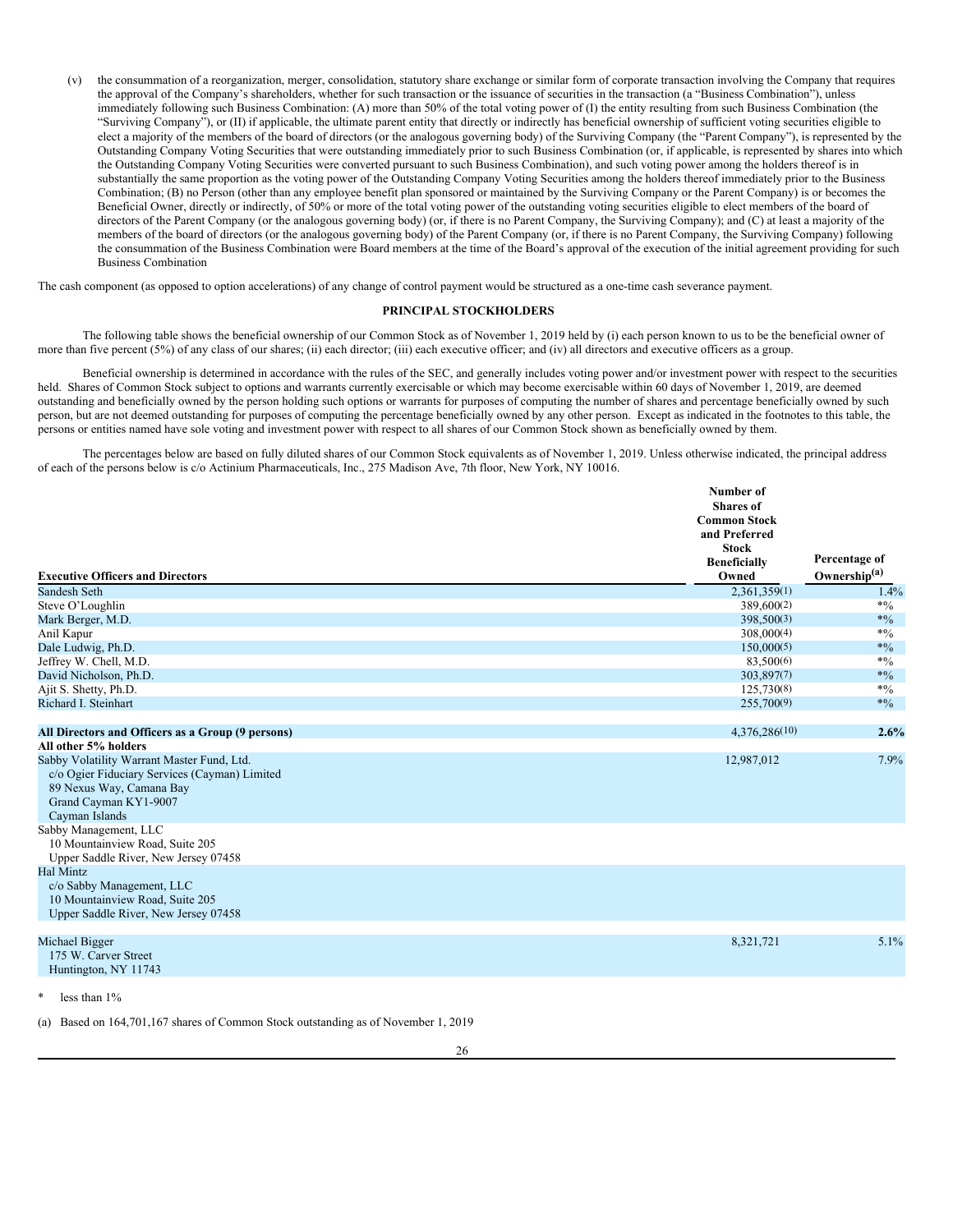(v) the consummation of a reorganization, merger, consolidation, statutory share exchange or similar form of corporate transaction involving the Company that requires the approval of the Company's shareholders, whether for such transaction or the issuance of securities in the transaction (a "Business Combination"), unless immediately following such Business Combination: (A) more than 50% of the total voting power of (I) the entity resulting from such Business Combination (the "Surviving Company"), or (II) if applicable, the ultimate parent entity that directly or indirectly has beneficial ownership of sufficient voting securities eligible to elect a majority of the members of the board of directors (or the analogous governing body) of the Surviving Company (the "Parent Company"), is represented by the Outstanding Company Voting Securities that were outstanding immediately prior to such Business Combination (or, if applicable, is represented by shares into which the Outstanding Company Voting Securities were converted pursuant to such Business Combination), and such voting power among the holders thereof is in substantially the same proportion as the voting power of the Outstanding Company Voting Securities among the holders thereof immediately prior to the Business Combination; (B) no Person (other than any employee benefit plan sponsored or maintained by the Surviving Company or the Parent Company) is or becomes the Beneficial Owner, directly or indirectly, of 50% or more of the total voting power of the outstanding voting securities eligible to elect members of the board of directors of the Parent Company (or the analogous governing body) (or, if there is no Parent Company, the Surviving Company); and (C) at least a majority of the members of the board of directors (or the analogous governing body) of the Parent Company (or, if there is no Parent Company, the Surviving Company) following the consummation of the Business Combination were Board members at the time of the Board's approval of the execution of the initial agreement providing for such Business Combination

The cash component (as opposed to option accelerations) of any change of control payment would be structured as a one-time cash severance payment.

#### <span id="page-28-0"></span>**PRINCIPAL STOCKHOLDERS**

The following table shows the beneficial ownership of our Common Stock as of November 1, 2019 held by (i) each person known to us to be the beneficial owner of more than five percent (5%) of any class of our shares; (ii) each director; (iii) each executive officer; and (iv) all directors and executive officers as a group.

Beneficial ownership is determined in accordance with the rules of the SEC, and generally includes voting power and/or investment power with respect to the securities held. Shares of Common Stock subject to options and warrants currently exercisable or which may become exercisable within 60 days of November 1, 2019, are deemed outstanding and beneficially owned by the person holding such options or warrants for purposes of computing the number of shares and percentage beneficially owned by such person, but are not deemed outstanding for purposes of computing the percentage beneficially owned by any other person. Except as indicated in the footnotes to this table, the persons or entities named have sole voting and investment power with respect to all shares of our Common Stock shown as beneficially owned by them.

The percentages below are based on fully diluted shares of our Common Stock equivalents as of November 1, 2019. Unless otherwise indicated, the principal address of each of the persons below is c/o Actinium Pharmaceuticals, Inc., 275 Madison Ave, 7th floor, New York, NY 10016.

| <b>Executive Officers and Directors</b>                                                                                                                            | Number of<br><b>Shares</b> of<br><b>Common Stock</b><br>and Preferred<br><b>Stock</b><br><b>Beneficially</b><br>Owned | Percentage of<br>Ownership <sup>(a)</sup> |
|--------------------------------------------------------------------------------------------------------------------------------------------------------------------|-----------------------------------------------------------------------------------------------------------------------|-------------------------------------------|
| Sandesh Seth                                                                                                                                                       | 2,361,359(1)                                                                                                          | 1.4%                                      |
| Steve O'Loughlin                                                                                                                                                   | 389,600(2)                                                                                                            | $*9/0$                                    |
| Mark Berger, M.D.                                                                                                                                                  | 398,500(3)                                                                                                            | $*9/0$                                    |
| Anil Kapur                                                                                                                                                         | 308,000(4)                                                                                                            | $*0/0$                                    |
| Dale Ludwig, Ph.D.                                                                                                                                                 | 150,000(5)                                                                                                            | $*0/0$                                    |
| Jeffrey W. Chell, M.D.                                                                                                                                             | 83,500(6)                                                                                                             | $*0/0$                                    |
| David Nicholson, Ph.D.                                                                                                                                             | 303,897(7)                                                                                                            | $*9/0$                                    |
| Ajit S. Shetty, Ph.D.                                                                                                                                              | 125,730(8)                                                                                                            | $*0/0$                                    |
| Richard I. Steinhart                                                                                                                                               | 255,700(9)                                                                                                            | $*0/0$                                    |
| All Directors and Officers as a Group (9 persons)                                                                                                                  | 4,376,286(10)                                                                                                         | 2.6%                                      |
| All other 5% holders                                                                                                                                               |                                                                                                                       |                                           |
| Sabby Volatility Warrant Master Fund, Ltd.<br>c/o Ogier Fiduciary Services (Cayman) Limited<br>89 Nexus Way, Camana Bay<br>Grand Cayman KY1-9007<br>Cayman Islands | 12,987,012                                                                                                            | 7.9%                                      |
| Sabby Management, LLC<br>10 Mountainview Road, Suite 205<br>Upper Saddle River, New Jersey 07458                                                                   |                                                                                                                       |                                           |
| <b>Hal Mintz</b><br>c/o Sabby Management, LLC<br>10 Mountainview Road, Suite 205<br>Upper Saddle River, New Jersey 07458                                           |                                                                                                                       |                                           |
|                                                                                                                                                                    |                                                                                                                       |                                           |
| Michael Bigger<br>175 W. Carver Street<br>Huntington, NY 11743                                                                                                     | 8,321,721                                                                                                             | 5.1%                                      |

less than 1%

(a) Based on 164,701,167 shares of Common Stock outstanding as of November 1, 2019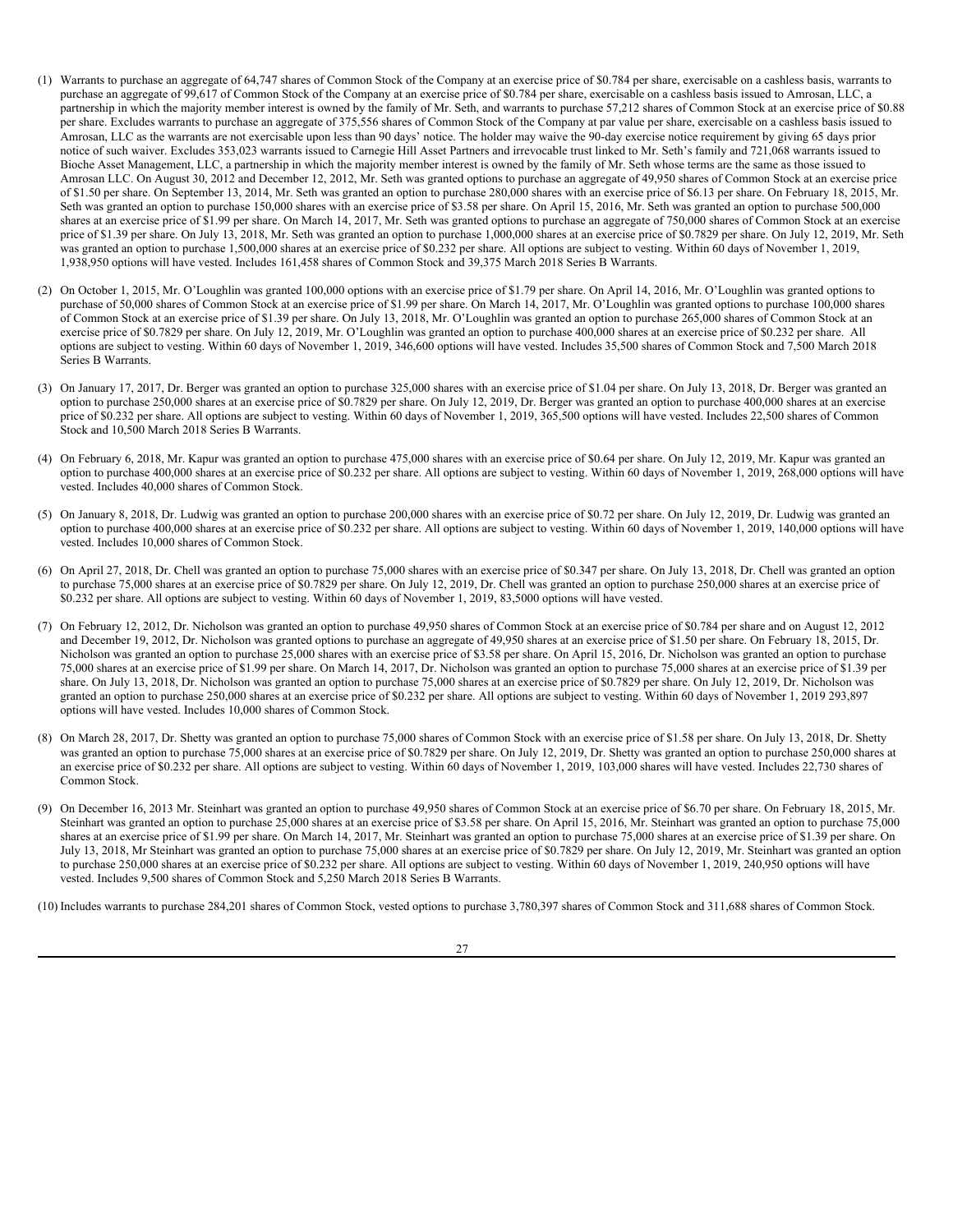- (1) Warrants to purchase an aggregate of 64,747 shares of Common Stock of the Company at an exercise price of \$0.784 per share, exercisable on a cashless basis, warrants to purchase an aggregate of 99,617 of Common Stock of the Company at an exercise price of \$0.784 per share, exercisable on a cashless basis issued to Amrosan, LLC, a partnership in which the majority member interest is owned by the family of Mr. Seth, and warrants to purchase 57,212 shares of Common Stock at an exercise price of \$0.88 per share. Excludes warrants to purchase an aggregate of 375,556 shares of Common Stock of the Company at par value per share, exercisable on a cashless basis issued to Amrosan, LLC as the warrants are not exercisable upon less than 90 days' notice. The holder may waive the 90-day exercise notice requirement by giving 65 days prior notice of such waiver. Excludes 353,023 warrants issued to Carnegie Hill Asset Partners and irrevocable trust linked to Mr. Seth's family and 721,068 warrants issued to Bioche Asset Management, LLC, a partnership in which the majority member interest is owned by the family of Mr. Seth whose terms are the same as those issued to Amrosan LLC. On August 30, 2012 and December 12, 2012, Mr. Seth was granted options to purchase an aggregate of 49,950 shares of Common Stock at an exercise price of \$1.50 per share. On September 13, 2014, Mr. Seth was granted an option to purchase 280,000 shares with an exercise price of \$6.13 per share. On February 18, 2015, Mr. Seth was granted an option to purchase 150,000 shares with an exercise price of \$3.58 per share. On April 15, 2016, Mr. Seth was granted an option to purchase 500,000 shares at an exercise price of \$1.99 per share. On March 14, 2017, Mr. Seth was granted options to purchase an aggregate of 750,000 shares of Common Stock at an exercise price of \$1.39 per share. On July 13, 2018, Mr. Seth was granted an option to purchase 1,000,000 shares at an exercise price of \$0.7829 per share. On July 12, 2019, Mr. Seth was granted an option to purchase 1,500,000 shares at an exercise price of \$0.232 per share. All options are subject to vesting. Within 60 days of November 1, 2019, 1,938,950 options will have vested. Includes 161,458 shares of Common Stock and 39,375 March 2018 Series B Warrants.
- (2) On October 1, 2015, Mr. O'Loughlin was granted 100,000 options with an exercise price of \$1.79 per share. On April 14, 2016, Mr. O'Loughlin was granted options to purchase of 50,000 shares of Common Stock at an exercise price of \$1.99 per share. On March 14, 2017, Mr. O'Loughlin was granted options to purchase 100,000 shares of Common Stock at an exercise price of \$1.39 per share. On July 13, 2018, Mr. O'Loughlin was granted an option to purchase 265,000 shares of Common Stock at an exercise price of \$0.7829 per share. On July 12, 2019, Mr. O'Loughlin was granted an option to purchase 400,000 shares at an exercise price of \$0.232 per share. All options are subject to vesting. Within 60 days of November 1, 2019, 346,600 options will have vested. Includes 35,500 shares of Common Stock and 7,500 March 2018 Series B Warrants.
- (3) On January 17, 2017, Dr. Berger was granted an option to purchase 325,000 shares with an exercise price of \$1.04 per share. On July 13, 2018, Dr. Berger was granted an option to purchase 250,000 shares at an exercise price of \$0.7829 per share. On July 12, 2019, Dr. Berger was granted an option to purchase 400,000 shares at an exercise price of \$0.232 per share. All options are subject to vesting. Within 60 days of November 1, 2019, 365,500 options will have vested. Includes 22,500 shares of Common Stock and 10,500 March 2018 Series B Warrants.
- (4) On February 6, 2018, Mr. Kapur was granted an option to purchase 475,000 shares with an exercise price of \$0.64 per share. On July 12, 2019, Mr. Kapur was granted an option to purchase 400,000 shares at an exercise price of \$0.232 per share. All options are subject to vesting. Within 60 days of November 1, 2019, 268,000 options will have vested. Includes 40,000 shares of Common Stock.
- (5) On January 8, 2018, Dr. Ludwig was granted an option to purchase 200,000 shares with an exercise price of \$0.72 per share. On July 12, 2019, Dr. Ludwig was granted an option to purchase 400,000 shares at an exercise price of \$0.232 per share. All options are subject to vesting. Within 60 days of November 1, 2019, 140,000 options will have vested. Includes 10,000 shares of Common Stock.
- (6) On April 27, 2018, Dr. Chell was granted an option to purchase 75,000 shares with an exercise price of \$0.347 per share. On July 13, 2018, Dr. Chell was granted an option to purchase 75,000 shares at an exercise price of \$0.7829 per share. On July 12, 2019, Dr. Chell was granted an option to purchase 250,000 shares at an exercise price of \$0.232 per share. All options are subject to vesting. Within 60 days of November 1, 2019, 83,5000 options will have vested.
- (7) On February 12, 2012, Dr. Nicholson was granted an option to purchase 49,950 shares of Common Stock at an exercise price of \$0.784 per share and on August 12, 2012 and December 19, 2012, Dr. Nicholson was granted options to purchase an aggregate of 49,950 shares at an exercise price of \$1.50 per share. On February 18, 2015, Dr. Nicholson was granted an option to purchase 25,000 shares with an exercise price of \$3.58 per share. On April 15, 2016, Dr. Nicholson was granted an option to purchase 75,000 shares at an exercise price of \$1.99 per share. On March 14, 2017, Dr. Nicholson was granted an option to purchase 75,000 shares at an exercise price of \$1.39 per share. On July 13, 2018, Dr. Nicholson was granted an option to purchase 75,000 shares at an exercise price of \$0.7829 per share. On July 12, 2019, Dr. Nicholson was granted an option to purchase 250,000 shares at an exercise price of \$0.232 per share. All options are subject to vesting. Within 60 days of November 1, 2019 293,897 options will have vested. Includes 10,000 shares of Common Stock.
- (8) On March 28, 2017, Dr. Shetty was granted an option to purchase 75,000 shares of Common Stock with an exercise price of \$1.58 per share. On July 13, 2018, Dr. Shetty was granted an option to purchase 75,000 shares at an exercise price of \$0.7829 per share. On July 12, 2019, Dr. Shetty was granted an option to purchase 250,000 shares at an exercise price of \$0.232 per share. All options are subject to vesting. Within 60 days of November 1, 2019, 103,000 shares will have vested. Includes 22,730 shares of Common Stock.
- (9) On December 16, 2013 Mr. Steinhart was granted an option to purchase 49,950 shares of Common Stock at an exercise price of \$6.70 per share. On February 18, 2015, Mr. Steinhart was granted an option to purchase 25,000 shares at an exercise price of \$3.58 per share. On April 15, 2016, Mr. Steinhart was granted an option to purchase 75,000 shares at an exercise price of \$1.99 per share. On March 14, 2017, Mr. Steinhart was granted an option to purchase 75,000 shares at an exercise price of \$1.39 per share. On July 13, 2018, Mr Steinhart was granted an option to purchase 75,000 shares at an exercise price of \$0.7829 per share. On July 12, 2019, Mr. Steinhart was granted an option to purchase 250,000 shares at an exercise price of \$0.232 per share. All options are subject to vesting. Within 60 days of November 1, 2019, 240,950 options will have vested. Includes 9,500 shares of Common Stock and 5,250 March 2018 Series B Warrants.

(10) Includes warrants to purchase 284,201 shares of Common Stock, vested options to purchase 3,780,397 shares of Common Stock and 311,688 shares of Common Stock.

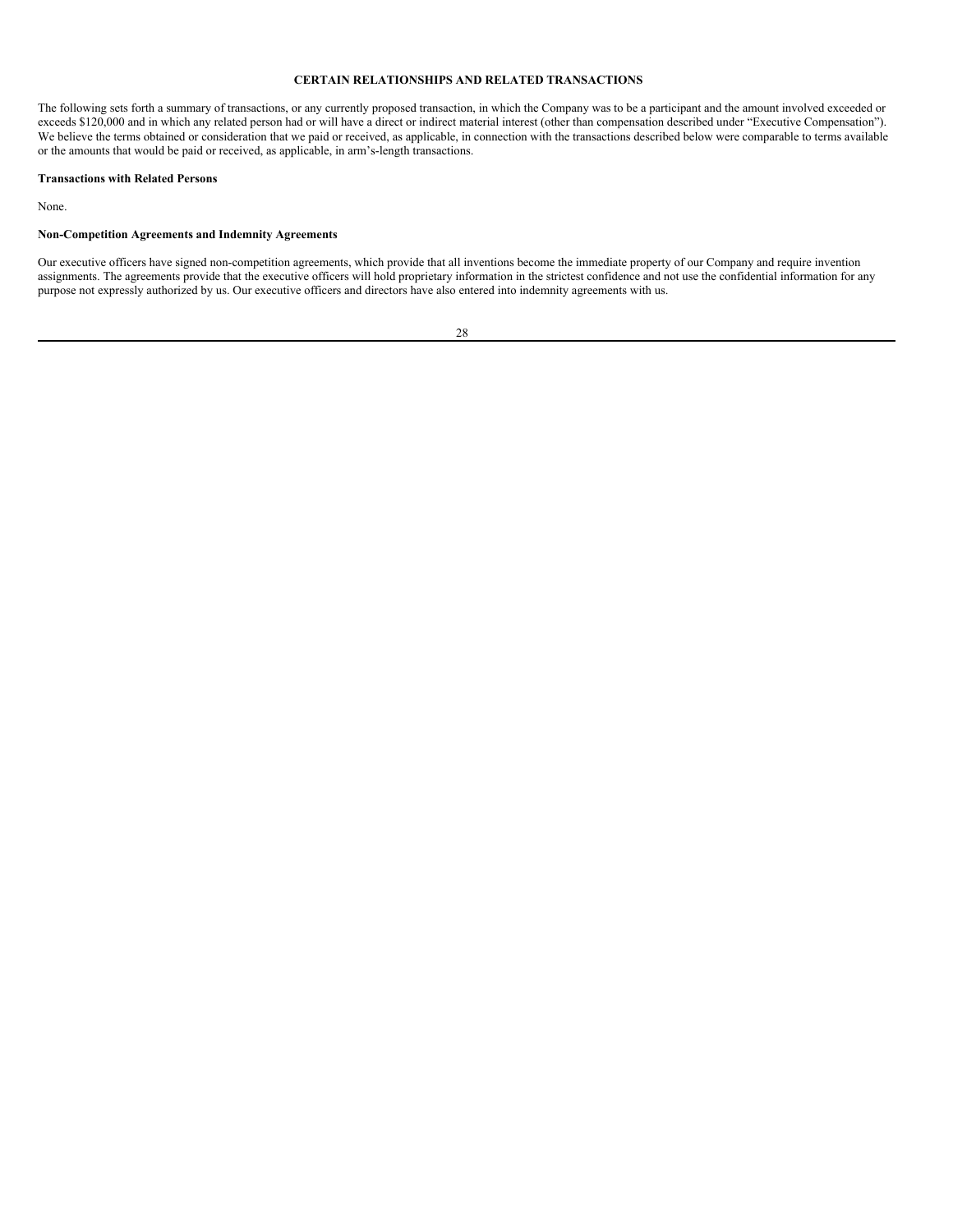## <span id="page-30-0"></span>**CERTAIN RELATIONSHIPS AND RELATED TRANSACTIONS**

The following sets forth a summary of transactions, or any currently proposed transaction, in which the Company was to be a participant and the amount involved exceeded or exceeds \$120,000 and in which any related person had or will have a direct or indirect material interest (other than compensation described under "Executive Compensation"). We believe the terms obtained or consideration that we paid or received, as applicable, in connection with the transactions described below were comparable to terms available or the amounts that would be paid or received, as applicable, in arm's-length transactions.

### **Transactions with Related Persons**

None.

### **Non-Competition Agreements and Indemnity Agreements**

Our executive officers have signed non-competition agreements, which provide that all inventions become the immediate property of our Company and require invention assignments. The agreements provide that the executive officers will hold proprietary information in the strictest confidence and not use the confidential information for any purpose not expressly authorized by us. Our executive officers and directors have also entered into indemnity agreements with us.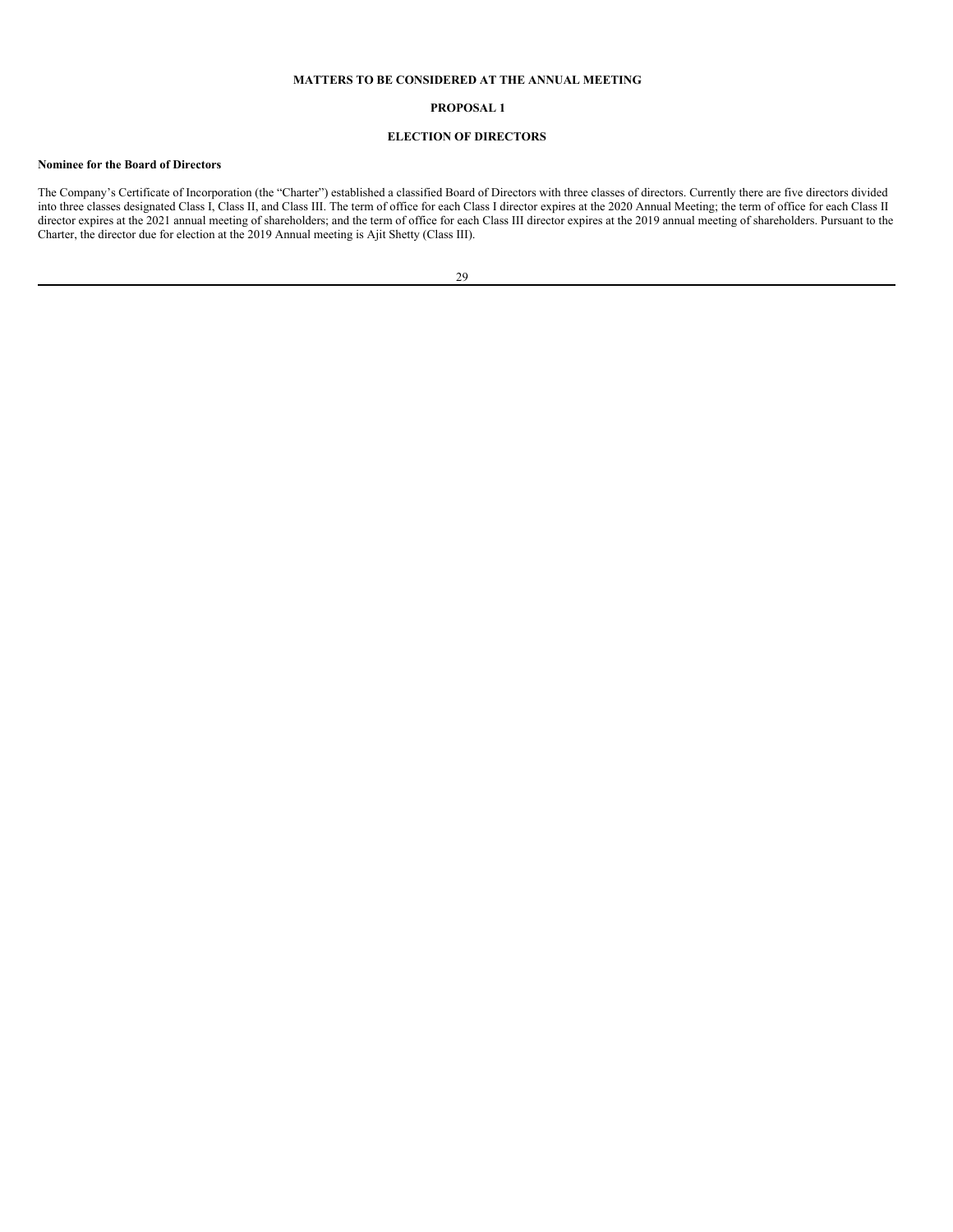# **MATTERS TO BE CONSIDERED AT THE ANNUAL MEETING**

### <span id="page-31-0"></span>**PROPOSAL 1**

## **ELECTION OF DIRECTORS**

### **Nominee for the Board of Directors**

The Company's Certificate of Incorporation (the "Charter") established a classified Board of Directors with three classes of directors. Currently there are five directors divided into three classes designated Class I, Class II, and Class III. The term of office for each Class I director expires at the 2020 Annual Meeting; the term of office for each Class II director expires at the 2021 annual meeting of shareholders; and the term of office for each Class III director expires at the 2019 annual meeting of shareholders. Pursuant to the Charter, the director due for election at the 2019 Annual meeting is Ajit Shetty (Class III).

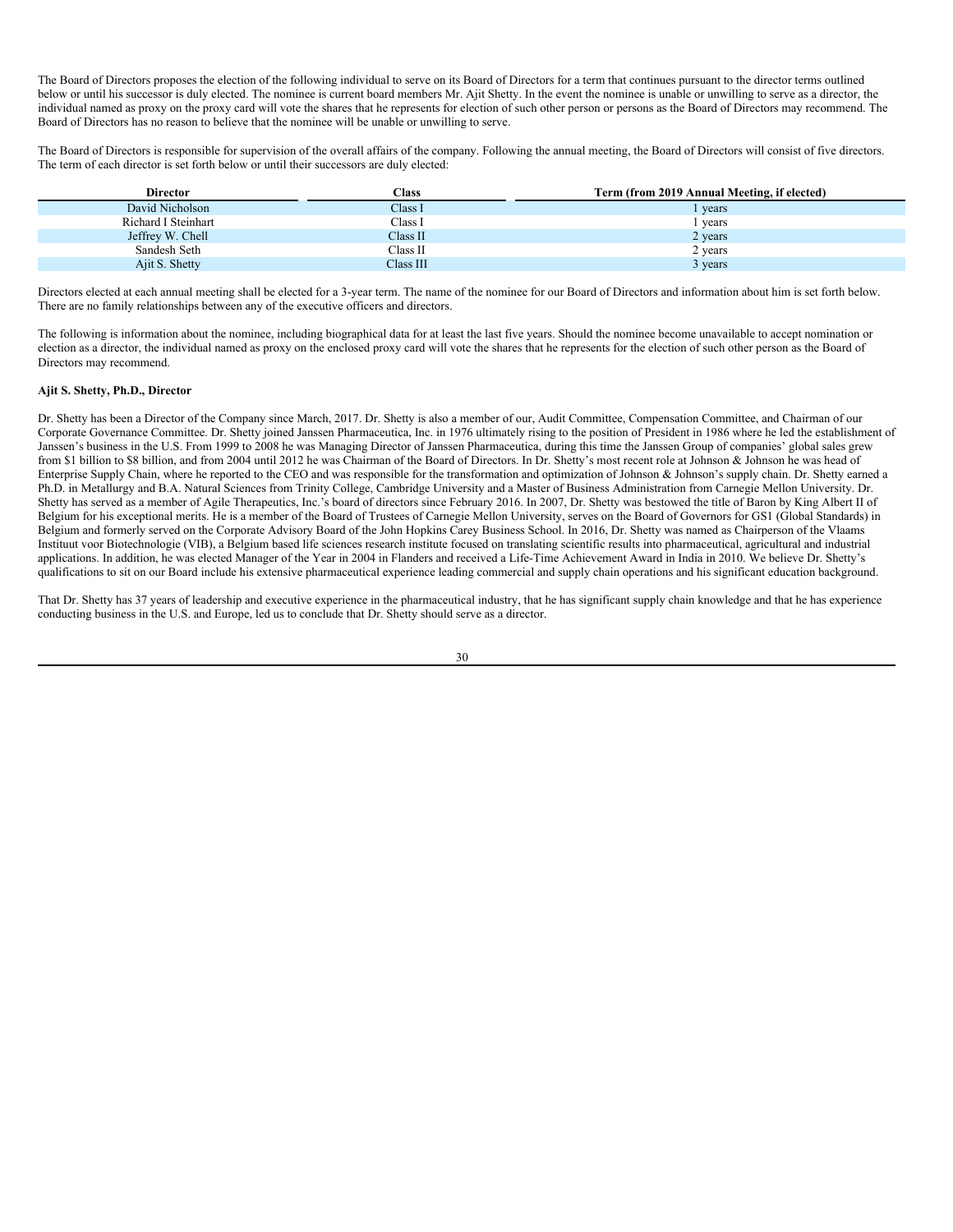The Board of Directors proposes the election of the following individual to serve on its Board of Directors for a term that continues pursuant to the director terms outlined below or until his successor is duly elected. The nominee is current board members Mr. Ajit Shetty. In the event the nominee is unable or unwilling to serve as a director, the individual named as proxy on the proxy card will vote the shares that he represents for election of such other person or persons as the Board of Directors may recommend. The Board of Directors has no reason to believe that the nominee will be unable or unwilling to serve.

The Board of Directors is responsible for supervision of the overall affairs of the company. Following the annual meeting, the Board of Directors will consist of five directors. The term of each director is set forth below or until their successors are duly elected:

| <b>Director</b>     | Class     | Term (from 2019 Annual Meeting, if elected) |
|---------------------|-----------|---------------------------------------------|
| David Nicholson     | Class I   | vears                                       |
| Richard I Steinhart | Class I   | years                                       |
| Jeffrey W. Chell    | Class II  | 2 years                                     |
| Sandesh Seth        | Class II  | 2 years                                     |
| Ajit S. Shetty      | Class III | 3 years                                     |

Directors elected at each annual meeting shall be elected for a 3-year term. The name of the nominee for our Board of Directors and information about him is set forth below. There are no family relationships between any of the executive officers and directors.

The following is information about the nominee, including biographical data for at least the last five years. Should the nominee become unavailable to accept nomination or election as a director, the individual named as proxy on the enclosed proxy card will vote the shares that he represents for the election of such other person as the Board of Directors may recommend.

## **Ajit S. Shetty, Ph.D., Director**

Dr. Shetty has been a Director of the Company since March, 2017. Dr. Shetty is also a member of our, Audit Committee, Compensation Committee, and Chairman of our Corporate Governance Committee. Dr. Shetty joined Janssen Pharmaceutica, Inc. in 1976 ultimately rising to the position of President in 1986 where he led the establishment of Janssen's business in the U.S. From 1999 to 2008 he was Managing Director of Janssen Pharmaceutica, during this time the Janssen Group of companies' global sales grew from \$1 billion to \$8 billion, and from 2004 until 2012 he was Chairman of the Board of Directors. In Dr. Shetty's most recent role at Johnson & Johnson he was head of Enterprise Supply Chain, where he reported to the CEO and was responsible for the transformation and optimization of Johnson & Johnson's supply chain. Dr. Shetty earned a Ph.D. in Metallurgy and B.A. Natural Sciences from Trinity College, Cambridge University and a Master of Business Administration from Carnegie Mellon University. Dr. Shetty has served as a member of Agile Therapeutics, Inc.'s board of directors since February 2016. In 2007, Dr. Shetty was bestowed the title of Baron by King Albert II of Belgium for his exceptional merits. He is a member of the Board of Trustees of Carnegie Mellon University, serves on the Board of Governors for GS1 (Global Standards) in Belgium and formerly served on the Corporate Advisory Board of the John Hopkins Carey Business School. In 2016, Dr. Shetty was named as Chairperson of the Vlaams Instituut voor Biotechnologie (VIB), a Belgium based life sciences research institute focused on translating scientific results into pharmaceutical, agricultural and industrial applications. In addition, he was elected Manager of the Year in 2004 in Flanders and received a Life-Time Achievement Award in India in 2010. We believe Dr. Shetty's qualifications to sit on our Board include his extensive pharmaceutical experience leading commercial and supply chain operations and his significant education background.

That Dr. Shetty has 37 years of leadership and executive experience in the pharmaceutical industry, that he has significant supply chain knowledge and that he has experience conducting business in the U.S. and Europe, led us to conclude that Dr. Shetty should serve as a director.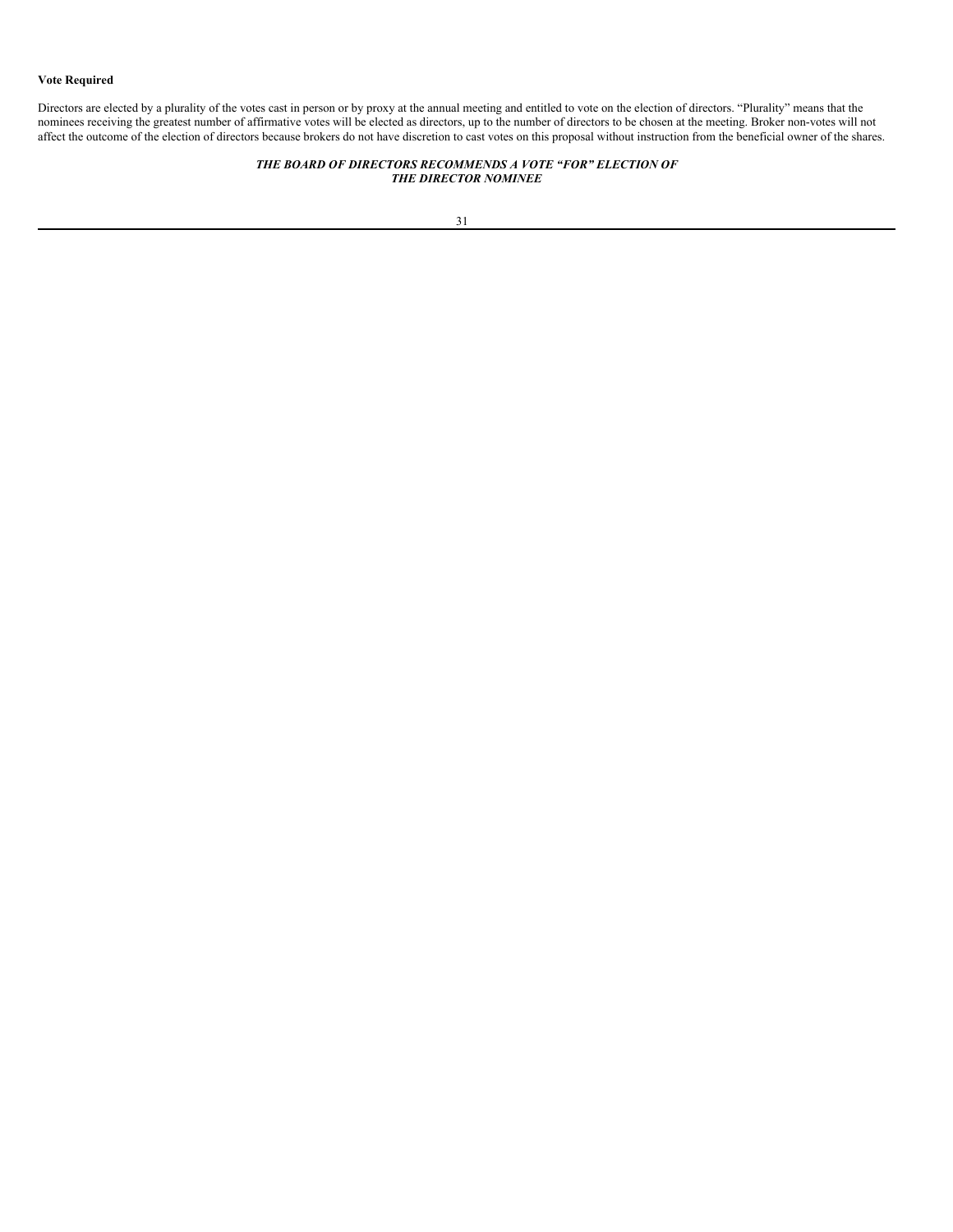# **Vote Required**

Directors are elected by a plurality of the votes cast in person or by proxy at the annual meeting and entitled to vote on the election of directors. "Plurality" means that the nominees receiving the greatest number of affirmative votes will be elected as directors, up to the number of directors to be chosen at the meeting. Broker non-votes will not affect the outcome of the election of directors because brokers do not have discretion to cast votes on this proposal without instruction from the beneficial owner of the shares.

# *THE BOARD OF DIRECTORS RECOMMENDS A VOTE "FOR" ELECTION OF THE DIRECTOR NOMINEE*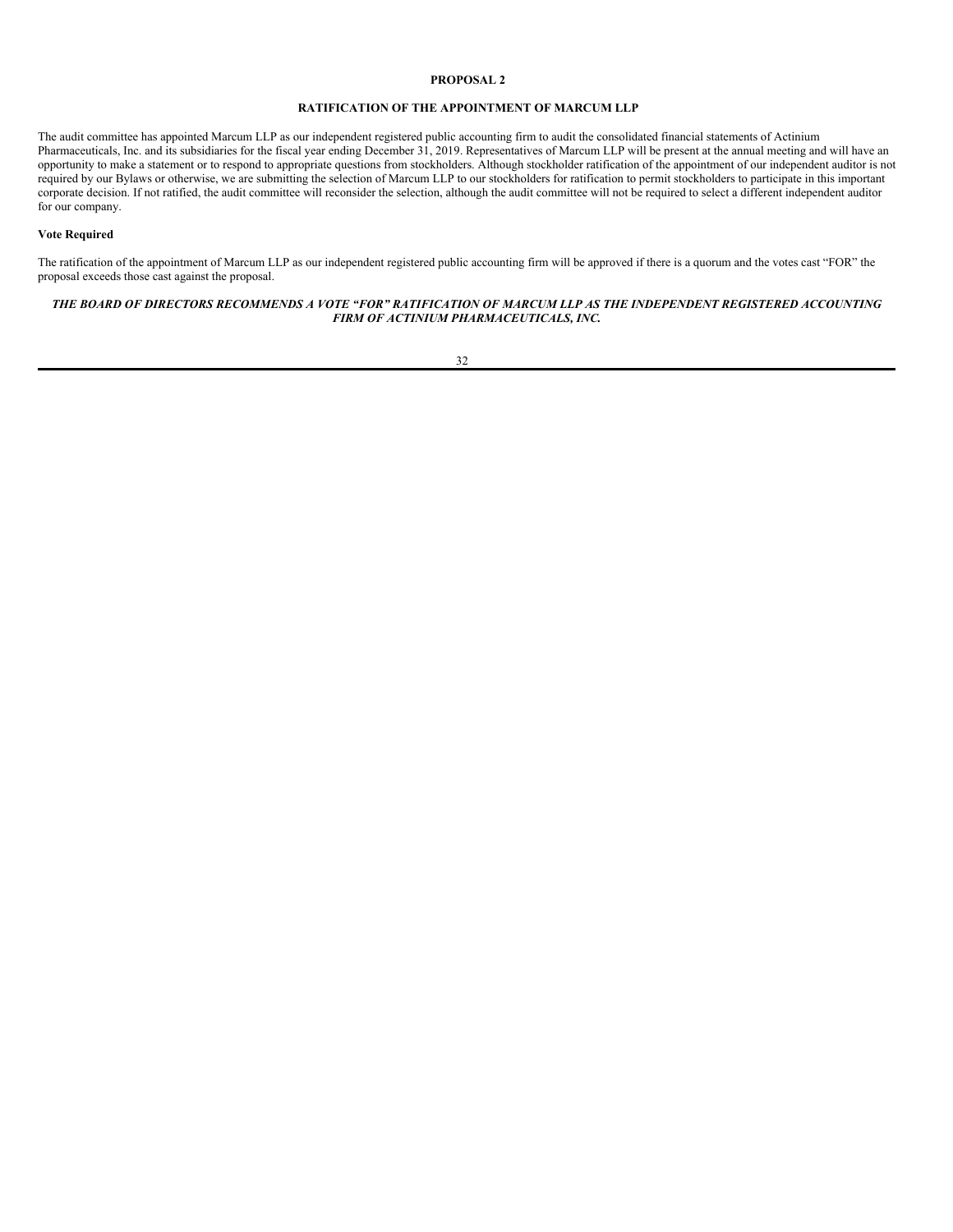## <span id="page-34-0"></span>**PROPOSAL 2**

## **RATIFICATION OF THE APPOINTMENT OF MARCUM LLP**

The audit committee has appointed Marcum LLP as our independent registered public accounting firm to audit the consolidated financial statements of Actinium Pharmaceuticals, Inc. and its subsidiaries for the fiscal year ending December 31, 2019. Representatives of Marcum LLP will be present at the annual meeting and will have an opportunity to make a statement or to respond to appropriate questions from stockholders. Although stockholder ratification of the appointment of our independent auditor is not required by our Bylaws or otherwise, we are submitting the selection of Marcum LLP to our stockholders for ratification to permit stockholders to participate in this important corporate decision. If not ratified, the audit committee will reconsider the selection, although the audit committee will not be required to select a different independent auditor for our company.

### **Vote Required**

The ratification of the appointment of Marcum LLP as our independent registered public accounting firm will be approved if there is a quorum and the votes cast "FOR" the proposal exceeds those cast against the proposal.

### THE BOARD OF DIRECTORS RECOMMENDS A VOTE "FOR" RATIFICATION OF MARCUM LLP AS THE INDEPENDENT REGISTERED ACCOUNTING *FIRM OF ACTINIUM PHARMACEUTICALS, INC.*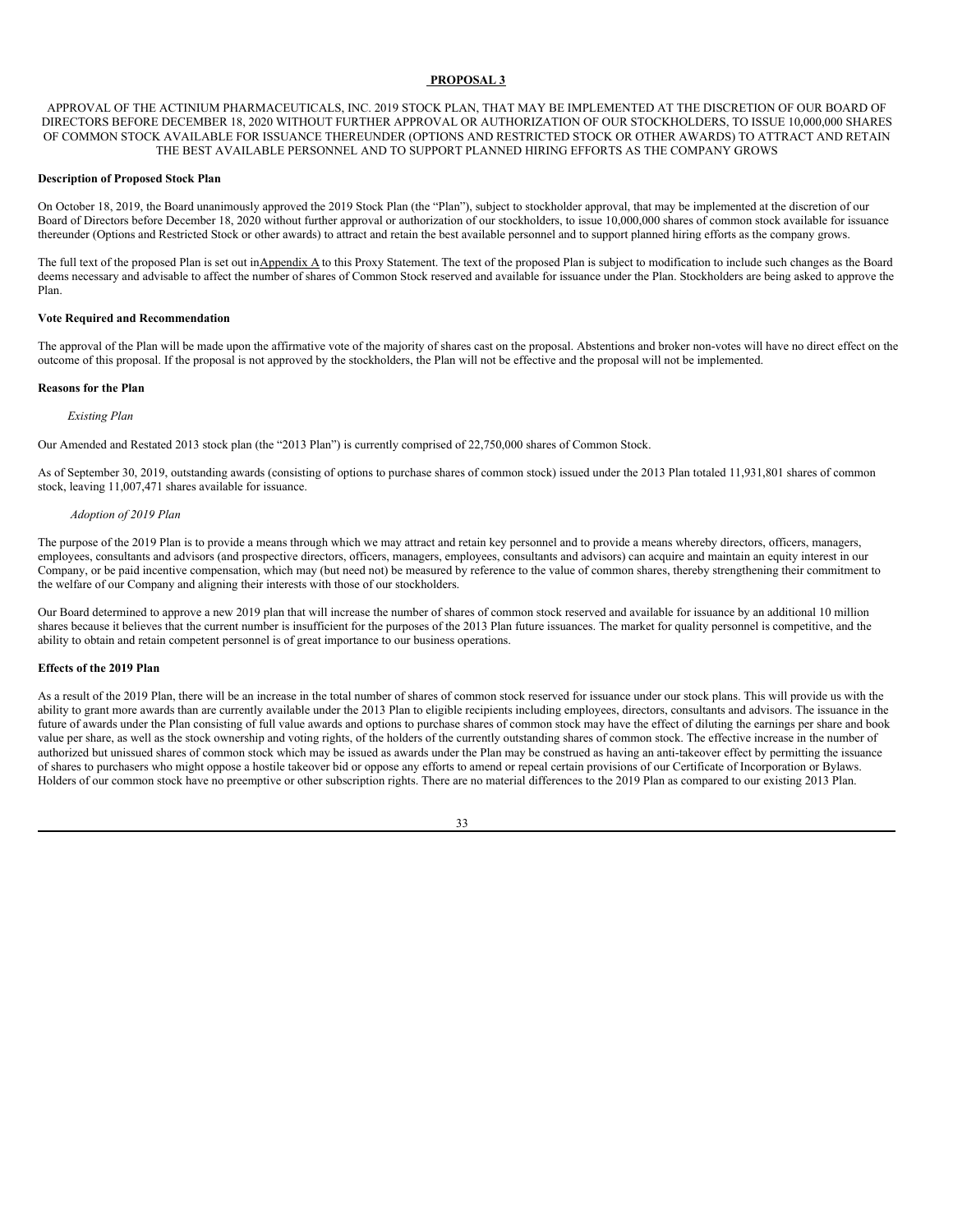### <span id="page-35-0"></span>**PROPOSAL 3**

APPROVAL OF THE ACTINIUM PHARMACEUTICALS, INC. 2019 STOCK PLAN, THAT MAY BE IMPLEMENTED AT THE DISCRETION OF OUR BOARD OF DIRECTORS BEFORE DECEMBER 18, 2020 WITHOUT FURTHER APPROVAL OR AUTHORIZATION OF OUR STOCKHOLDERS, TO ISSUE 10,000,000 SHARES OF COMMON STOCK AVAILABLE FOR ISSUANCE THEREUNDER (OPTIONS AND RESTRICTED STOCK OR OTHER AWARDS) TO ATTRACT AND RETAIN THE BEST AVAILABLE PERSONNEL AND TO SUPPORT PLANNED HIRING EFFORTS AS THE COMPANY GROWS

### **Description of Proposed Stock Plan**

On October 18, 2019, the Board unanimously approved the 2019 Stock Plan (the "Plan"), subject to stockholder approval, that may be implemented at the discretion of our Board of Directors before December 18, 2020 without further approval or authorization of our stockholders, to issue 10,000,000 shares of common stock available for issuance thereunder (Options and Restricted Stock or other awards) to attract and retain the best available personnel and to support planned hiring efforts as the company grows.

The full text of the proposed Plan is set out in $\Delta$ pendix  $\Delta$  to this Proxy Statement. The text of the proposed Plan is subject to modification to include such changes as the Board deems necessary and advisable to affect the number of shares of Common Stock reserved and available for issuance under the Plan. Stockholders are being asked to approve the Plan.

### **Vote Required and Recommendation**

The approval of the Plan will be made upon the affirmative vote of the majority of shares cast on the proposal. Abstentions and broker non-votes will have no direct effect on the outcome of this proposal. If the proposal is not approved by the stockholders, the Plan will not be effective and the proposal will not be implemented.

### **Reasons for the Plan**

### *Existing Plan*

Our Amended and Restated 2013 stock plan (the "2013 Plan") is currently comprised of 22,750,000 shares of Common Stock.

As of September 30, 2019, outstanding awards (consisting of options to purchase shares of common stock) issued under the 2013 Plan totaled 11,931,801 shares of common stock, leaving 11,007,471 shares available for issuance.

#### *Adoption of 2019 Plan*

The purpose of the 2019 Plan is to provide a means through which we may attract and retain key personnel and to provide a means whereby directors, officers, managers, employees, consultants and advisors (and prospective directors, officers, managers, employees, consultants and advisors) can acquire and maintain an equity interest in our Company, or be paid incentive compensation, which may (but need not) be measured by reference to the value of common shares, thereby strengthening their commitment to the welfare of our Company and aligning their interests with those of our stockholders.

Our Board determined to approve a new 2019 plan that will increase the number of shares of common stock reserved and available for issuance by an additional 10 million shares because it believes that the current number is insufficient for the purposes of the 2013 Plan future issuances. The market for quality personnel is competitive, and the ability to obtain and retain competent personnel is of great importance to our business operations.

## **Effects of the 2019 Plan**

As a result of the 2019 Plan, there will be an increase in the total number of shares of common stock reserved for issuance under our stock plans. This will provide us with the ability to grant more awards than are currently available under the 2013 Plan to eligible recipients including employees, directors, consultants and advisors. The issuance in the future of awards under the Plan consisting of full value awards and options to purchase shares of common stock may have the effect of diluting the earnings per share and book value per share, as well as the stock ownership and voting rights, of the holders of the currently outstanding shares of common stock. The effective increase in the number of authorized but unissued shares of common stock which may be issued as awards under the Plan may be construed as having an anti-takeover effect by permitting the issuance of shares to purchasers who might oppose a hostile takeover bid or oppose any efforts to amend or repeal certain provisions of our Certificate of Incorporation or Bylaws. Holders of our common stock have no preemptive or other subscription rights. There are no material differences to the 2019 Plan as compared to our existing 2013 Plan.

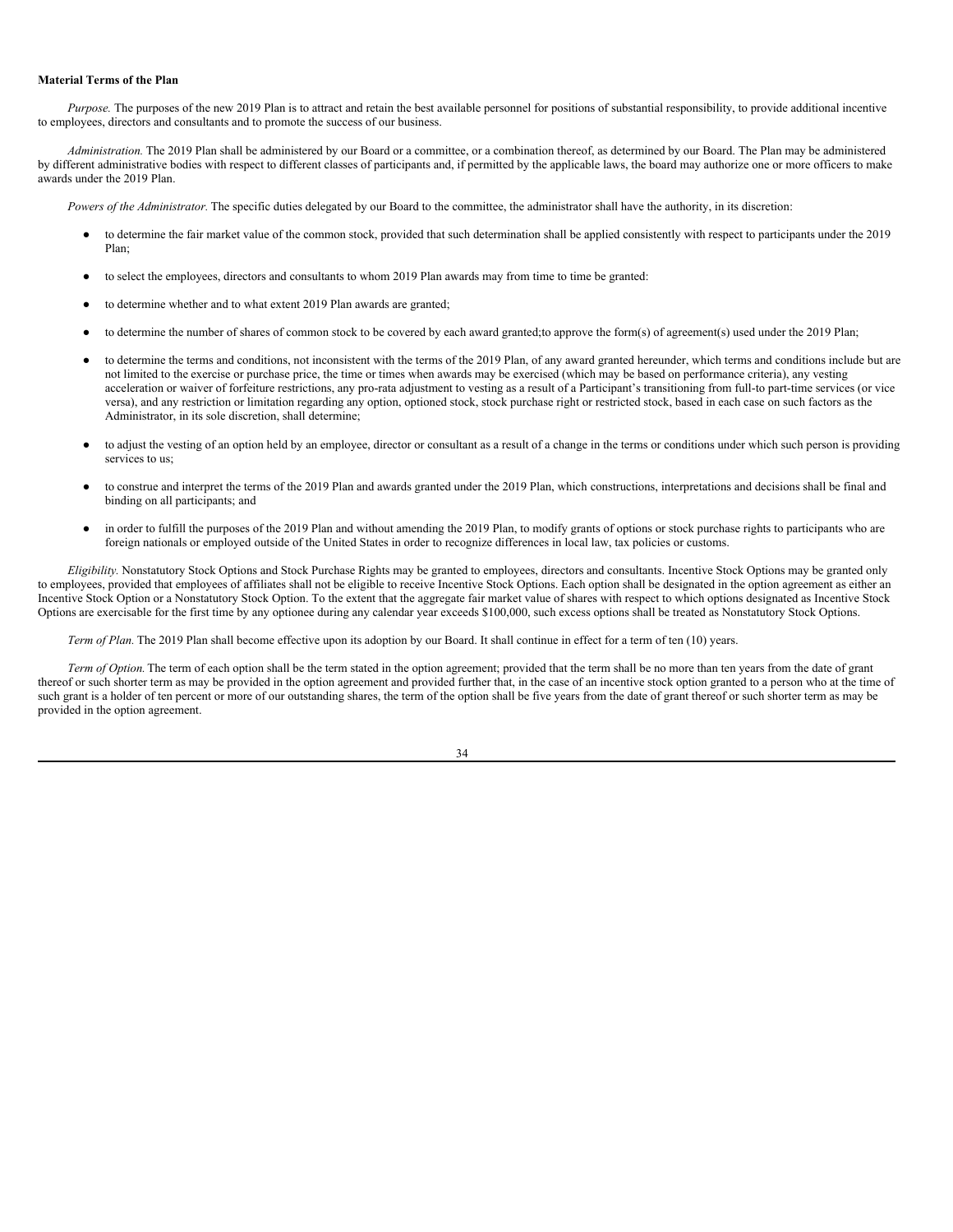#### **Material Terms of the Plan**

*Purpose.* The purposes of the new 2019 Plan is to attract and retain the best available personnel for positions of substantial responsibility, to provide additional incentive to employees, directors and consultants and to promote the success of our business.

*Administration.* The 2019 Plan shall be administered by our Board or a committee, or a combination thereof, as determined by our Board. The Plan may be administered by different administrative bodies with respect to different classes of participants and, if permitted by the applicable laws, the board may authorize one or more officers to make awards under the 2019 Plan.

*Powers of the Administrator.* The specific duties delegated by our Board to the committee, the administrator shall have the authority, in its discretion:

- to determine the fair market value of the common stock, provided that such determination shall be applied consistently with respect to participants under the 2019 Plan;
- to select the employees, directors and consultants to whom 2019 Plan awards may from time to time be granted:
- to determine whether and to what extent 2019 Plan awards are granted;
- to determine the number of shares of common stock to be covered by each award granted;to approve the form(s) of agreement(s) used under the 2019 Plan;
- to determine the terms and conditions, not inconsistent with the terms of the 2019 Plan, of any award granted hereunder, which terms and conditions include but are not limited to the exercise or purchase price, the time or times when awards may be exercised (which may be based on performance criteria), any vesting acceleration or waiver of forfeiture restrictions, any pro-rata adjustment to vesting as a result of a Participant's transitioning from full-to part-time services (or vice versa), and any restriction or limitation regarding any option, optioned stock, stock purchase right or restricted stock, based in each case on such factors as the Administrator, in its sole discretion, shall determine;
- to adjust the vesting of an option held by an employee, director or consultant as a result of a change in the terms or conditions under which such person is providing services to us;
- to construe and interpret the terms of the 2019 Plan and awards granted under the 2019 Plan, which constructions, interpretations and decisions shall be final and binding on all participants; and
- in order to fulfill the purposes of the 2019 Plan and without amending the 2019 Plan, to modify grants of options or stock purchase rights to participants who are foreign nationals or employed outside of the United States in order to recognize differences in local law, tax policies or customs.

*Eligibility.* Nonstatutory Stock Options and Stock Purchase Rights may be granted to employees, directors and consultants. Incentive Stock Options may be granted only to employees, provided that employees of affiliates shall not be eligible to receive Incentive Stock Options. Each option shall be designated in the option agreement as either an Incentive Stock Option or a Nonstatutory Stock Option. To the extent that the aggregate fair market value of shares with respect to which options designated as Incentive Stock Options are exercisable for the first time by any optionee during any calendar year exceeds \$100,000, such excess options shall be treated as Nonstatutory Stock Options.

*Term of Plan.* The 2019 Plan shall become effective upon its adoption by our Board. It shall continue in effect for a term of ten (10) years.

*Term of Option.*The term of each option shall be the term stated in the option agreement; provided that the term shall be no more than ten years from the date of grant thereof or such shorter term as may be provided in the option agreement and provided further that, in the case of an incentive stock option granted to a person who at the time of such grant is a holder of ten percent or more of our outstanding shares, the term of the option shall be five years from the date of grant thereof or such shorter term as may be provided in the option agreement.

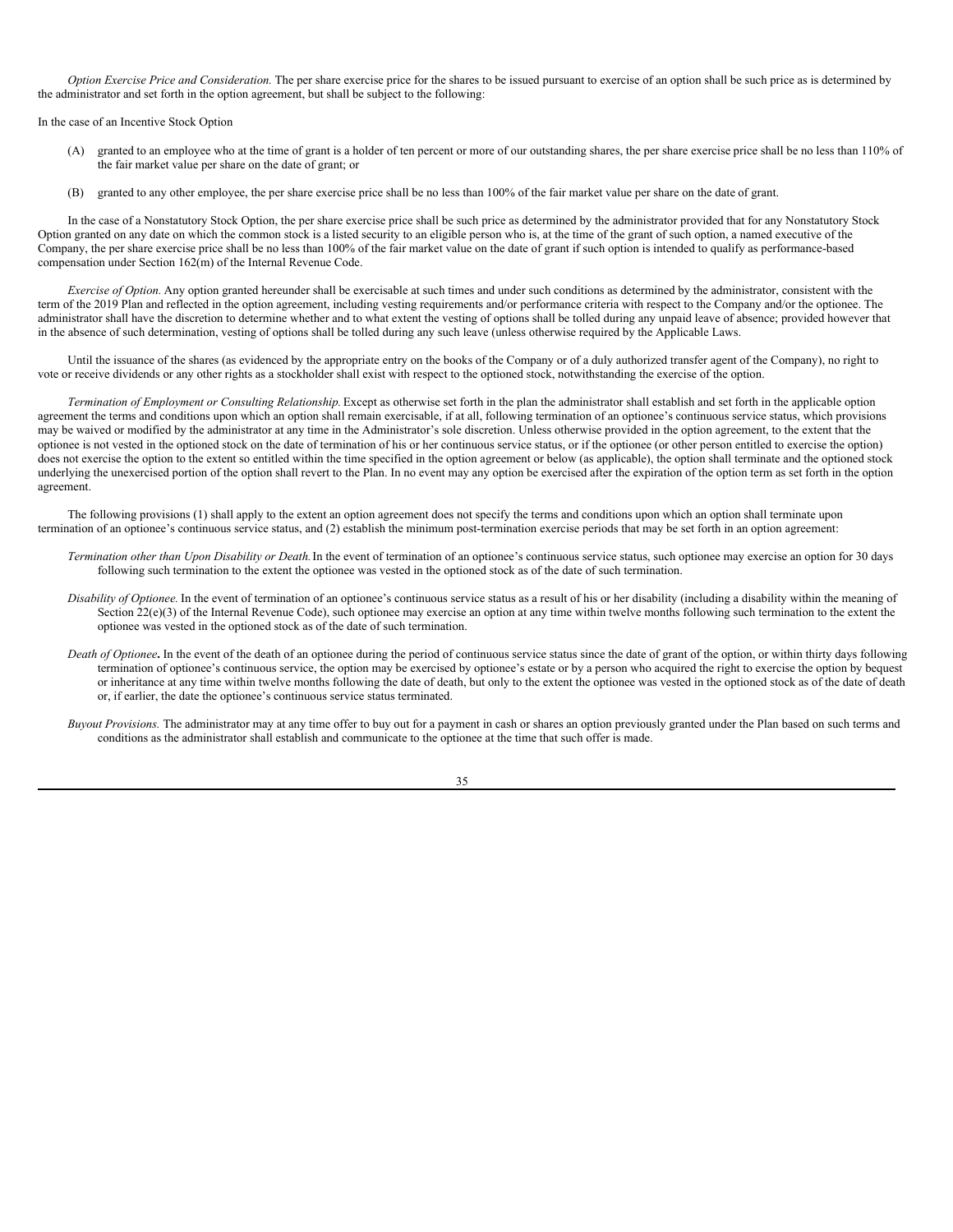*Option Exercise Price and Consideration.* The per share exercise price for the shares to be issued pursuant to exercise of an option shall be such price as is determined by the administrator and set forth in the option agreement, but shall be subject to the following:

In the case of an Incentive Stock Option

- (A) granted to an employee who at the time of grant is a holder of ten percent or more of our outstanding shares, the per share exercise price shall be no less than 110% of the fair market value per share on the date of grant; or
- (B) granted to any other employee, the per share exercise price shall be no less than 100% of the fair market value per share on the date of grant.

In the case of a Nonstatutory Stock Option, the per share exercise price shall be such price as determined by the administrator provided that for any Nonstatutory Stock Option granted on any date on which the common stock is a listed security to an eligible person who is, at the time of the grant of such option, a named executive of the Company, the per share exercise price shall be no less than 100% of the fair market value on the date of grant if such option is intended to qualify as performance-based compensation under Section 162(m) of the Internal Revenue Code.

*Exercise of Option.* Any option granted hereunder shall be exercisable at such times and under such conditions as determined by the administrator, consistent with the term of the 2019 Plan and reflected in the option agreement, including vesting requirements and/or performance criteria with respect to the Company and/or the optionee. The administrator shall have the discretion to determine whether and to what extent the vesting of options shall be tolled during any unpaid leave of absence; provided however that in the absence of such determination, vesting of options shall be tolled during any such leave (unless otherwise required by the Applicable Laws.

Until the issuance of the shares (as evidenced by the appropriate entry on the books of the Company or of a duly authorized transfer agent of the Company), no right to vote or receive dividends or any other rights as a stockholder shall exist with respect to the optioned stock, notwithstanding the exercise of the option.

*Termination of Employment or Consulting Relationship.* Except as otherwise set forth in the plan the administrator shall establish and set forth in the applicable option agreement the terms and conditions upon which an option shall remain exercisable, if at all, following termination of an optionee's continuous service status, which provisions may be waived or modified by the administrator at any time in the Administrator's sole discretion. Unless otherwise provided in the option agreement, to the extent that the optionee is not vested in the optioned stock on the date of termination of his or her continuous service status, or if the optionee (or other person entitled to exercise the option) does not exercise the option to the extent so entitled within the time specified in the option agreement or below (as applicable), the option shall terminate and the optioned stock underlying the unexercised portion of the option shall revert to the Plan. In no event may any option be exercised after the expiration of the option term as set forth in the option agreement.

The following provisions (1) shall apply to the extent an option agreement does not specify the terms and conditions upon which an option shall terminate upon termination of an optionee's continuous service status, and (2) establish the minimum post-termination exercise periods that may be set forth in an option agreement:

- *Termination other than Upon Disability or Death.*In the event of termination of an optionee's continuous service status, such optionee may exercise an option for 30 days following such termination to the extent the optionee was vested in the optioned stock as of the date of such termination.
- *Disability of Optionee*. In the event of termination of an optionee's continuous service status as a result of his or her disability (including a disability within the meaning of Section  $22(e)(3)$  of the Internal Revenue Code), such optionee may exercise an option at any time within twelve months following such termination to the extent the optionee was vested in the optioned stock as of the date of such termination.
- *Death of Optionee*. In the event of the death of an optionee during the period of continuous service status since the date of grant of the option, or within thirty days following termination of optionee's continuous service, the option may be exercised by optionee's estate or by a person who acquired the right to exercise the option by bequest or inheritance at any time within twelve months following the date of death, but only to the extent the optionee was vested in the optioned stock as of the date of death or, if earlier, the date the optionee's continuous service status terminated.
- *Buyout Provisions.* The administrator may at any time offer to buy out for a payment in cash or shares an option previously granted under the Plan based on such terms and conditions as the administrator shall establish and communicate to the optionee at the time that such offer is made.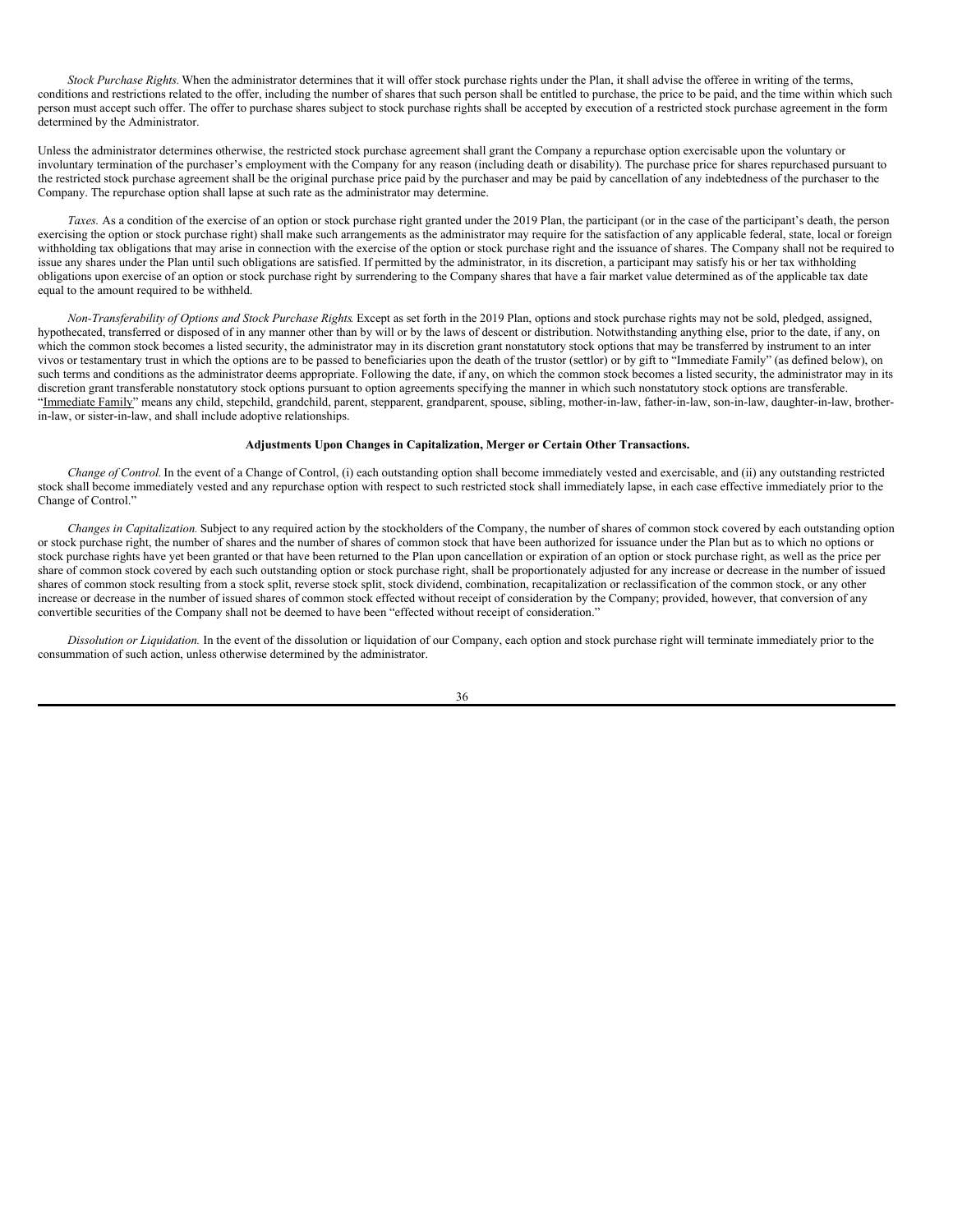*Stock Purchase Rights.* When the administrator determines that it will offer stock purchase rights under the Plan, it shall advise the offeree in writing of the terms, conditions and restrictions related to the offer, including the number of shares that such person shall be entitled to purchase, the price to be paid, and the time within which such person must accept such offer. The offer to purchase shares subject to stock purchase rights shall be accepted by execution of a restricted stock purchase agreement in the form determined by the Administrator.

Unless the administrator determines otherwise, the restricted stock purchase agreement shall grant the Company a repurchase option exercisable upon the voluntary or involuntary termination of the purchaser's employment with the Company for any reason (including death or disability). The purchase price for shares repurchased pursuant to the restricted stock purchase agreement shall be the original purchase price paid by the purchaser and may be paid by cancellation of any indebtedness of the purchaser to the Company. The repurchase option shall lapse at such rate as the administrator may determine.

*Taxes.* As a condition of the exercise of an option or stock purchase right granted under the 2019 Plan, the participant (or in the case of the participant's death, the person exercising the option or stock purchase right) shall make such arrangements as the administrator may require for the satisfaction of any applicable federal, state, local or foreign withholding tax obligations that may arise in connection with the exercise of the option or stock purchase right and the issuance of shares. The Company shall not be required to issue any shares under the Plan until such obligations are satisfied. If permitted by the administrator, in its discretion, a participant may satisfy his or her tax withholding obligations upon exercise of an option or stock purchase right by surrendering to the Company shares that have a fair market value determined as of the applicable tax date equal to the amount required to be withheld.

*Non-Transferability of Options and Stock Purchase Rights*. Except as set forth in the 2019 Plan, options and stock purchase rights may not be sold, pledged, assigned, hypothecated, transferred or disposed of in any manner other than by will or by the laws of descent or distribution. Notwithstanding anything else, prior to the date, if any, on which the common stock becomes a listed security, the administrator may in its discretion grant nonstatutory stock options that may be transferred by instrument to an inter vivos or testamentary trust in which the options are to be passed to beneficiaries upon the death of the trustor (settlor) or by gift to "Immediate Family" (as defined below), on such terms and conditions as the administrator deems appropriate. Following the date, if any, on which the common stock becomes a listed security, the administrator may in its discretion grant transferable nonstatutory stock options pursuant to option agreements specifying the manner in which such nonstatutory stock options are transferable. "Immediate Family" means any child, stepchild, grandchild, parent, stepparent, grandparent, spouse, sibling, mother-in-law, father-in-law, son-in-law, daughter-in-law, brotherin-law, or sister-in-law, and shall include adoptive relationships.

### **Adjustments Upon Changes in Capitalization, Merger or Certain Other Transactions.**

*Change of Control.* In the event of a Change of Control, (i) each outstanding option shall become immediately vested and exercisable, and (ii) any outstanding restricted stock shall become immediately vested and any repurchase option with respect to such restricted stock shall immediately lapse, in each case effective immediately prior to the Change of Control."

*Changes in Capitalization.* Subject to any required action by the stockholders of the Company, the number of shares of common stock covered by each outstanding option or stock purchase right, the number of shares and the number of shares of common stock that have been authorized for issuance under the Plan but as to which no options or stock purchase rights have yet been granted or that have been returned to the Plan upon cancellation or expiration of an option or stock purchase right, as well as the price per share of common stock covered by each such outstanding option or stock purchase right, shall be proportionately adjusted for any increase or decrease in the number of issued shares of common stock resulting from a stock split, reverse stock split, stock dividend, combination, recapitalization or reclassification of the common stock, or any other increase or decrease in the number of issued shares of common stock effected without receipt of consideration by the Company; provided, however, that conversion of any convertible securities of the Company shall not be deemed to have been "effected without receipt of consideration."

*Dissolution or Liquidation.* In the event of the dissolution or liquidation of our Company, each option and stock purchase right will terminate immediately prior to the consummation of such action, unless otherwise determined by the administrator.

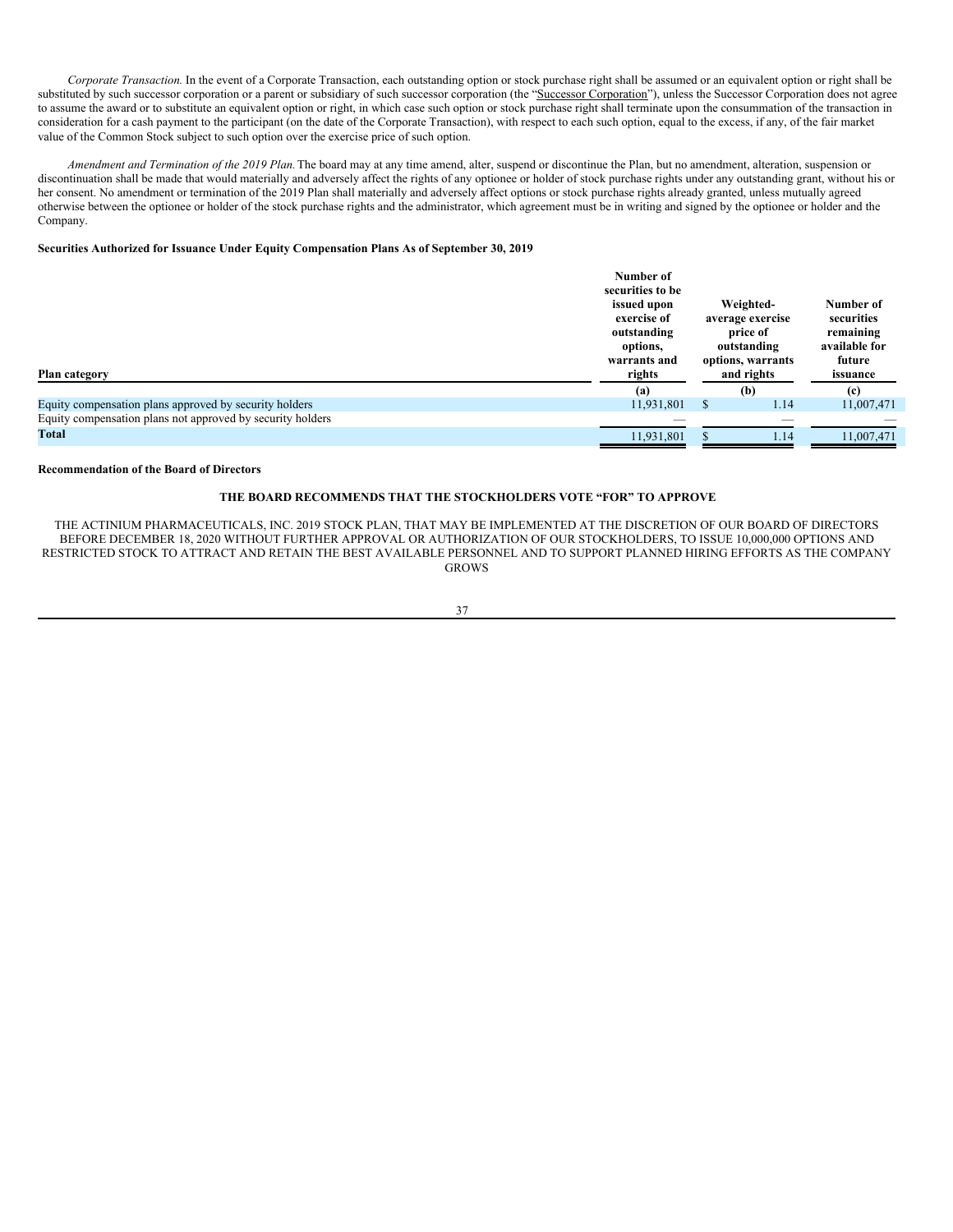*Corporate Transaction.* In the event of a Corporate Transaction, each outstanding option or stock purchase right shall be assumed or an equivalent option or right shall be substituted by such successor corporation or a parent or subsidiary of such successor corporation (the "Successor Corporation"), unless the Successor Corporation does not agree to assume the award or to substitute an equivalent option or right, in which case such option or stock purchase right shall terminate upon the consummation of the transaction in consideration for a cash payment to the participant (on the date of the Corporate Transaction), with respect to each such option, equal to the excess, if any, of the fair market value of the Common Stock subject to such option over the exercise price of such option.

*Amendment and Termination of the 2019 Plan.*The board may at any time amend, alter, suspend or discontinue the Plan, but no amendment, alteration, suspension or discontinuation shall be made that would materially and adversely affect the rights of any optionee or holder of stock purchase rights under any outstanding grant, without his or her consent. No amendment or termination of the 2019 Plan shall materially and adversely affect options or stock purchase rights already granted, unless mutually agreed otherwise between the optionee or holder of the stock purchase rights and the administrator, which agreement must be in writing and signed by the optionee or holder and the Company.

## **Securities Authorized for Issuance Under Equity Compensation Plans As of September 30, 2019**

|                                                            | Number of<br>securities to be<br>issued upon<br>exercise of<br>outstanding<br>options,<br>warrants and | Weighted-<br>average exercise<br>price of<br>outstanding<br>options, warrants | Number of<br>securities<br>remaining<br>available for<br>future |
|------------------------------------------------------------|--------------------------------------------------------------------------------------------------------|-------------------------------------------------------------------------------|-----------------------------------------------------------------|
| <b>Plan category</b>                                       | rights                                                                                                 | and rights                                                                    | issuance                                                        |
|                                                            | (a)                                                                                                    | (b)                                                                           | (c)                                                             |
| Equity compensation plans approved by security holders     | 11,931,801                                                                                             | -S                                                                            | 11,007,471<br>1.14                                              |
| Equity compensation plans not approved by security holders |                                                                                                        |                                                                               |                                                                 |
| Total                                                      | 11,931,801                                                                                             |                                                                               | 1.14<br>11,007,471                                              |

# **Recommendation of the Board of Directors**

## **THE BOARD RECOMMENDS THAT THE STOCKHOLDERS VOTE "FOR" TO APPROVE**

THE ACTINIUM PHARMACEUTICALS, INC. 2019 STOCK PLAN, THAT MAY BE IMPLEMENTED AT THE DISCRETION OF OUR BOARD OF DIRECTORS BEFORE DECEMBER 18, 2020 WITHOUT FURTHER APPROVAL OR AUTHORIZATION OF OUR STOCKHOLDERS, TO ISSUE 10,000,000 OPTIONS AND RESTRICTED STOCK TO ATTRACT AND RETAIN THE BEST AVAILABLE PERSONNEL AND TO SUPPORT PLANNED HIRING EFFORTS AS THE COMPANY GROWS

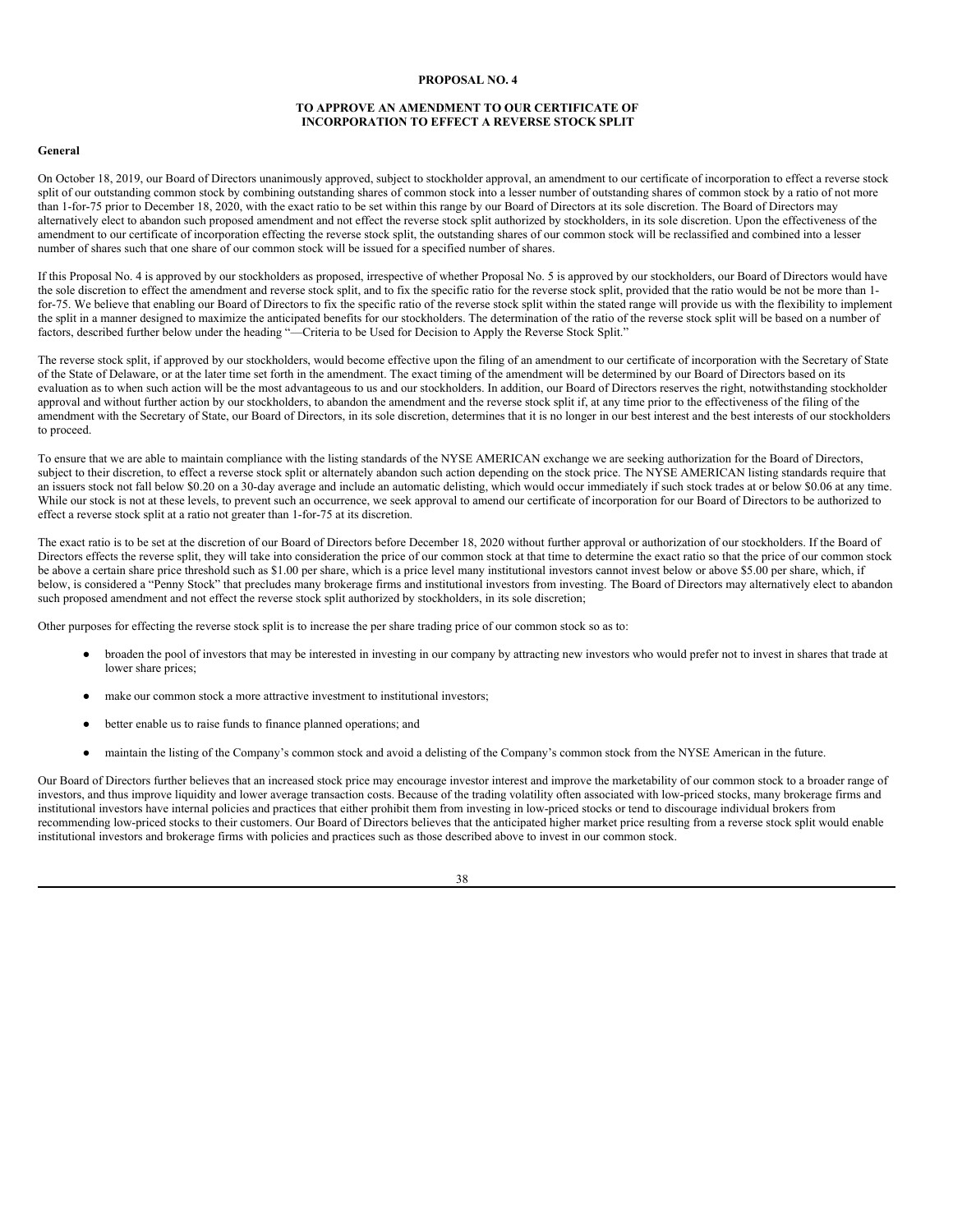### <span id="page-40-0"></span>**PROPOSAL NO. 4**

#### **TO APPROVE AN AMENDMENT TO OUR CERTIFICATE OF INCORPORATION TO EFFECT A REVERSE STOCK SPLIT**

#### **General**

On October 18, 2019, our Board of Directors unanimously approved, subject to stockholder approval, an amendment to our certificate of incorporation to effect a reverse stock split of our outstanding common stock by combining outstanding shares of common stock into a lesser number of outstanding shares of common stock by a ratio of not more than 1-for-75 prior to December 18, 2020, with the exact ratio to be set within this range by our Board of Directors at its sole discretion. The Board of Directors may alternatively elect to abandon such proposed amendment and not effect the reverse stock split authorized by stockholders, in its sole discretion. Upon the effectiveness of the amendment to our certificate of incorporation effecting the reverse stock split, the outstanding shares of our common stock will be reclassified and combined into a lesser number of shares such that one share of our common stock will be issued for a specified number of shares.

If this Proposal No. 4 is approved by our stockholders as proposed, irrespective of whether Proposal No. 5 is approved by our stockholders, our Board of Directors would have the sole discretion to effect the amendment and reverse stock split, and to fix the specific ratio for the reverse stock split, provided that the ratio would be not be more than 1for-75. We believe that enabling our Board of Directors to fix the specific ratio of the reverse stock split within the stated range will provide us with the flexibility to implement the split in a manner designed to maximize the anticipated benefits for our stockholders. The determination of the ratio of the reverse stock split will be based on a number of factors, described further below under the heading "—Criteria to be Used for Decision to Apply the Reverse Stock Split."

The reverse stock split, if approved by our stockholders, would become effective upon the filing of an amendment to our certificate of incorporation with the Secretary of State of the State of Delaware, or at the later time set forth in the amendment. The exact timing of the amendment will be determined by our Board of Directors based on its evaluation as to when such action will be the most advantageous to us and our stockholders. In addition, our Board of Directors reserves the right, notwithstanding stockholder approval and without further action by our stockholders, to abandon the amendment and the reverse stock split if, at any time prior to the effectiveness of the filing of the amendment with the Secretary of State, our Board of Directors, in its sole discretion, determines that it is no longer in our best interest and the best interests of our stockholders to proceed.

To ensure that we are able to maintain compliance with the listing standards of the NYSE AMERICAN exchange we are seeking authorization for the Board of Directors, subject to their discretion, to effect a reverse stock split or alternately abandon such action depending on the stock price. The NYSE AMERICAN listing standards require that an issuers stock not fall below \$0.20 on a 30-day average and include an automatic delisting, which would occur immediately if such stock trades at or below \$0.06 at any time. While our stock is not at these levels, to prevent such an occurrence, we seek approval to amend our certificate of incorporation for our Board of Directors to be authorized to effect a reverse stock split at a ratio not greater than 1-for-75 at its discretion.

The exact ratio is to be set at the discretion of our Board of Directors before December 18, 2020 without further approval or authorization of our stockholders. If the Board of Directors effects the reverse split, they will take into consideration the price of our common stock at that time to determine the exact ratio so that the price of our common stock be above a certain share price threshold such as \$1.00 per share, which is a price level many institutional investors cannot invest below or above \$5.00 per share, which, if below, is considered a "Penny Stock" that precludes many brokerage firms and institutional investors from investing. The Board of Directors may alternatively elect to abandon such proposed amendment and not effect the reverse stock split authorized by stockholders, in its sole discretion;

Other purposes for effecting the reverse stock split is to increase the per share trading price of our common stock so as to:

- broaden the pool of investors that may be interested in investing in our company by attracting new investors who would prefer not to invest in shares that trade at lower share prices;
- make our common stock a more attractive investment to institutional investors:
- better enable us to raise funds to finance planned operations; and
- maintain the listing of the Company's common stock and avoid a delisting of the Company's common stock from the NYSE American in the future.

Our Board of Directors further believes that an increased stock price may encourage investor interest and improve the marketability of our common stock to a broader range of investors, and thus improve liquidity and lower average transaction costs. Because of the trading volatility often associated with low-priced stocks, many brokerage firms and institutional investors have internal policies and practices that either prohibit them from investing in low-priced stocks or tend to discourage individual brokers from recommending low-priced stocks to their customers. Our Board of Directors believes that the anticipated higher market price resulting from a reverse stock split would enable institutional investors and brokerage firms with policies and practices such as those described above to invest in our common stock.

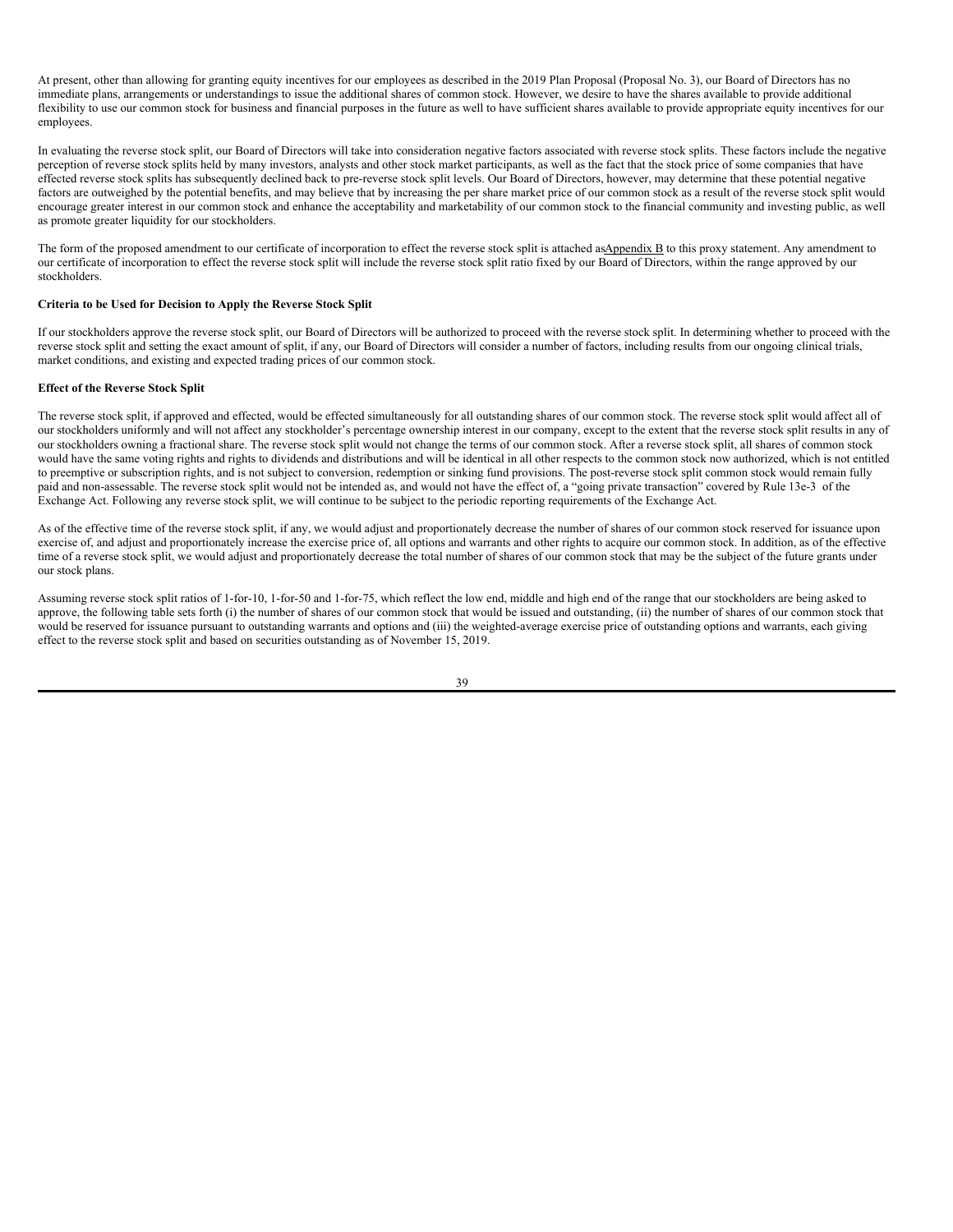At present, other than allowing for granting equity incentives for our employees as described in the 2019 Plan Proposal (Proposal No. 3), our Board of Directors has no immediate plans, arrangements or understandings to issue the additional shares of common stock. However, we desire to have the shares available to provide additional flexibility to use our common stock for business and financial purposes in the future as well to have sufficient shares available to provide appropriate equity incentives for our employees.

In evaluating the reverse stock split, our Board of Directors will take into consideration negative factors associated with reverse stock splits. These factors include the negative perception of reverse stock splits held by many investors, analysts and other stock market participants, as well as the fact that the stock price of some companies that have effected reverse stock splits has subsequently declined back to pre-reverse stock split levels. Our Board of Directors, however, may determine that these potential negative factors are outweighed by the potential benefits, and may believe that by increasing the per share market price of our common stock as a result of the reverse stock split would encourage greater interest in our common stock and enhance the acceptability and marketability of our common stock to the financial community and investing public, as well as promote greater liquidity for our stockholders.

The form of the proposed amendment to our certificate of incorporation to effect the reverse stock split is attached asAppendix B to this proxy statement. Any amendment to our certificate of incorporation to effect the reverse stock split will include the reverse stock split ratio fixed by our Board of Directors, within the range approved by our stockholders.

# **Criteria to be Used for Decision to Apply the Reverse Stock Split**

If our stockholders approve the reverse stock split, our Board of Directors will be authorized to proceed with the reverse stock split. In determining whether to proceed with the reverse stock split and setting the exact amount of split, if any, our Board of Directors will consider a number of factors, including results from our ongoing clinical trials, market conditions, and existing and expected trading prices of our common stock.

#### **Effect of the Reverse Stock Split**

The reverse stock split, if approved and effected, would be effected simultaneously for all outstanding shares of our common stock. The reverse stock split would affect all of our stockholders uniformly and will not affect any stockholder's percentage ownership interest in our company, except to the extent that the reverse stock split results in any of our stockholders owning a fractional share. The reverse stock split would not change the terms of our common stock. After a reverse stock split, all shares of common stock would have the same voting rights and rights to dividends and distributions and will be identical in all other respects to the common stock now authorized, which is not entitled to preemptive or subscription rights, and is not subject to conversion, redemption or sinking fund provisions. The post-reverse stock split common stock would remain fully paid and non-assessable. The reverse stock split would not be intended as, and would not have the effect of, a "going private transaction" covered by Rule 13e-3 of the Exchange Act. Following any reverse stock split, we will continue to be subject to the periodic reporting requirements of the Exchange Act.

As of the effective time of the reverse stock split, if any, we would adjust and proportionately decrease the number of shares of our common stock reserved for issuance upon exercise of, and adjust and proportionately increase the exercise price of, all options and warrants and other rights to acquire our common stock. In addition, as of the effective time of a reverse stock split, we would adjust and proportionately decrease the total number of shares of our common stock that may be the subject of the future grants under our stock plans.

Assuming reverse stock split ratios of 1-for-10, 1-for-50 and 1-for-75, which reflect the low end, middle and high end of the range that our stockholders are being asked to approve, the following table sets forth (i) the number of shares of our common stock that would be issued and outstanding, (ii) the number of shares of our common stock that would be reserved for issuance pursuant to outstanding warrants and options and (iii) the weighted-average exercise price of outstanding options and warrants, each giving effect to the reverse stock split and based on securities outstanding as of November 15, 2019.

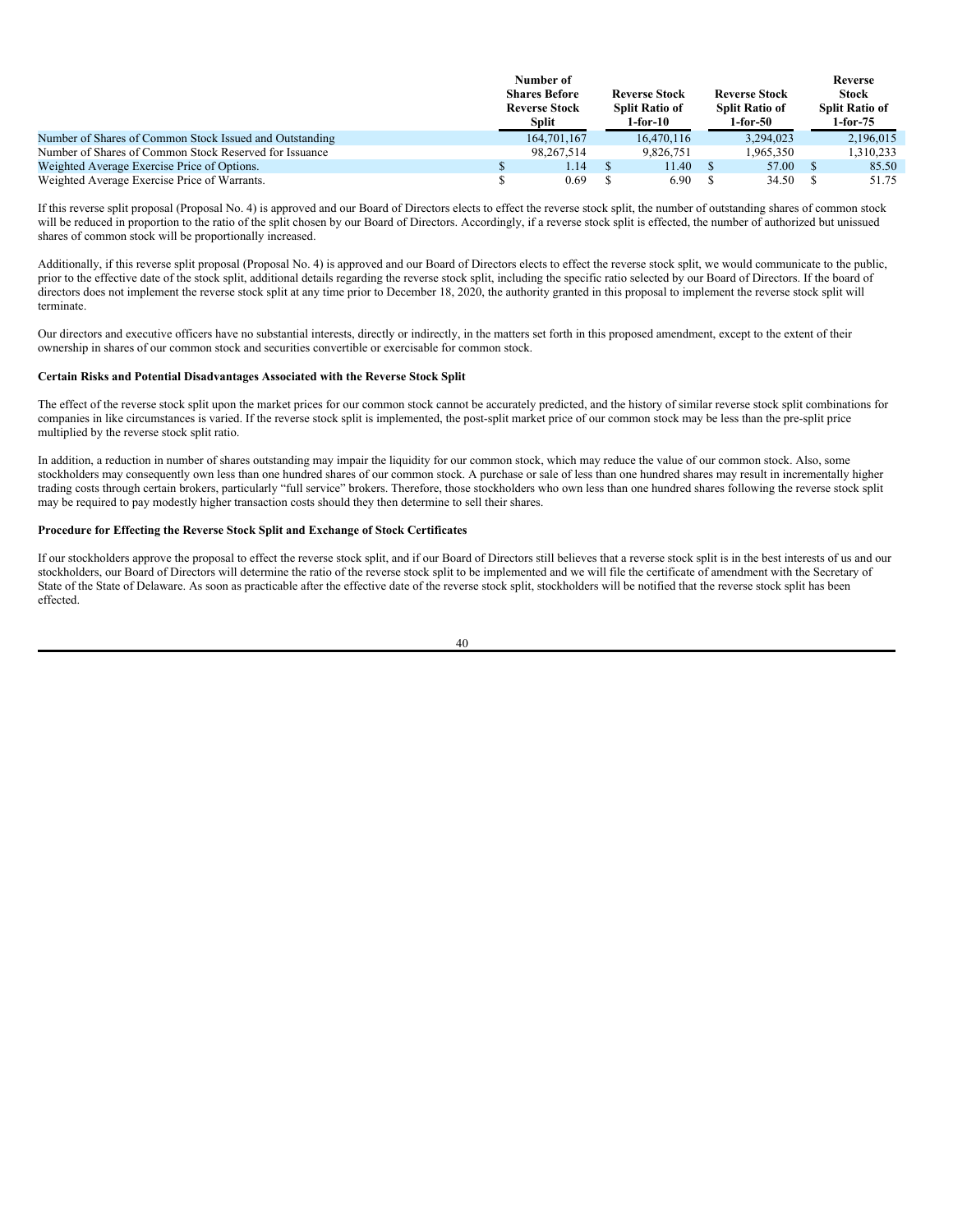|                                                         |   | Number of                                    |  |                                               |  |                                               |  | Reverse               |
|---------------------------------------------------------|---|----------------------------------------------|--|-----------------------------------------------|--|-----------------------------------------------|--|-----------------------|
|                                                         |   | <b>Shares Before</b><br><b>Reverse Stock</b> |  | <b>Reverse Stock</b><br><b>Split Ratio of</b> |  | <b>Reverse Stock</b><br><b>Split Ratio of</b> |  | <b>Stock</b>          |
|                                                         |   |                                              |  |                                               |  |                                               |  | <b>Split Ratio of</b> |
|                                                         |   | Split                                        |  | 1-for-10                                      |  | 1-for-50                                      |  | 1-for-75              |
| Number of Shares of Common Stock Issued and Outstanding |   | 164, 701, 167                                |  | 16,470,116                                    |  | 3.294.023                                     |  | 2,196,015             |
| Number of Shares of Common Stock Reserved for Issuance  |   | 98.267.514                                   |  | 9.826.751                                     |  | .965.350                                      |  | 310,233               |
| Weighted Average Exercise Price of Options.             | S | 1.14                                         |  | 11.40                                         |  | 57.00                                         |  | 85.50                 |
| Weighted Average Exercise Price of Warrants.            |   | 0.69                                         |  | 6.90                                          |  | 34.50                                         |  | 51.75                 |

If this reverse split proposal (Proposal No. 4) is approved and our Board of Directors elects to effect the reverse stock split, the number of outstanding shares of common stock will be reduced in proportion to the ratio of the split chosen by our Board of Directors. Accordingly, if a reverse stock split is effected, the number of authorized but unissued shares of common stock will be proportionally increased.

Additionally, if this reverse split proposal (Proposal No. 4) is approved and our Board of Directors elects to effect the reverse stock split, we would communicate to the public, prior to the effective date of the stock split, additional details regarding the reverse stock split, including the specific ratio selected by our Board of Directors. If the board of directors does not implement the reverse stock split at any time prior to December 18, 2020, the authority granted in this proposal to implement the reverse stock split will terminate.

Our directors and executive officers have no substantial interests, directly or indirectly, in the matters set forth in this proposed amendment, except to the extent of their ownership in shares of our common stock and securities convertible or exercisable for common stock.

### **Certain Risks and Potential Disadvantages Associated with the Reverse Stock Split**

The effect of the reverse stock split upon the market prices for our common stock cannot be accurately predicted, and the history of similar reverse stock split combinations for companies in like circumstances is varied. If the reverse stock split is implemented, the post-split market price of our common stock may be less than the pre-split price multiplied by the reverse stock split ratio.

In addition, a reduction in number of shares outstanding may impair the liquidity for our common stock, which may reduce the value of our common stock. Also, some stockholders may consequently own less than one hundred shares of our common stock. A purchase or sale of less than one hundred shares may result in incrementally higher trading costs through certain brokers, particularly "full service" brokers. Therefore, those stockholders who own less than one hundred shares following the reverse stock split may be required to pay modestly higher transaction costs should they then determine to sell their shares.

## **Procedure for Effecting the Reverse Stock Split and Exchange of Stock Certificates**

If our stockholders approve the proposal to effect the reverse stock split, and if our Board of Directors still believes that a reverse stock split is in the best interests of us and our stockholders, our Board of Directors will determine the ratio of the reverse stock split to be implemented and we will file the certificate of amendment with the Secretary of State of the State of Delaware. As soon as practicable after the effective date of the reverse stock split, stockholders will be notified that the reverse stock split has been effected.

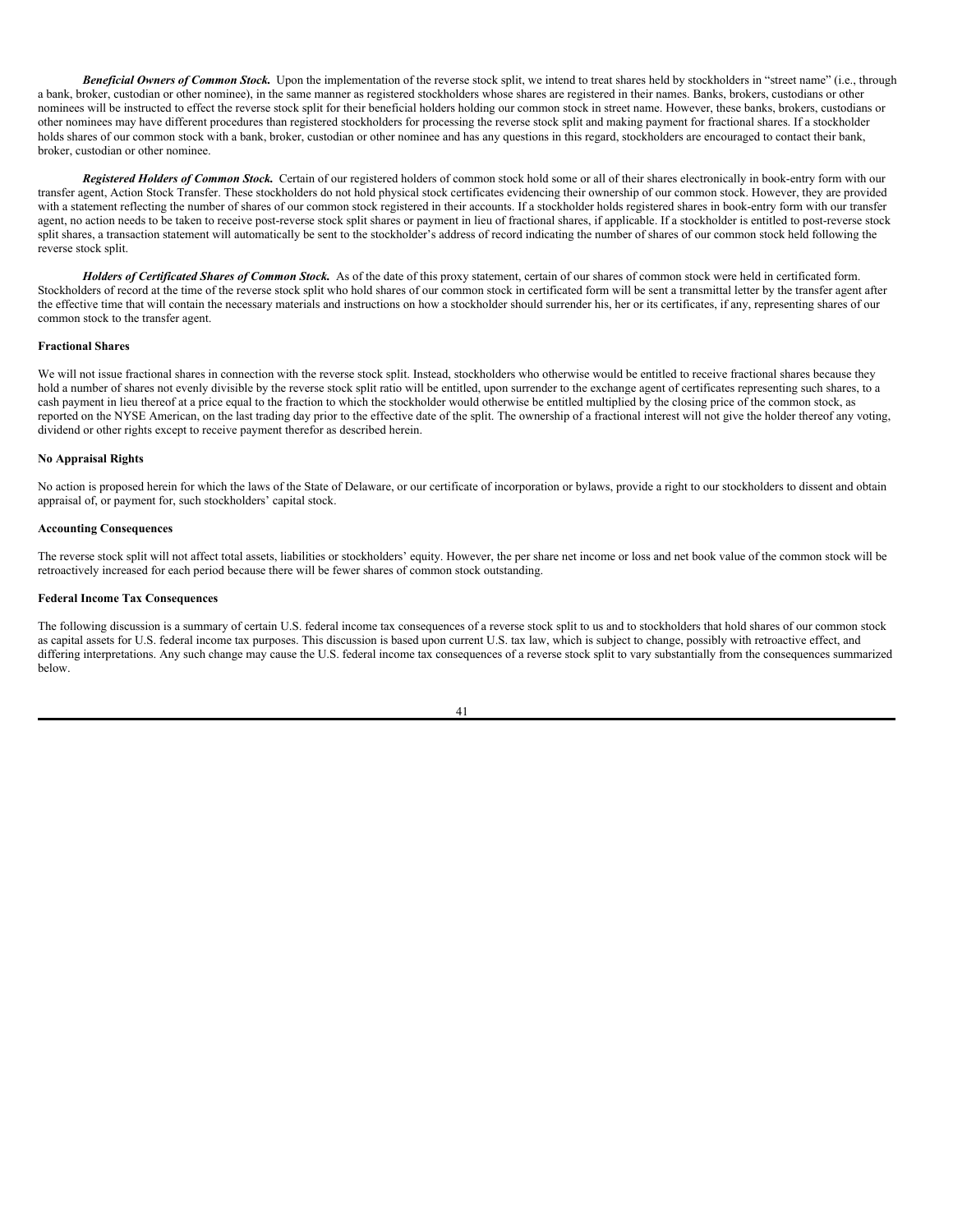*Beneficial Owners of Common Stock.* Upon the implementation of the reverse stock split, we intend to treat shares held by stockholders in "street name" (i.e., through a bank, broker, custodian or other nominee), in the same manner as registered stockholders whose shares are registered in their names. Banks, brokers, custodians or other nominees will be instructed to effect the reverse stock split for their beneficial holders holding our common stock in street name. However, these banks, brokers, custodians or other nominees may have different procedures than registered stockholders for processing the reverse stock split and making payment for fractional shares. If a stockholder holds shares of our common stock with a bank, broker, custodian or other nominee and has any questions in this regard, stockholders are encouraged to contact their bank, broker, custodian or other nominee.

*Registered Holders of Common Stock.* Certain of our registered holders of common stock hold some or all of their shares electronically in book-entry form with our transfer agent, Action Stock Transfer. These stockholders do not hold physical stock certificates evidencing their ownership of our common stock. However, they are provided with a statement reflecting the number of shares of our common stock registered in their accounts. If a stockholder holds registered shares in book-entry form with our transfer agent, no action needs to be taken to receive post-reverse stock split shares or payment in lieu of fractional shares, if applicable. If a stockholder is entitled to post-reverse stock split shares, a transaction statement will automatically be sent to the stockholder's address of record indicating the number of shares of our common stock held following the reverse stock split.

*Holders of Certificated Shares of Common Stock.* As of the date of this proxy statement, certain of our shares of common stock were held in certificated form. Stockholders of record at the time of the reverse stock split who hold shares of our common stock in certificated form will be sent a transmittal letter by the transfer agent after the effective time that will contain the necessary materials and instructions on how a stockholder should surrender his, her or its certificates, if any, representing shares of our common stock to the transfer agent.

### **Fractional Shares**

We will not issue fractional shares in connection with the reverse stock split. Instead, stockholders who otherwise would be entitled to receive fractional shares because they hold a number of shares not evenly divisible by the reverse stock split ratio will be entitled, upon surrender to the exchange agent of certificates representing such shares, to a cash payment in lieu thereof at a price equal to the fraction to which the stockholder would otherwise be entitled multiplied by the closing price of the common stock, as reported on the NYSE American, on the last trading day prior to the effective date of the split. The ownership of a fractional interest will not give the holder thereof any voting, dividend or other rights except to receive payment therefor as described herein.

## **No Appraisal Rights**

No action is proposed herein for which the laws of the State of Delaware, or our certificate of incorporation or bylaws, provide a right to our stockholders to dissent and obtain appraisal of, or payment for, such stockholders' capital stock.

#### **Accounting Consequences**

The reverse stock split will not affect total assets, liabilities or stockholders' equity. However, the per share net income or loss and net book value of the common stock will be retroactively increased for each period because there will be fewer shares of common stock outstanding.

#### **Federal Income Tax Consequences**

The following discussion is a summary of certain U.S. federal income tax consequences of a reverse stock split to us and to stockholders that hold shares of our common stock as capital assets for U.S. federal income tax purposes. This discussion is based upon current U.S. tax law, which is subject to change, possibly with retroactive effect, and differing interpretations. Any such change may cause the U.S. federal income tax consequences of a reverse stock split to vary substantially from the consequences summarized below.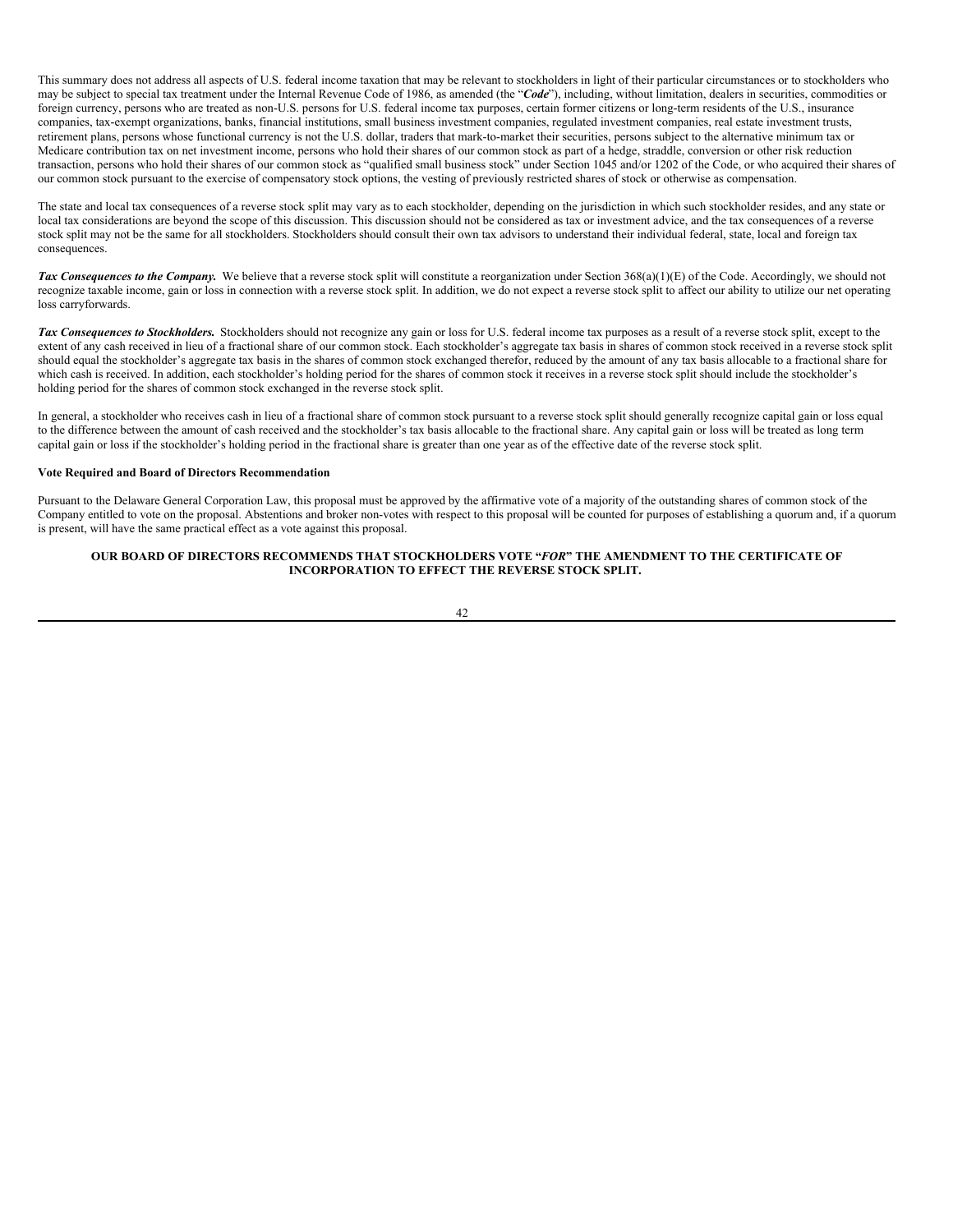This summary does not address all aspects of U.S. federal income taxation that may be relevant to stockholders in light of their particular circumstances or to stockholders who may be subject to special tax treatment under the Internal Revenue Code of 1986, as amended (the "*Code*"), including, without limitation, dealers in securities, commodities or foreign currency, persons who are treated as non-U.S. persons for U.S. federal income tax purposes, certain former citizens or long-term residents of the U.S., insurance companies, tax-exempt organizations, banks, financial institutions, small business investment companies, regulated investment companies, real estate investment trusts, retirement plans, persons whose functional currency is not the U.S. dollar, traders that mark-to-market their securities, persons subject to the alternative minimum tax or Medicare contribution tax on net investment income, persons who hold their shares of our common stock as part of a hedge, straddle, conversion or other risk reduction transaction, persons who hold their shares of our common stock as "qualified small business stock" under Section 1045 and/or 1202 of the Code, or who acquired their shares of our common stock pursuant to the exercise of compensatory stock options, the vesting of previously restricted shares of stock or otherwise as compensation.

The state and local tax consequences of a reverse stock split may vary as to each stockholder, depending on the jurisdiction in which such stockholder resides, and any state or local tax considerations are beyond the scope of this discussion. This discussion should not be considered as tax or investment advice, and the tax consequences of a reverse stock split may not be the same for all stockholders. Stockholders should consult their own tax advisors to understand their individual federal, state, local and foreign tax consequences.

**Tax Consequences to the Company.** We believe that a reverse stock split will constitute a reorganization under Section 368(a)(1)(E) of the Code. Accordingly, we should not recognize taxable income, gain or loss in connection with a reverse stock split. In addition, we do not expect a reverse stock split to affect our ability to utilize our net operating loss carryforwards.

Tax Consequences to Stockholders. Stockholders should not recognize any gain or loss for U.S. federal income tax purposes as a result of a reverse stock split, except to the extent of any cash received in lieu of a fractional share of our common stock. Each stockholder's aggregate tax basis in shares of common stock received in a reverse stock split should equal the stockholder's aggregate tax basis in the shares of common stock exchanged therefor, reduced by the amount of any tax basis allocable to a fractional share for which cash is received. In addition, each stockholder's holding period for the shares of common stock it receives in a reverse stock split should include the stockholder's holding period for the shares of common stock exchanged in the reverse stock split.

In general, a stockholder who receives cash in lieu of a fractional share of common stock pursuant to a reverse stock split should generally recognize capital gain or loss equal to the difference between the amount of cash received and the stockholder's tax basis allocable to the fractional share. Any capital gain or loss will be treated as long term capital gain or loss if the stockholder's holding period in the fractional share is greater than one year as of the effective date of the reverse stock split.

## **Vote Required and Board of Directors Recommendation**

Pursuant to the Delaware General Corporation Law, this proposal must be approved by the affirmative vote of a majority of the outstanding shares of common stock of the Company entitled to vote on the proposal. Abstentions and broker non-votes with respect to this proposal will be counted for purposes of establishing a quorum and, if a quorum is present, will have the same practical effect as a vote against this proposal.

### **OUR BOARD OF DIRECTORS RECOMMENDS THAT STOCKHOLDERS VOTE "***FOR***" THE AMENDMENT TO THE CERTIFICATE OF INCORPORATION TO EFFECT THE REVERSE STOCK SPLIT.**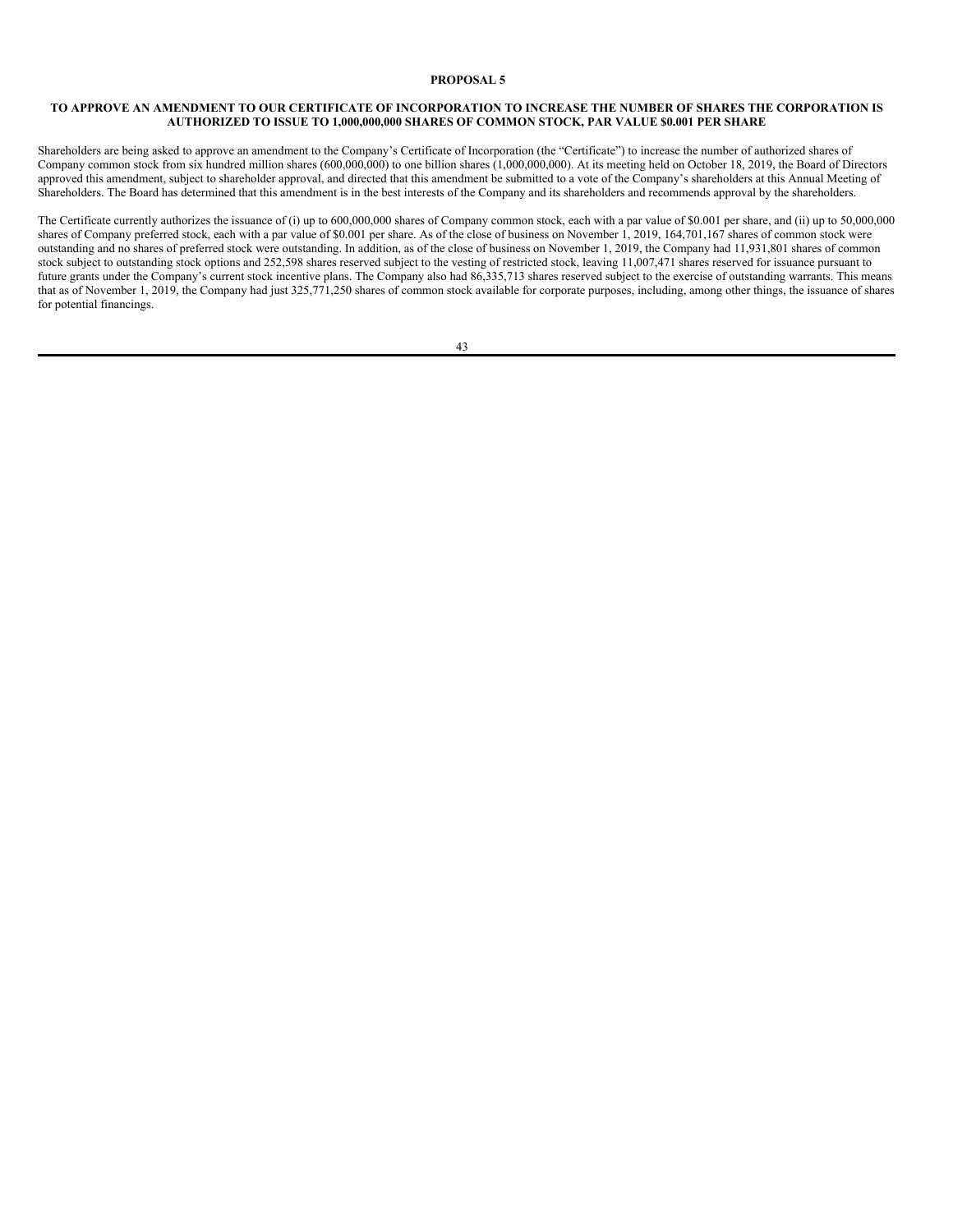## <span id="page-45-0"></span>**PROPOSAL 5**

## TO APPROVE AN AMENDMENT TO OUR CERTIFICATE OF INCORPORATION TO INCREASE THE NUMBER OF SHARES THE CORPORATION IS **AUTHORIZED TO ISSUE TO 1,000,000,000 SHARES OF COMMON STOCK, PAR VALUE \$0.001 PER SHARE**

Shareholders are being asked to approve an amendment to the Company's Certificate of Incorporation (the "Certificate") to increase the number of authorized shares of Company common stock from six hundred million shares (600,000,000) to one billion shares (1,000,000,000). At its meeting held on October 18, 2019, the Board of Directors approved this amendment, subject to shareholder approval, and directed that this amendment be submitted to a vote of the Company's shareholders at this Annual Meeting of Shareholders. The Board has determined that this amendment is in the best interests of the Company and its shareholders and recommends approval by the shareholders.

The Certificate currently authorizes the issuance of (i) up to 600,000,000 shares of Company common stock, each with a par value of \$0.001 per share, and (ii) up to 50,000,000 shares of Company preferred stock, each with a par value of \$0.001 per share. As of the close of business on November 1, 2019, 164,701,167 shares of common stock were outstanding and no shares of preferred stock were outstanding. In addition, as of the close of business on November 1, 2019, the Company had 11,931,801 shares of common stock subject to outstanding stock options and 252,598 shares reserved subject to the vesting of restricted stock, leaving 11,007,471 shares reserved for issuance pursuant to future grants under the Company's current stock incentive plans. The Company also had 86,335,713 shares reserved subject to the exercise of outstanding warrants. This means that as of November 1, 2019, the Company had just 325,771,250 shares of common stock available for corporate purposes, including, among other things, the issuance of shares for potential financings.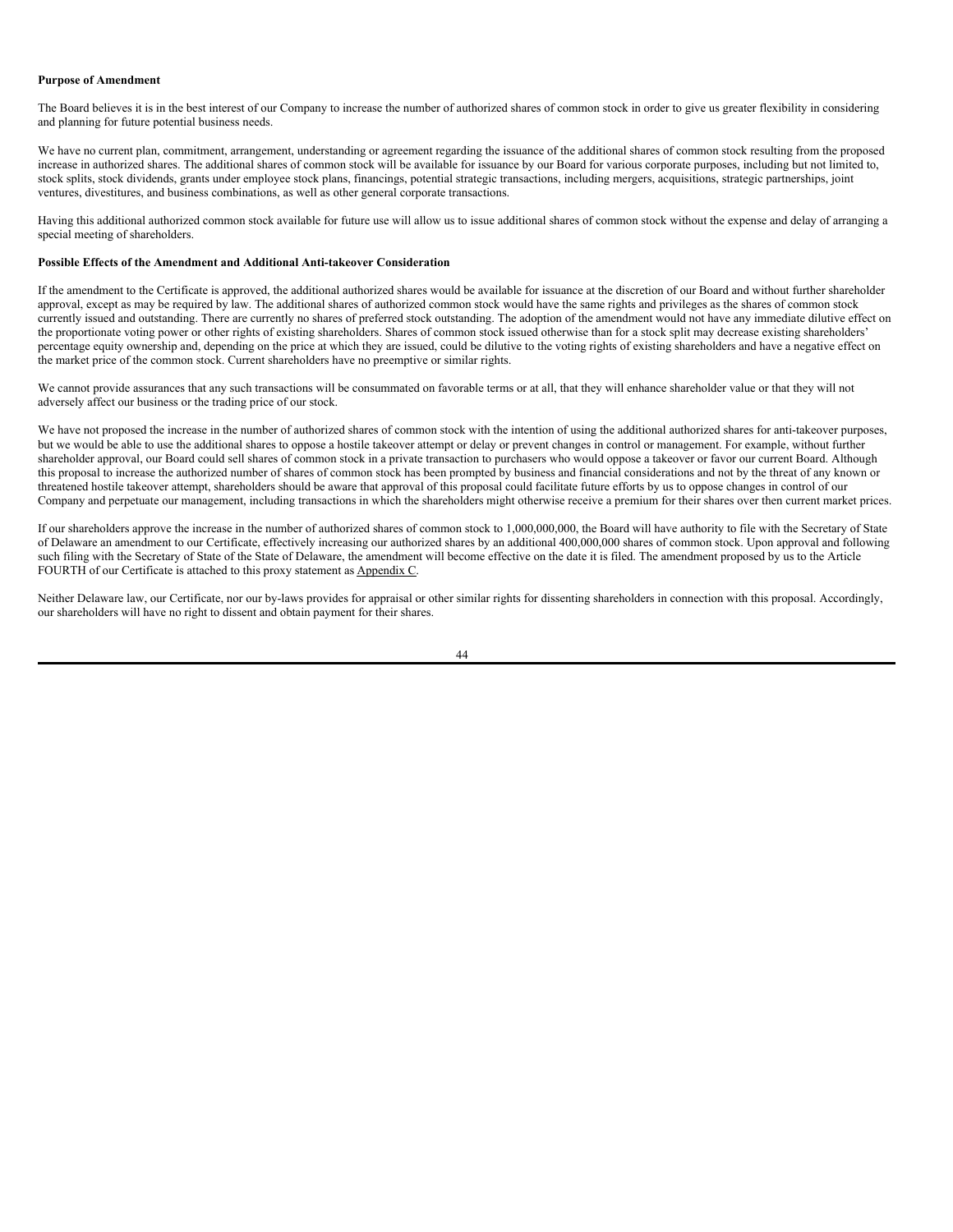#### **Purpose of Amendment**

The Board believes it is in the best interest of our Company to increase the number of authorized shares of common stock in order to give us greater flexibility in considering and planning for future potential business needs.

We have no current plan, commitment, arrangement, understanding or agreement regarding the issuance of the additional shares of common stock resulting from the proposed increase in authorized shares. The additional shares of common stock will be available for issuance by our Board for various corporate purposes, including but not limited to, stock splits, stock dividends, grants under employee stock plans, financings, potential strategic transactions, including mergers, acquisitions, strategic partnerships, joint ventures, divestitures, and business combinations, as well as other general corporate transactions.

Having this additional authorized common stock available for future use will allow us to issue additional shares of common stock without the expense and delay of arranging a special meeting of shareholders.

#### **Possible Effects of the Amendment and Additional Anti-takeover Consideration**

If the amendment to the Certificate is approved, the additional authorized shares would be available for issuance at the discretion of our Board and without further shareholder approval, except as may be required by law. The additional shares of authorized common stock would have the same rights and privileges as the shares of common stock currently issued and outstanding. There are currently no shares of preferred stock outstanding. The adoption of the amendment would not have any immediate dilutive effect on the proportionate voting power or other rights of existing shareholders. Shares of common stock issued otherwise than for a stock split may decrease existing shareholders' percentage equity ownership and, depending on the price at which they are issued, could be dilutive to the voting rights of existing shareholders and have a negative effect on the market price of the common stock. Current shareholders have no preemptive or similar rights.

We cannot provide assurances that any such transactions will be consummated on favorable terms or at all, that they will enhance shareholder value or that they will not adversely affect our business or the trading price of our stock.

We have not proposed the increase in the number of authorized shares of common stock with the intention of using the additional authorized shares for anti-takeover purposes, but we would be able to use the additional shares to oppose a hostile takeover attempt or delay or prevent changes in control or management. For example, without further shareholder approval, our Board could sell shares of common stock in a private transaction to purchasers who would oppose a takeover or favor our current Board. Although this proposal to increase the authorized number of shares of common stock has been prompted by business and financial considerations and not by the threat of any known or threatened hostile takeover attempt, shareholders should be aware that approval of this proposal could facilitate future efforts by us to oppose changes in control of our Company and perpetuate our management, including transactions in which the shareholders might otherwise receive a premium for their shares over then current market prices.

If our shareholders approve the increase in the number of authorized shares of common stock to 1,000,000,000, the Board will have authority to file with the Secretary of State of Delaware an amendment to our Certificate, effectively increasing our authorized shares by an additional 400,000,000 shares of common stock. Upon approval and following such filing with the Secretary of State of the State of Delaware, the amendment will become effective on the date it is filed. The amendment proposed by us to the Article FOURTH of our Certificate is attached to this proxy statement as Appendix C.

Neither Delaware law, our Certificate, nor our by-laws provides for appraisal or other similar rights for dissenting shareholders in connection with this proposal. Accordingly, our shareholders will have no right to dissent and obtain payment for their shares.

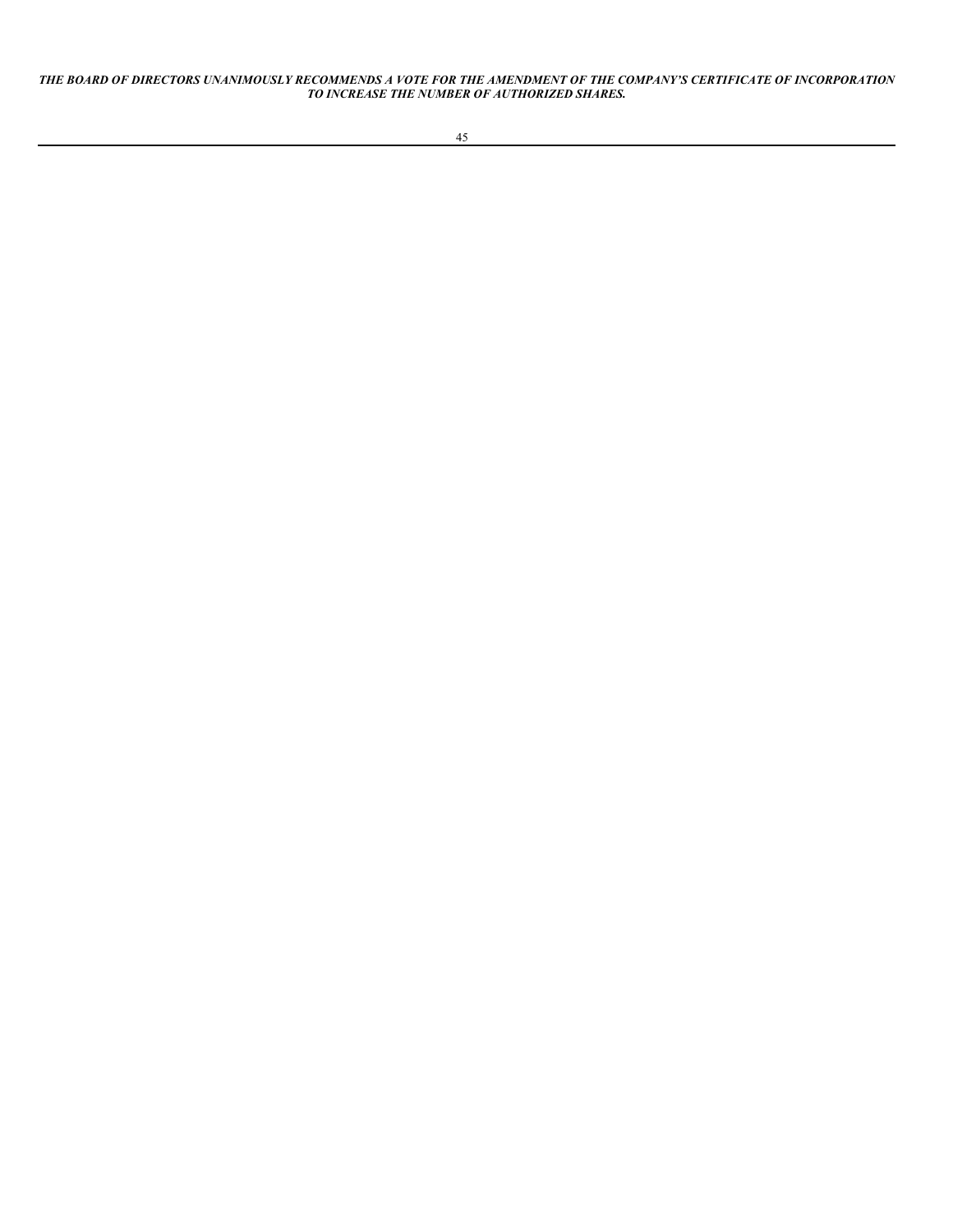### THE BOARD OF DIRECTORS UNANIMOUSLY RECOMMENDS A VOTE FOR THE AMENDMENT OF THE COMPANY'S CERTIFICATE OF INCORPORATION *TO INCREASE THE NUMBER OF AUTHORIZED SHARES.*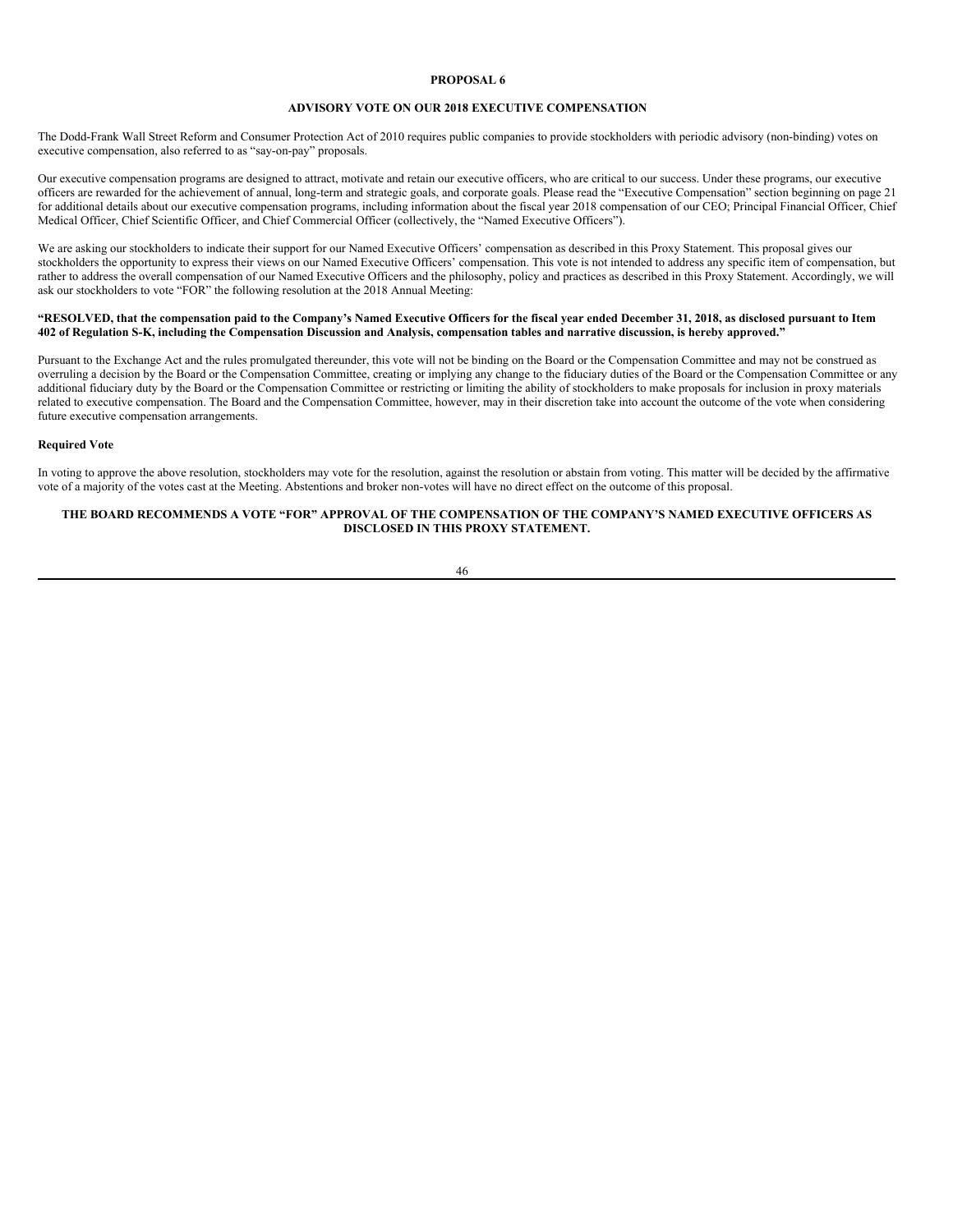## <span id="page-48-0"></span>**PROPOSAL 6**

### **ADVISORY VOTE ON OUR 2018 EXECUTIVE COMPENSATION**

The Dodd-Frank Wall Street Reform and Consumer Protection Act of 2010 requires public companies to provide stockholders with periodic advisory (non-binding) votes on executive compensation, also referred to as "say-on-pay" proposals.

Our executive compensation programs are designed to attract, motivate and retain our executive officers, who are critical to our success. Under these programs, our executive officers are rewarded for the achievement of annual, long-term and strategic goals, and corporate goals. Please read the "Executive Compensation" section beginning on page 21 for additional details about our executive compensation programs, including information about the fiscal year 2018 compensation of our CEO; Principal Financial Officer, Chief Medical Officer, Chief Scientific Officer, and Chief Commercial Officer (collectively, the "Named Executive Officers").

We are asking our stockholders to indicate their support for our Named Executive Officers' compensation as described in this Proxy Statement. This proposal gives our stockholders the opportunity to express their views on our Named Executive Officers' compensation. This vote is not intended to address any specific item of compensation, but rather to address the overall compensation of our Named Executive Officers and the philosophy, policy and practices as described in this Proxy Statement. Accordingly, we will ask our stockholders to vote "FOR" the following resolution at the 2018 Annual Meeting:

### "RESOLVED, that the compensation paid to the Company's Named Executive Officers for the fiscal year ended December 31, 2018, as disclosed pursuant to Item 402 of Regulation S-K, including the Compensation Discussion and Analysis, compensation tables and narrative discussion, is hereby approved."

Pursuant to the Exchange Act and the rules promulgated thereunder, this vote will not be binding on the Board or the Compensation Committee and may not be construed as overruling a decision by the Board or the Compensation Committee, creating or implying any change to the fiduciary duties of the Board or the Compensation Committee or any additional fiduciary duty by the Board or the Compensation Committee or restricting or limiting the ability of stockholders to make proposals for inclusion in proxy materials related to executive compensation. The Board and the Compensation Committee, however, may in their discretion take into account the outcome of the vote when considering future executive compensation arrangements.

### **Required Vote**

In voting to approve the above resolution, stockholders may vote for the resolution, against the resolution or abstain from voting. This matter will be decided by the affirmative vote of a majority of the votes cast at the Meeting. Abstentions and broker non-votes will have no direct effect on the outcome of this proposal.

## THE BOARD RECOMMENDS A VOTE "FOR" APPROVAL OF THE COMPENSATION OF THE COMPANY'S NAMED EXECUTIVE OFFICERS AS **DISCLOSED IN THIS PROXY STATEMENT.**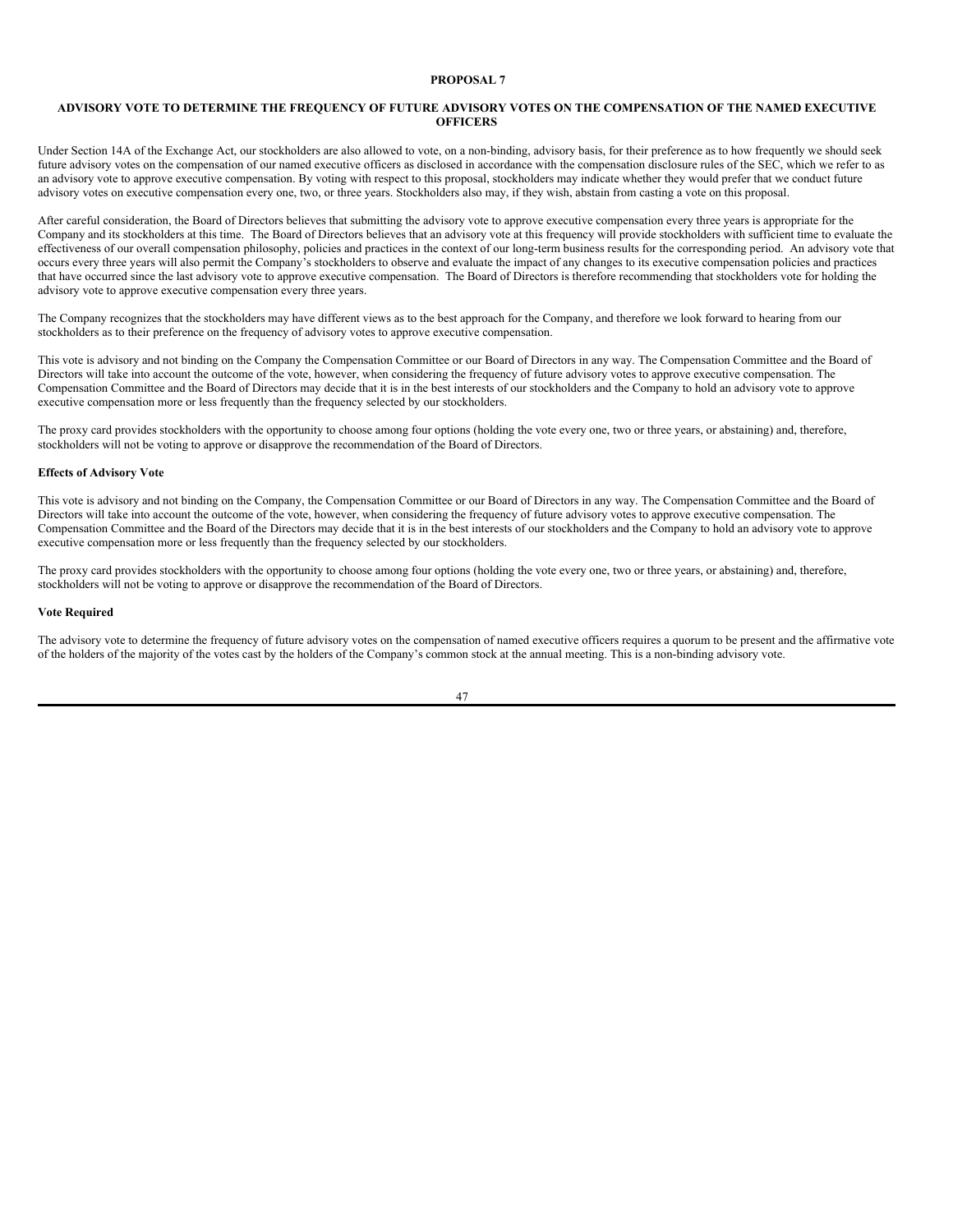## <span id="page-49-0"></span>**PROPOSAL 7**

### ADVISORY VOTE TO DETERMINE THE FREQUENCY OF FUTURE ADVISORY VOTES ON THE COMPENSATION OF THE NAMED EXECUTIVE **OFFICERS**

Under Section 14A of the Exchange Act, our stockholders are also allowed to vote, on a non-binding, advisory basis, for their preference as to how frequently we should seek future advisory votes on the compensation of our named executive officers as disclosed in accordance with the compensation disclosure rules of the SEC, which we refer to as an advisory vote to approve executive compensation. By voting with respect to this proposal, stockholders may indicate whether they would prefer that we conduct future advisory votes on executive compensation every one, two, or three years. Stockholders also may, if they wish, abstain from casting a vote on this proposal.

After careful consideration, the Board of Directors believes that submitting the advisory vote to approve executive compensation every three years is appropriate for the Company and its stockholders at this time. The Board of Directors believes that an advisory vote at this frequency will provide stockholders with sufficient time to evaluate the effectiveness of our overall compensation philosophy, policies and practices in the context of our long-term business results for the corresponding period. An advisory vote that occurs every three years will also permit the Company's stockholders to observe and evaluate the impact of any changes to its executive compensation policies and practices that have occurred since the last advisory vote to approve executive compensation. The Board of Directors is therefore recommending that stockholders vote for holding the advisory vote to approve executive compensation every three years.

The Company recognizes that the stockholders may have different views as to the best approach for the Company, and therefore we look forward to hearing from our stockholders as to their preference on the frequency of advisory votes to approve executive compensation.

This vote is advisory and not binding on the Company the Compensation Committee or our Board of Directors in any way. The Compensation Committee and the Board of Directors will take into account the outcome of the vote, however, when considering the frequency of future advisory votes to approve executive compensation. The Compensation Committee and the Board of Directors may decide that it is in the best interests of our stockholders and the Company to hold an advisory vote to approve executive compensation more or less frequently than the frequency selected by our stockholders.

The proxy card provides stockholders with the opportunity to choose among four options (holding the vote every one, two or three years, or abstaining) and, therefore, stockholders will not be voting to approve or disapprove the recommendation of the Board of Directors.

### **Effects of Advisory Vote**

This vote is advisory and not binding on the Company, the Compensation Committee or our Board of Directors in any way. The Compensation Committee and the Board of Directors will take into account the outcome of the vote, however, when considering the frequency of future advisory votes to approve executive compensation. The Compensation Committee and the Board of the Directors may decide that it is in the best interests of our stockholders and the Company to hold an advisory vote to approve executive compensation more or less frequently than the frequency selected by our stockholders.

The proxy card provides stockholders with the opportunity to choose among four options (holding the vote every one, two or three years, or abstaining) and, therefore, stockholders will not be voting to approve or disapprove the recommendation of the Board of Directors.

#### **Vote Required**

The advisory vote to determine the frequency of future advisory votes on the compensation of named executive officers requires a quorum to be present and the affirmative vote of the holders of the majority of the votes cast by the holders of the Company's common stock at the annual meeting. This is a non-binding advisory vote.

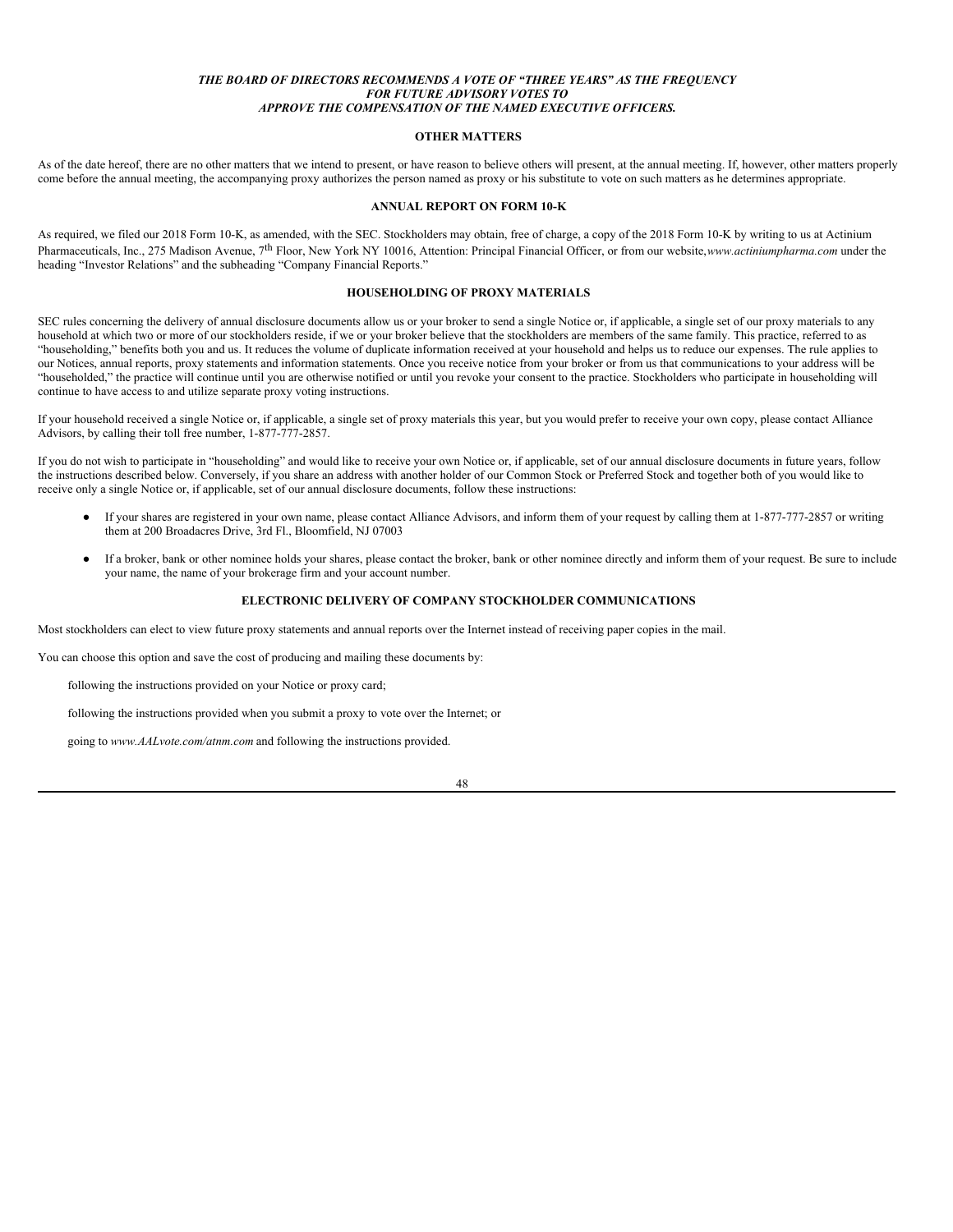## *THE BOARD OF DIRECTORS RECOMMENDS A VOTE OF "THREE YEARS" AS THE FREQUENCY FOR FUTURE ADVISORY VOTES TO APPROVE THE COMPENSATION OF THE NAMED EXECUTIVE OFFICERS.*

# <span id="page-50-0"></span>**OTHER MATTERS**

As of the date hereof, there are no other matters that we intend to present, or have reason to believe others will present, at the annual meeting. If, however, other matters properly come before the annual meeting, the accompanying proxy authorizes the person named as proxy or his substitute to vote on such matters as he determines appropriate.

# <span id="page-50-1"></span>**ANNUAL REPORT ON FORM 10-K**

As required, we filed our 2018 Form 10-K, as amended, with the SEC. Stockholders may obtain, free of charge, a copy of the 2018 Form 10-K by writing to us at Actinium Pharmaceuticals, Inc., 275 Madison Avenue, 7<sup>th</sup> Floor, New York NY 10016, Attention: Principal Financial Officer, or from our website, www.actiniumpharma.com under the heading "Investor Relations" and the subheading "Company Financial Reports."

# <span id="page-50-2"></span>**HOUSEHOLDING OF PROXY MATERIALS**

SEC rules concerning the delivery of annual disclosure documents allow us or your broker to send a single Notice or, if applicable, a single set of our proxy materials to any household at which two or more of our stockholders reside, if we or your broker believe that the stockholders are members of the same family. This practice, referred to as "householding," benefits both you and us. It reduces the volume of duplicate information received at your household and helps us to reduce our expenses. The rule applies to our Notices, annual reports, proxy statements and information statements. Once you receive notice from your broker or from us that communications to your address will be "householded," the practice will continue until you are otherwise notified or until you revoke your consent to the practice. Stockholders who participate in householding will continue to have access to and utilize separate proxy voting instructions.

If your household received a single Notice or, if applicable, a single set of proxy materials this year, but you would prefer to receive your own copy, please contact Alliance Advisors, by calling their toll free number, 1-877-777-2857.

If you do not wish to participate in "householding" and would like to receive your own Notice or, if applicable, set of our annual disclosure documents in future years, follow the instructions described below. Conversely, if you share an address with another holder of our Common Stock or Preferred Stock and together both of you would like to receive only a single Notice or, if applicable, set of our annual disclosure documents, follow these instructions:

- If your shares are registered in your own name, please contact Alliance Advisors, and inform them of your request by calling them at 1-877-777-2857 or writing them at 200 Broadacres Drive, 3rd Fl., Bloomfield, NJ 07003
- If a broker, bank or other nominee holds your shares, please contact the broker, bank or other nominee directly and inform them of your request. Be sure to include your name, the name of your brokerage firm and your account number.

# <span id="page-50-3"></span>**ELECTRONIC DELIVERY OF COMPANY STOCKHOLDER COMMUNICATIONS**

Most stockholders can elect to view future proxy statements and annual reports over the Internet instead of receiving paper copies in the mail.

You can choose this option and save the cost of producing and mailing these documents by:

following the instructions provided on your Notice or proxy card;

following the instructions provided when you submit a proxy to vote over the Internet; or

going to *www.AALvote.com/atnm.com* and following the instructions provided.

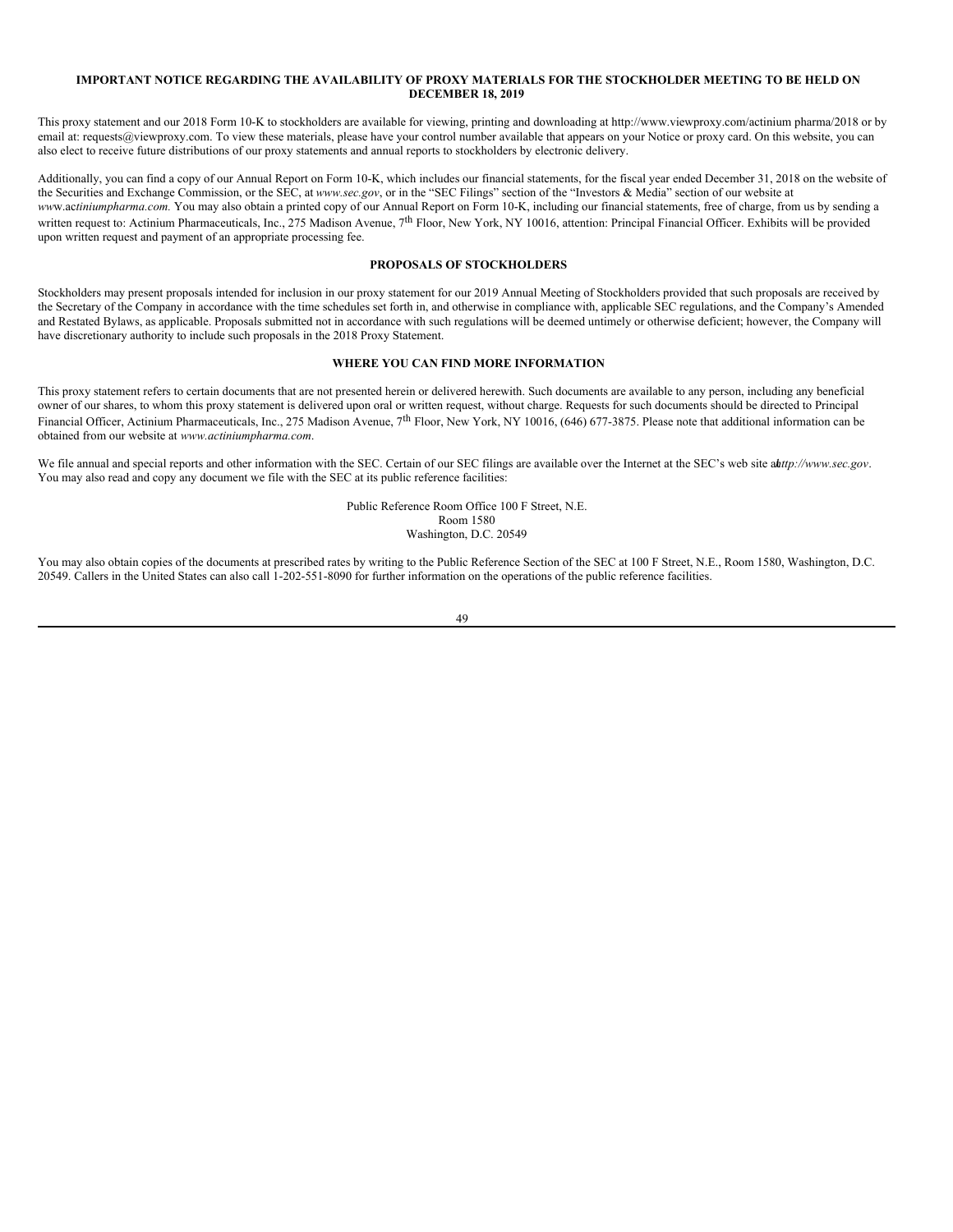# <span id="page-51-0"></span>**IMPORTANT NOTICE REGARDING THE AVAILABILITY OF PROXY MATERIALS FOR THE STOCKHOLDER MEETING TO BE HELD ON DECEMBER 18, 2019**

This proxy statement and our 2018 Form 10-K to stockholders are available for viewing, printing and downloading at http://www.viewproxy.com/actinium pharma/2018 or by email at: requests@viewproxy.com. To view these materials, please have your control number available that appears on your Notice or proxy card. On this website, you can also elect to receive future distributions of our proxy statements and annual reports to stockholders by electronic delivery.

Additionally, you can find a copy of our Annual Report on Form 10-K, which includes our financial statements, for the fiscal year ended December 31, 2018 on the website of the Securities and Exchange Commission, or the SEC, at *www.sec.gov*, or in the "SEC Filings" section of the "Investors & Media" section of our website at *ww*w.ac*tiniumpharma.com.* You may also obtain a printed copy of our Annual Report on Form 10-K, including our financial statements, free of charge, from us by sending a written request to: Actinium Pharmaceuticals, Inc., 275 Madison Avenue, 7<sup>th</sup> Floor, New York, NY 10016, attention: Principal Financial Officer. Exhibits will be provided upon written request and payment of an appropriate processing fee.

# <span id="page-51-1"></span>**PROPOSALS OF STOCKHOLDERS**

Stockholders may present proposals intended for inclusion in our proxy statement for our 2019 Annual Meeting of Stockholders provided that such proposals are received by the Secretary of the Company in accordance with the time schedules set forth in, and otherwise in compliance with, applicable SEC regulations, and the Company's Amended and Restated Bylaws, as applicable. Proposals submitted not in accordance with such regulations will be deemed untimely or otherwise deficient; however, the Company will have discretionary authority to include such proposals in the 2018 Proxy Statement.

## <span id="page-51-2"></span>**WHERE YOU CAN FIND MORE INFORMATION**

This proxy statement refers to certain documents that are not presented herein or delivered herewith. Such documents are available to any person, including any beneficial owner of our shares, to whom this proxy statement is delivered upon oral or written request, without charge. Requests for such documents should be directed to Principal Financial Officer, Actinium Pharmaceuticals, Inc., 275 Madison Avenue, 7<sup>th</sup> Floor, New York, NY 10016, (646) 677-3875. Please note that additional information can be obtained from our website at *www.actiniumpharma.com*.

We file annual and special reports and other information with the SEC. Certain of our SEC filings are available over the Internet at the SEC's web site at *ttp://www.sec.gov*. You may also read and copy any document we file with the SEC at its public reference facilities:

> Public Reference Room Office 100 F Street, N.E. Room 1580 Washington, D.C. 20549

You may also obtain copies of the documents at prescribed rates by writing to the Public Reference Section of the SEC at 100 F Street, N.E., Room 1580, Washington, D.C. 20549. Callers in the United States can also call 1-202-551-8090 for further information on the operations of the public reference facilities.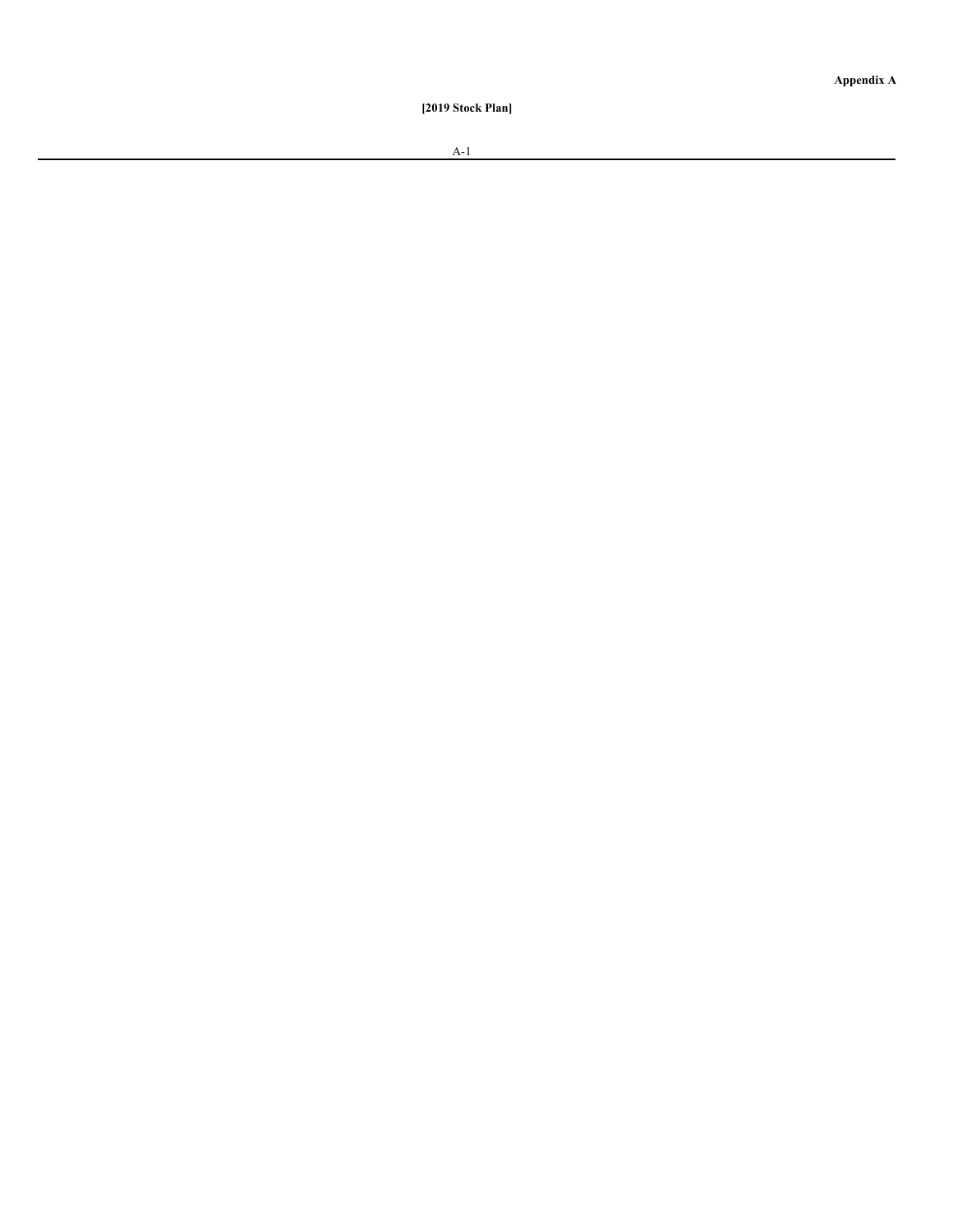**[ 2 0 1 9 S t o c k P l a n ]**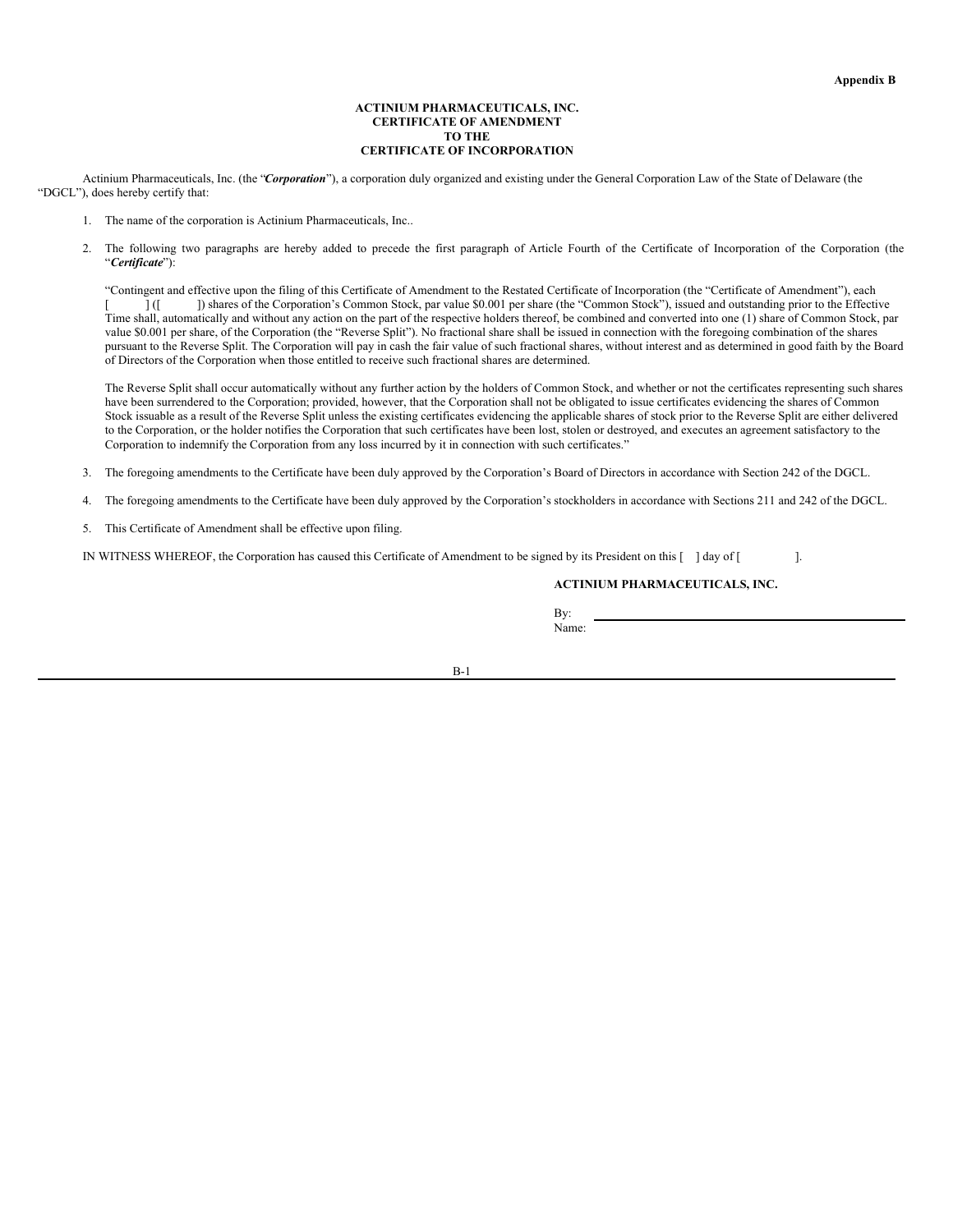#### **ACTINIUM PHARMACEUTICALS, INC. CERTIFICATE OF AMENDMENT TO THE CERTIFICATE OF INCORPORATION**

Actinium Pharmaceuticals, Inc. (the "*Corporation*"), a corporation duly organized and existing under the General Corporation Law of the State of Delaware (the "DGCL"), does hereby certify that:

- 1. The name of the corporation is Actinium Pharmaceuticals, Inc..
- 2. The following two paragraphs are hereby added to precede the first paragraph of Article Fourth of the Certificate of Incorporation of the Corporation (the "*Certificate*"):

"Contingent and effective upon the filing of this Certificate of Amendment to the Restated Certificate of Incorporation (the "Certificate of Amendment"), each [ ] ([ ]) shares of the Corporation's Common Stock, par value \$0.001 per share (the "Common Stock"), issued and outstanding prior to the Effective Time shall, automatically and without any action on the part of the respective holders thereof, be combined and converted into one (1) share of Common Stock, par value \$0.001 per share, of the Corporation (the "Reverse Split"). No fractional share shall be issued in connection with the foregoing combination of the shares pursuant to the Reverse Split. The Corporation will pay in cash the fair value of such fractional shares, without interest and as determined in good faith by the Board of Directors of the Corporation when those entitled to receive such fractional shares are determined.

The Reverse Split shall occur automatically without any further action by the holders of Common Stock, and whether or not the certificates representing such shares have been surrendered to the Corporation; provided, however, that the Corporation shall not be obligated to issue certificates evidencing the shares of Common Stock issuable as a result of the Reverse Split unless the existing certificates evidencing the applicable shares of stock prior to the Reverse Split are either delivered to the Corporation, or the holder notifies the Corporation that such certificates have been lost, stolen or destroyed, and executes an agreement satisfactory to the Corporation to indemnify the Corporation from any loss incurred by it in connection with such certificates."

- 3. The foregoing amendments to the Certificate have been duly approved by the Corporation's Board of Directors in accordance with Section 242 of the DGCL.
- 4. The foregoing amendments to the Certificate have been duly approved by the Corporation's stockholders in accordance with Sections 211 and 242 of the DGCL.
- 5. This Certificate of Amendment shall be effective upon filing.

IN WITNESS WHEREOF, the Corporation has caused this Certificate of Amendment to be signed by its President on this [ ] day of [ ].

# **ACTINIUM PHARMACEUTICALS, INC.**

By:

Name:

B-1